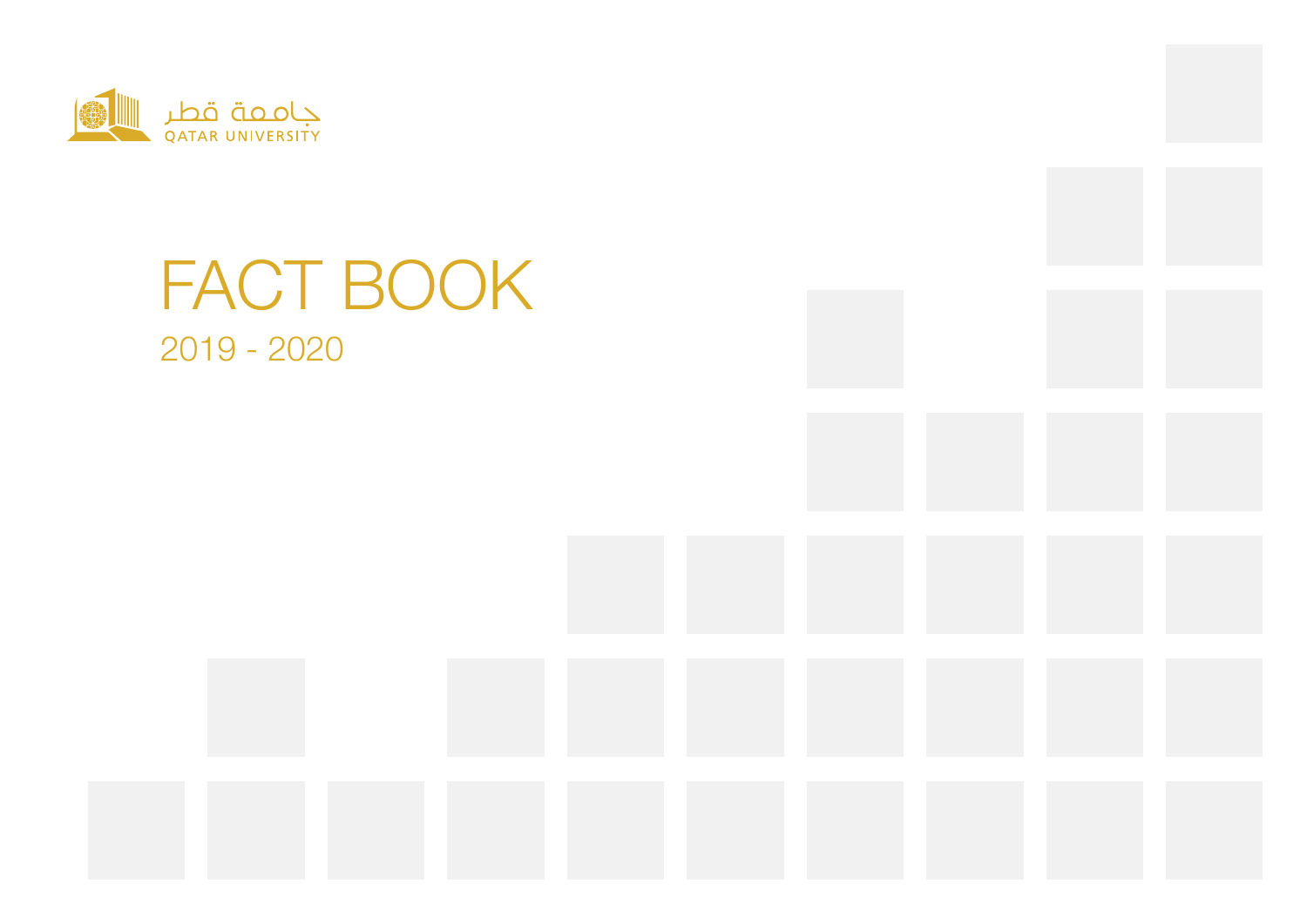

# FACT BOOK 2019 - 2020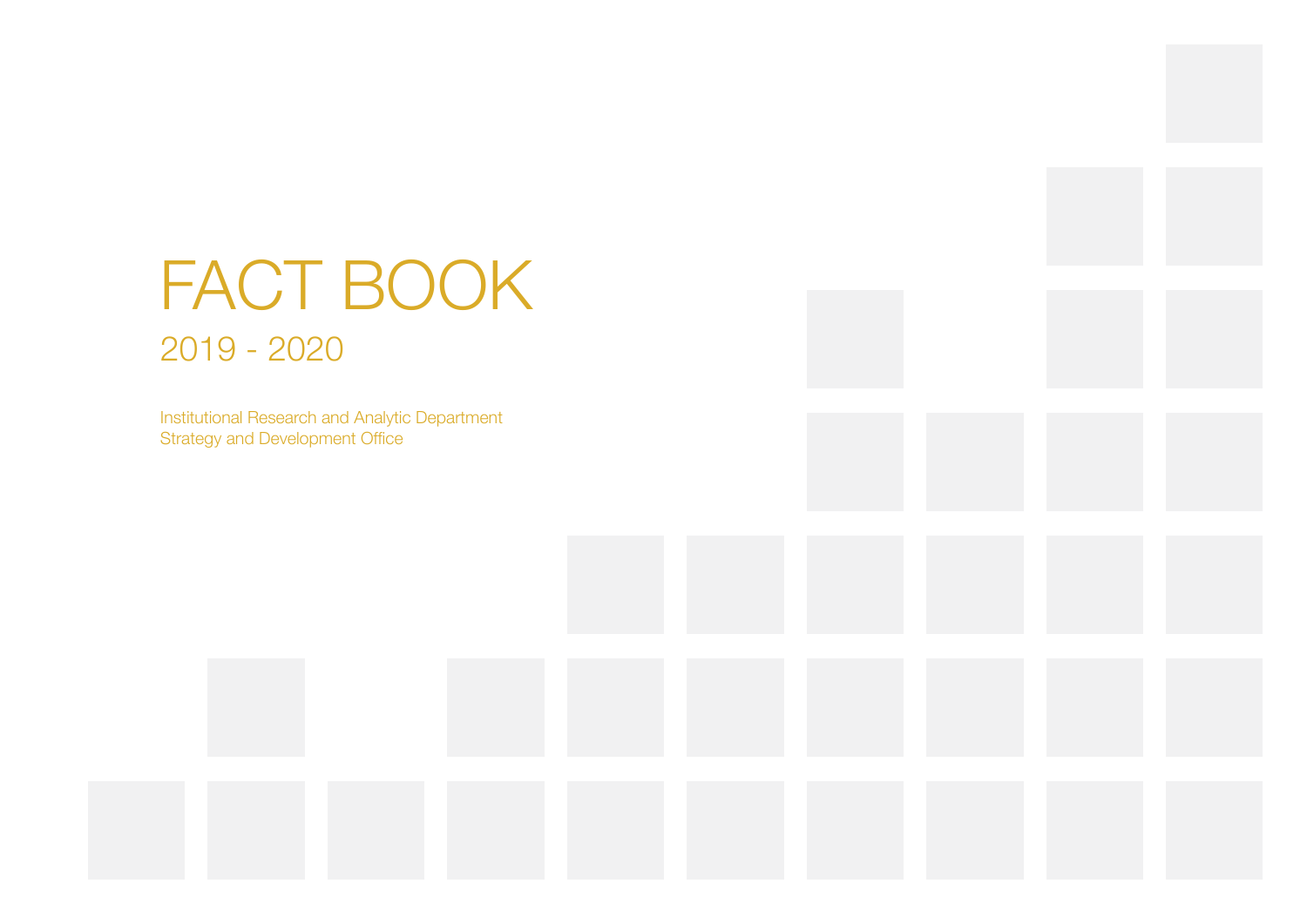# FACT BOOK 2019 - 2020

Institutional Research and Analytic Department Strategy and Development Office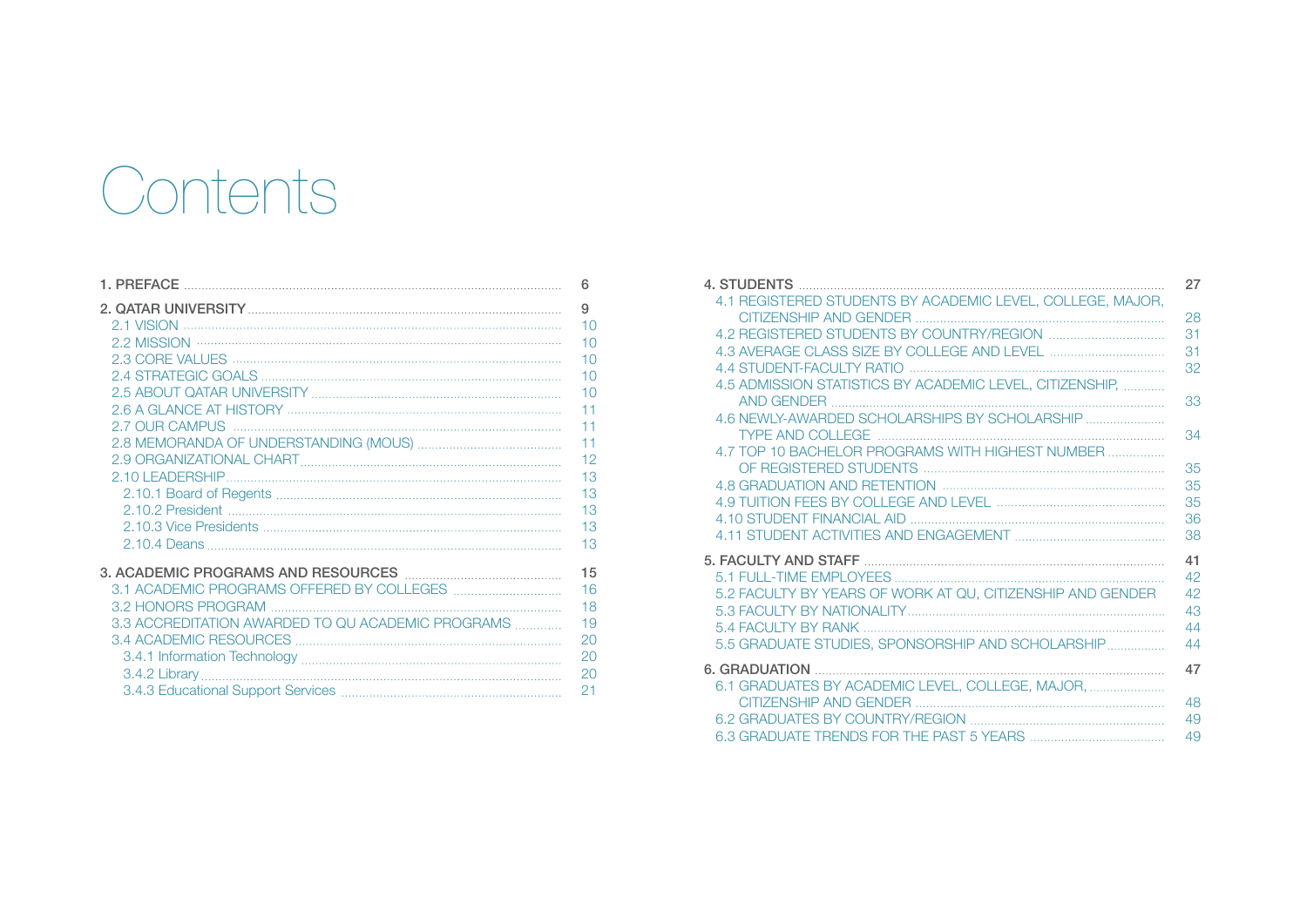# **Contents**

|                                                   | 6  |
|---------------------------------------------------|----|
|                                                   | 9  |
|                                                   | 10 |
|                                                   | 10 |
|                                                   | 10 |
|                                                   | 10 |
|                                                   | 10 |
|                                                   | 11 |
|                                                   | 11 |
|                                                   | 11 |
|                                                   | 12 |
|                                                   | 13 |
|                                                   | 13 |
|                                                   | 13 |
|                                                   | 13 |
|                                                   | 13 |
|                                                   | 15 |
|                                                   | 16 |
|                                                   | 18 |
| 3.3 ACCREDITATION AWARDED TO QU ACADEMIC PROGRAMS | 19 |
|                                                   | 20 |
|                                                   | 20 |
|                                                   | 20 |
|                                                   | 21 |
|                                                   |    |

|                                                            | 27 |
|------------------------------------------------------------|----|
| 4.1 REGISTERED STUDENTS BY ACADEMIC LEVEL, COLLEGE, MAJOR, | 28 |
|                                                            | 31 |
|                                                            | 31 |
|                                                            | 32 |
| 4.5 ADMISSION STATISTICS BY ACADEMIC LEVEL, CITIZENSHIP,   |    |
|                                                            | 33 |
| 4.6 NEWLY-AWARDED SCHOLARSHIPS BY SCHOLARSHIP              |    |
|                                                            | 34 |
| 4.7 TOP 10 BACHELOR PROGRAMS WITH HIGHEST NUMBER           |    |
|                                                            | 35 |
|                                                            | 35 |
|                                                            | 35 |
|                                                            | 36 |
|                                                            | 38 |
|                                                            | 41 |
|                                                            | 42 |
| 5.2 FACULTY BY YEARS OF WORK AT QU, CITIZENSHIP AND GENDER | 42 |
|                                                            | 43 |
|                                                            | 44 |
| 5.5 GRADUATE STUDIES, SPONSORSHIP AND SCHOLARSHIP          | 44 |
|                                                            | 47 |
| 6.1 GRADUATES BY ACADEMIC LEVEL, COLLEGE, MAJOR,           |    |
|                                                            | 48 |
|                                                            | 49 |
|                                                            | 49 |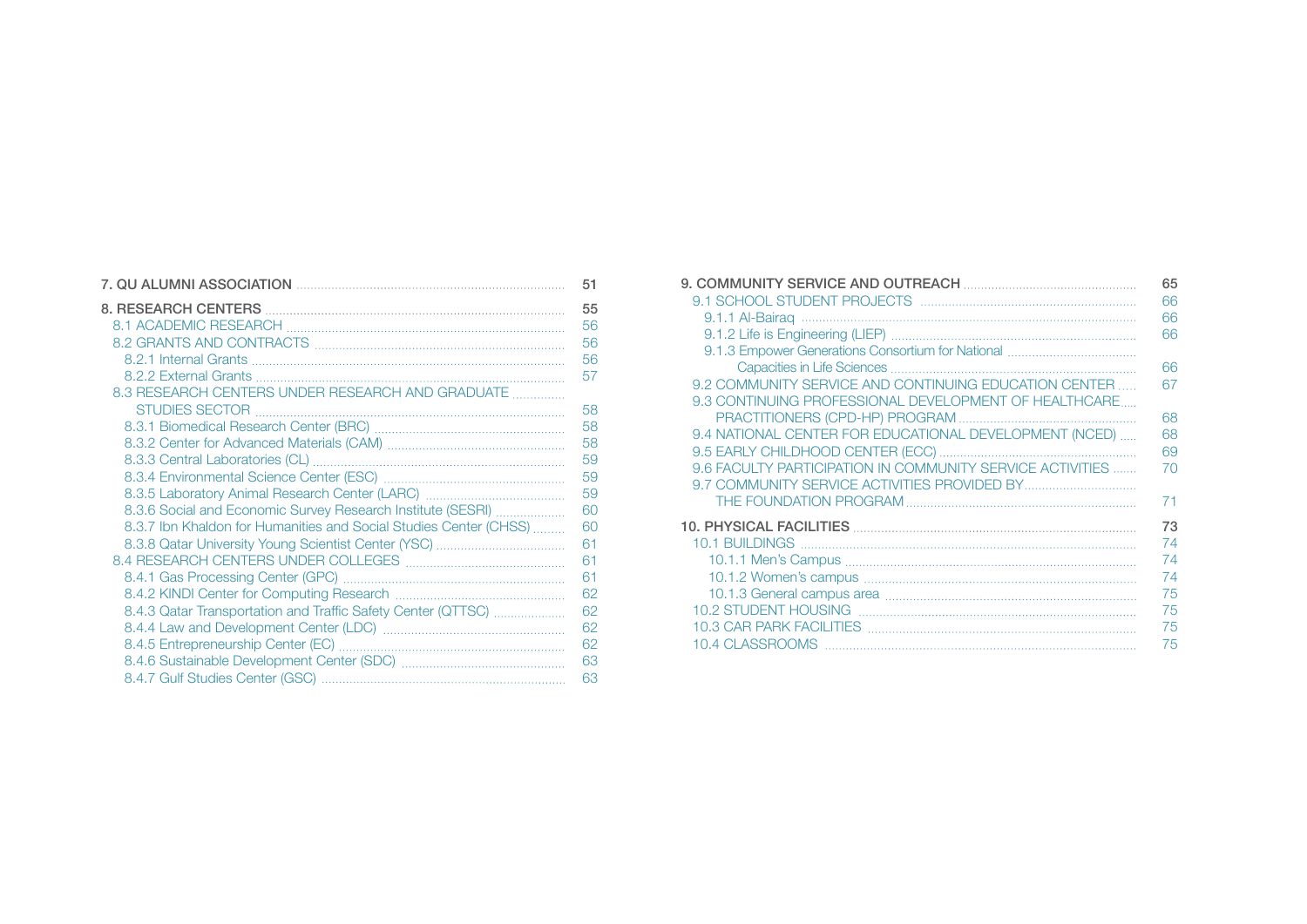|                                                                   | 51 |
|-------------------------------------------------------------------|----|
|                                                                   | 55 |
|                                                                   | 56 |
|                                                                   | 56 |
|                                                                   | 56 |
|                                                                   | 57 |
| 8.3 RESEARCH CENTERS UNDER RESEARCH AND GRADUATE                  |    |
|                                                                   | 58 |
|                                                                   | 58 |
|                                                                   | 58 |
|                                                                   | 59 |
|                                                                   | 59 |
|                                                                   | 59 |
| 8.3.6 Social and Economic Survey Research Institute (SESRI)       | 60 |
| 8.3.7 Ibn Khaldon for Humanities and Social Studies Center (CHSS) | 60 |
|                                                                   | 61 |
|                                                                   | 61 |
|                                                                   | 61 |
|                                                                   | 62 |
| 8.4.3 Qatar Transportation and Traffic Safety Center (QTTSC)      | 62 |
|                                                                   | 62 |
|                                                                   | 62 |
|                                                                   | 63 |
|                                                                   | 63 |

|                                                           | 65 |
|-----------------------------------------------------------|----|
|                                                           | 66 |
|                                                           | 66 |
|                                                           | 66 |
|                                                           |    |
|                                                           | 66 |
| 9.2 COMMUNITY SERVICE AND CONTINUING EDUCATION CENTER     | 67 |
| 9.3 CONTINUING PROFESSIONAL DEVELOPMENT OF HEALTHCARE     |    |
|                                                           | 68 |
| 9.4 NATIONAL CENTER FOR EDUCATIONAL DEVELOPMENT (NCED)    | 68 |
|                                                           | 69 |
| 9.6 FACULTY PARTICIPATION IN COMMUNITY SERVICE ACTIVITIES | 70 |
|                                                           | 71 |
|                                                           | 73 |
|                                                           | 74 |
|                                                           | 74 |
|                                                           | 74 |
|                                                           | 75 |
|                                                           | 75 |
|                                                           | 75 |
|                                                           | 75 |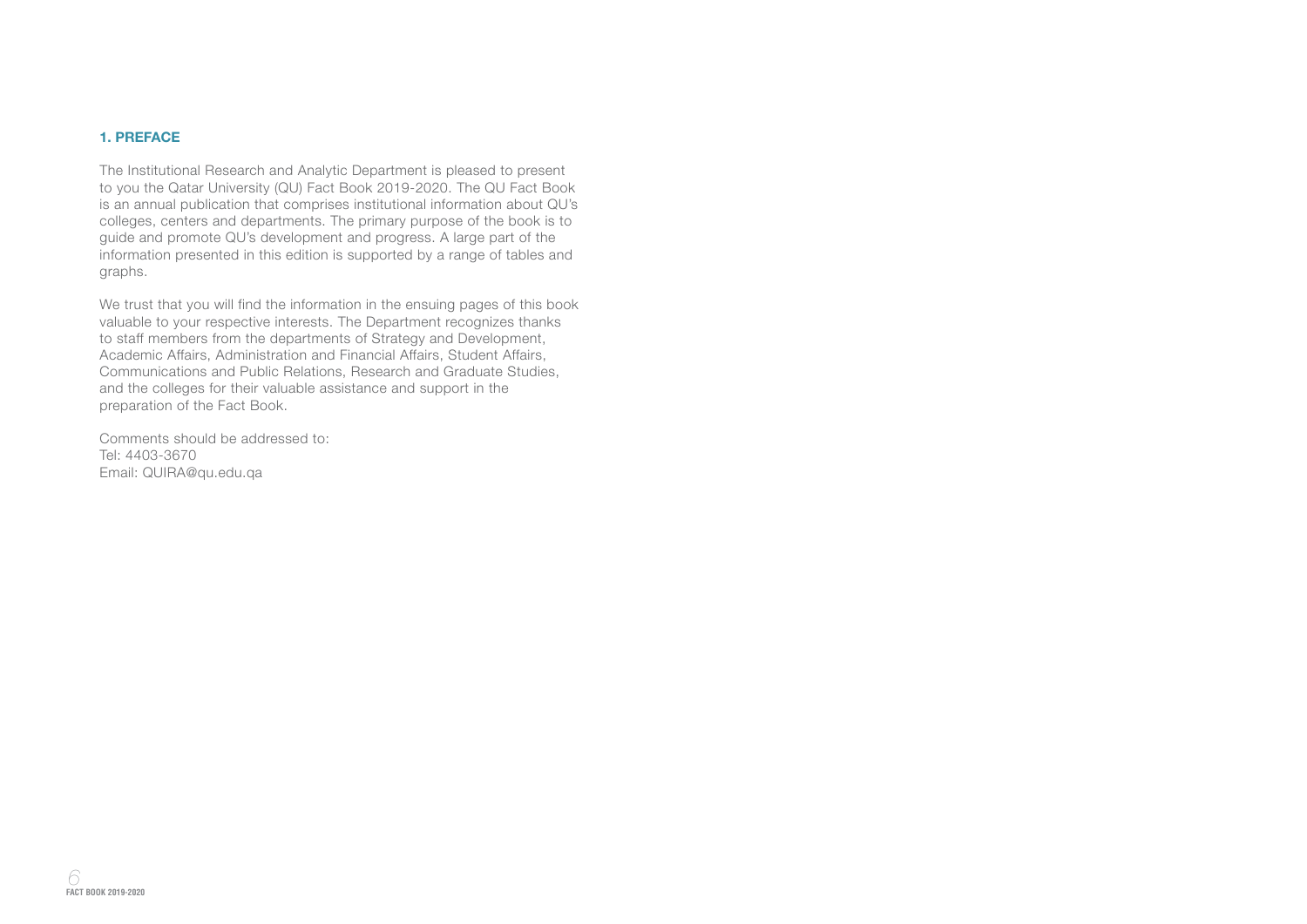#### **1. PREFACE**

The Institutional Research and Analytic Department is pleased to present to you the Qatar University (QU) Fact Book 2019-2020. The QU Fact Book is an annual publication that comprises institutional information about QU's colleges, centers and departments. The primary purpose of the book is to guide and promote QU's development and progress. A large part of the information presented in this edition is supported by a range of tables and graphs.

We trust that you will find the information in the ensuing pages of this book valuable to your respective interests. The Department recognizes thanks to staff members from the departments of Strategy and Development, Academic Affairs, Administration and Financial Affairs, Student Affairs, Communications and Public Relations, Research and Graduate Studies, and the colleges for their valuable assistance and support in the preparation of the Fact Book.

Comments should be addressed to: Tel: 4403-3670 Email: QUIRA@qu.edu.qa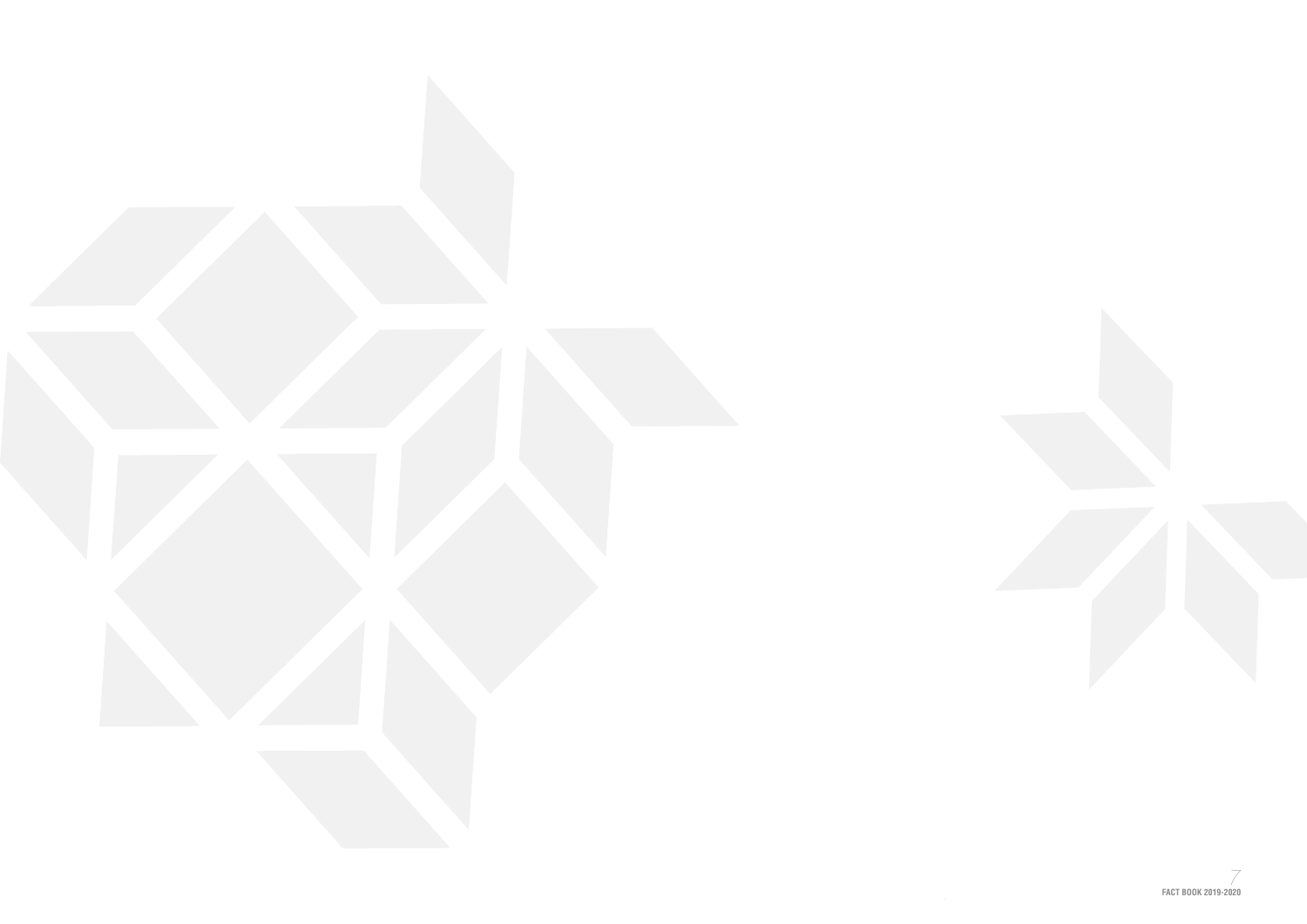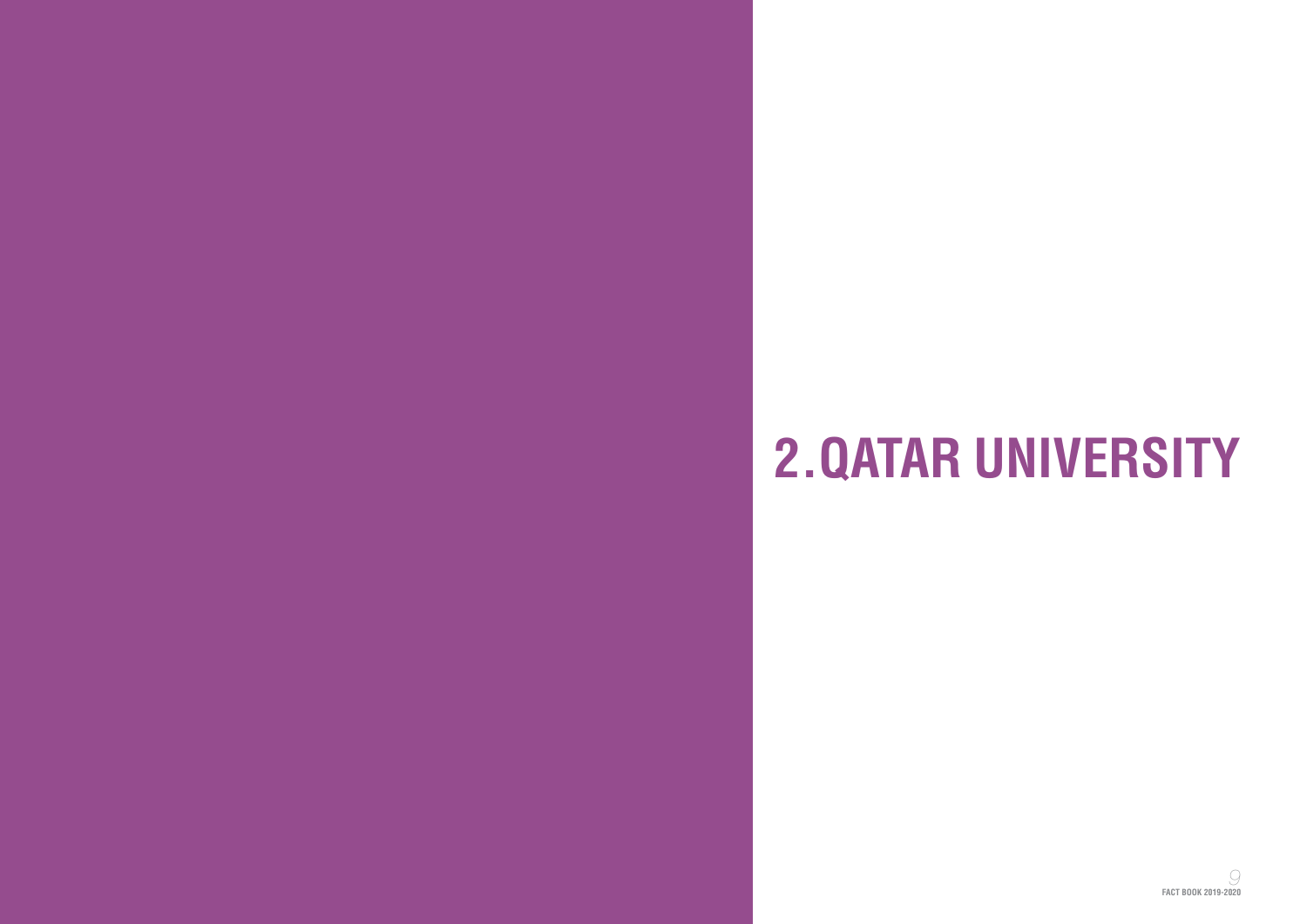# **2.QATAR UNIVERSITY**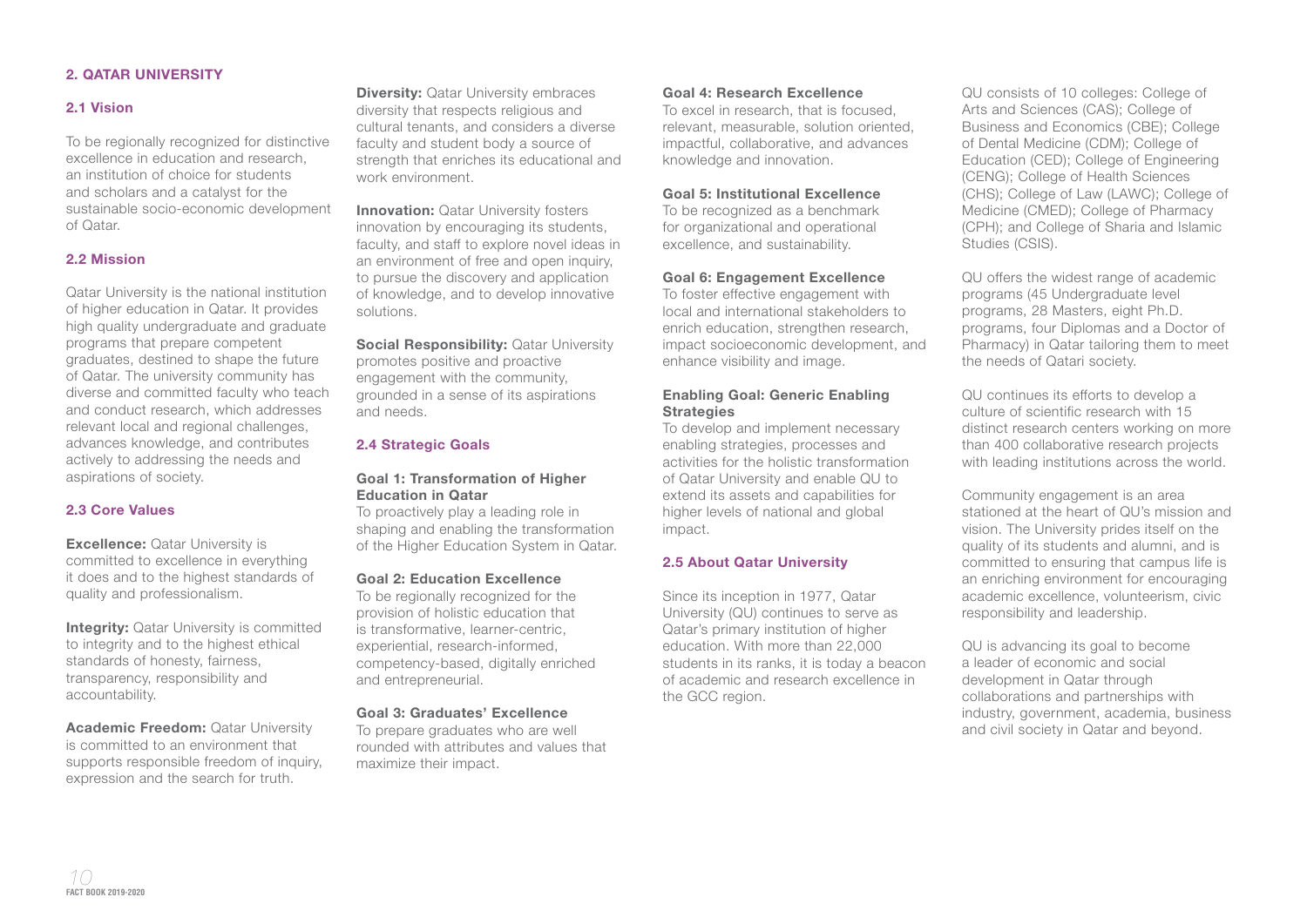#### **2.1 Vision**

To be regionally recognized for distinctive excellence in education and research. an institution of choice for students and scholars and a catalyst for the sustainable socio-economic development of Qatar.

#### **2.2 Mission**

Qatar University is the national institution of higher education in Qatar. It provides high quality undergraduate and graduate programs that prepare competent graduates, destined to shape the future of Qatar. The university community has diverse and committed faculty who teach and conduct research, which addresses relevant local and regional challenges, advances knowledge, and contributes actively to addressing the needs and aspirations of society.

#### **2.3 Core Values**

**Excellence:** Qatar University is committed to excellence in everything it does and to the highest standards of quality and professionalism.

**Integrity:** Qatar University is committed to integrity and to the highest ethical standards of honesty, fairness, transparency, responsibility and accountability.

**Academic Freedom:** Qatar University is committed to an environment that supports responsible freedom of inquiry, expression and the search for truth.

**Diversity:** Qatar University embraces diversity that respects religious and cultural tenants, and considers a diverse faculty and student body a source of strength that enriches its educational and work environment.

**Innovation:** Qatar University fosters innovation by encouraging its students, faculty, and staff to explore novel ideas in an environment of free and open inquiry, to pursue the discovery and application of knowledge, and to develop innovative solutions.

**Social Responsibility:** Qatar University promotes positive and proactive engagement with the community, grounded in a sense of its aspirations and needs.

#### **2.4 Strategic Goals**

#### **Goal 1: Transformation of Higher Education in Qatar**

To proactively play a leading role in shaping and enabling the transformation of the Higher Education System in Qatar.

#### **Goal 2: Education Excellence**

To be regionally recognized for the provision of holistic education that is transformative, learner-centric, experiential, research-informed, competency-based, digitally enriched and entrepreneurial.

#### **Goal 3: Graduates' Excellence**

To prepare graduates who are well rounded with attributes and values that maximize their impact.

#### **Goal 4: Research Excellence**

To excel in research, that is focused, relevant, measurable, solution oriented, impactful, collaborative, and advances knowledge and innovation.

#### **Goal 5: Institutional Excellence**

To be recognized as a benchmark for organizational and operational excellence, and sustainability.

#### **Goal 6: Engagement Excellence**

To foster effective engagement with local and international stakeholders to enrich education, strengthen research, impact socioeconomic development, and enhance visibility and image.

#### **Enabling Goal: Generic Enabling Strategies**

To develop and implement necessary enabling strategies, processes and activities for the holistic transformation of Qatar University and enable QU to extend its assets and capabilities for higher levels of national and global impact.

#### **2.5 About Qatar University**

Since its inception in 1977, Qatar University (QU) continues to serve as Qatar's primary institution of higher education. With more than 22,000 students in its ranks, it is today a beacon of academic and research excellence in the GCC region.

QU consists of 10 colleges: College of Arts and Sciences (CAS): College of Business and Economics (CBE); College of Dental Medicine (CDM); College of Education (CED); College of Engineering (CENG); College of Health Sciences (CHS); College of Law (LAWC); College of Medicine (CMED); College of Pharmacy (CPH); and College of Sharia and Islamic Studies (CSIS).

QU offers the widest range of academic programs (45 Undergraduate level programs, 28 Masters, eight Ph.D. programs, four Diplomas and a Doctor of Pharmacy) in Qatar tailoring them to meet the needs of Qatari society.

QU continues its efforts to develop a culture of scientific research with 15 distinct research centers working on more than 400 collaborative research projects with leading institutions across the world.

Community engagement is an area stationed at the heart of QU's mission and vision. The University prides itself on the quality of its students and alumni, and is committed to ensuring that campus life is an enriching environment for encouraging academic excellence, volunteerism, civic responsibility and leadership.

QU is advancing its goal to become a leader of economic and social development in Qatar through collaborations and partnerships with industry, government, academia, business and civil society in Qatar and beyond.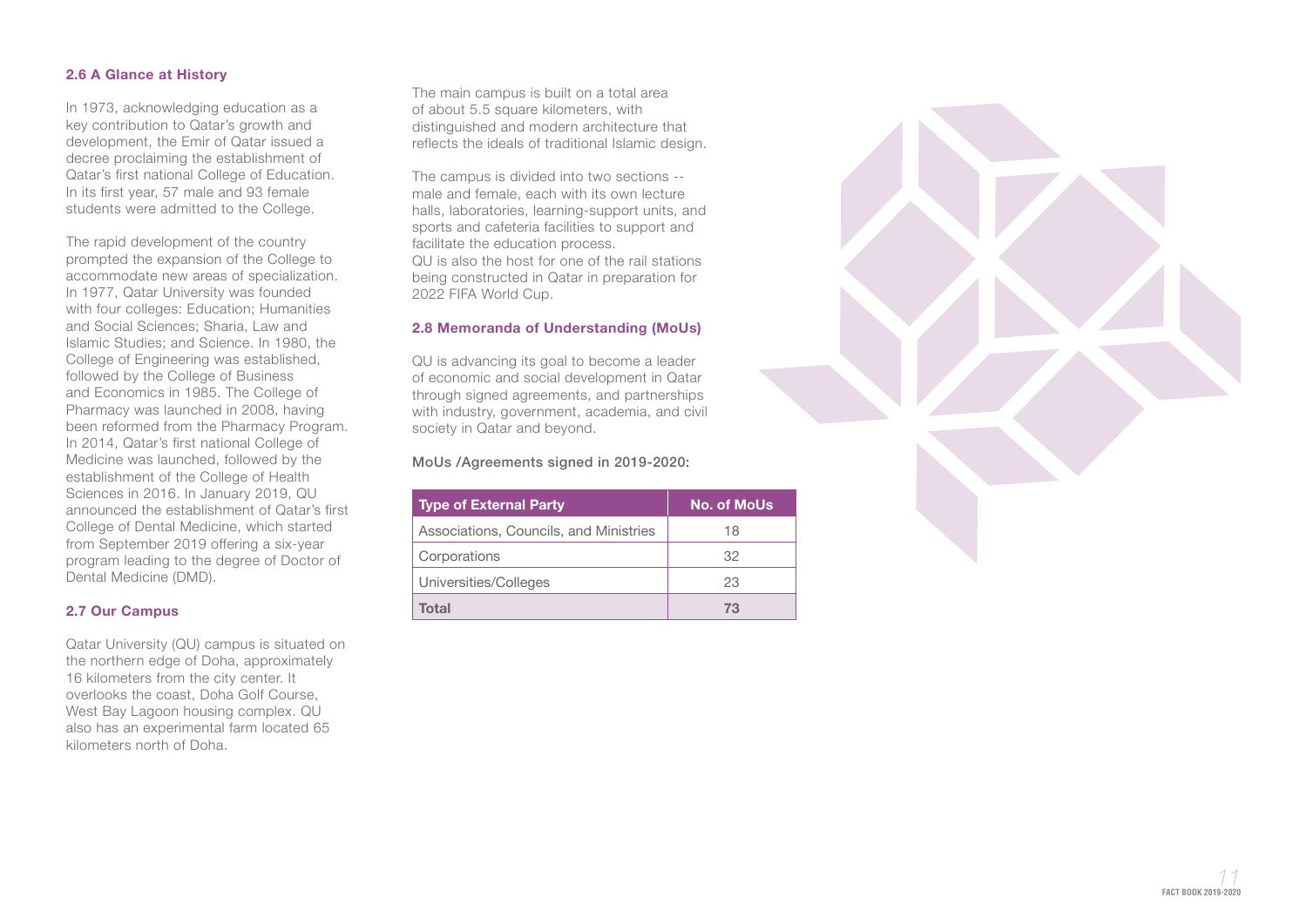#### **2.6 A Glance at History**

In 1973, acknowledging education as a key contribution to Qatar's growth and development, the Emir of Qatar issued a decree proclaiming the establishment of Qatar's first national College of Education. In its first year, 57 male and 93 female students were admitted to the College.

The rapid development of the country prompted the expansion of the College to accommodate new areas of specialization. In 1977, Qatar University was founded with four colleges: Education; Humanities and Social Sciences; Sharia, Law and Islamic Studies; and Science. In 1980, the College of Engineering was established, followed by the College of Business and Economics in 1985. The College of Pharmacy was launched in 2008, having been reformed from the Pharmacy Program. In 2014, Qatar's first national College of Medicine was launched, followed by the establishment of the College of Health Sciences in 2016. In January 2019, QU announced the establishment of Qatar's first College of Dental Medicine, which started from September 2019 offering a six-year program leading to the degree of Doctor of Dental Medicine (DMD).

#### **2.7 Our Campus**

Qatar University (QU) campus is situated on the northern edge of Doha, approximately 16 kilometers from the city center. It overlooks the coast, Doha Golf Course, West Bay Lagoon housing complex. QU also has an experimental farm located 65 kilometers north of Doha.

The main campus is built on a total area of about 5.5 square kilometers, with distinguished and modern architecture that reflects the ideals of traditional Islamic design.

The campus is divided into two sections - male and female, each with its own lecture halls, laboratories, learning-support units, and sports and cafeteria facilities to support and facilitate the education process. QU is also the host for one of the rail stations being constructed in Qatar in preparation for 2022 FIFA World Cup.

#### **2.8 Memoranda of Understanding (MoUs)**

QU is advancing its goal to become a leader of economic and social development in Qatar through signed agreements, and partnerships with industry, government, academia, and civil society in Qatar and beyond.

#### MoUs /Agreements signed in 2019-2020:

| <b>Type of External Party</b>          | <b>No. of MoUs</b> |
|----------------------------------------|--------------------|
| Associations, Councils, and Ministries | 18                 |
| Corporations                           | 32                 |
| Universities/Colleges                  | 23                 |
| Total                                  | 73                 |

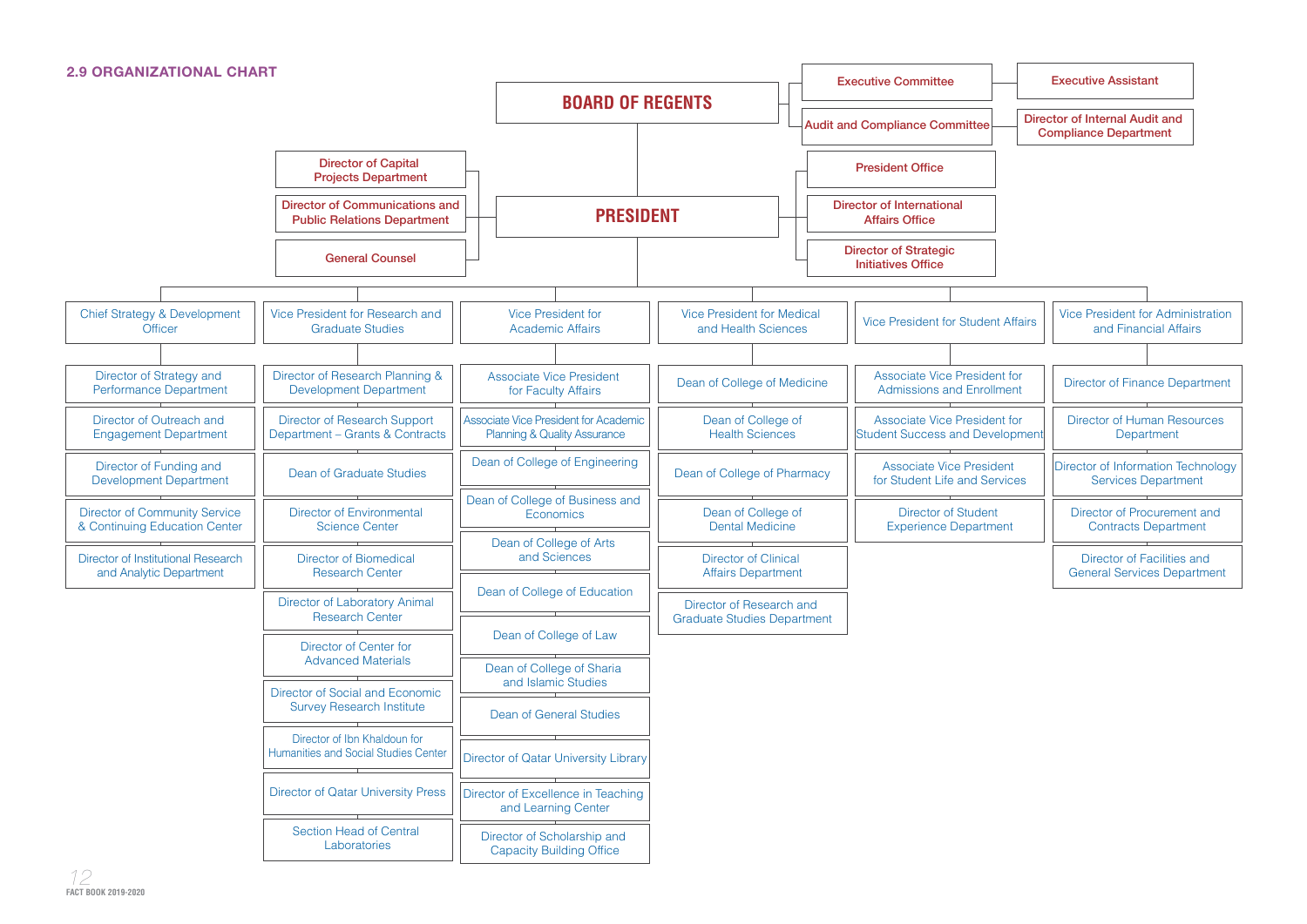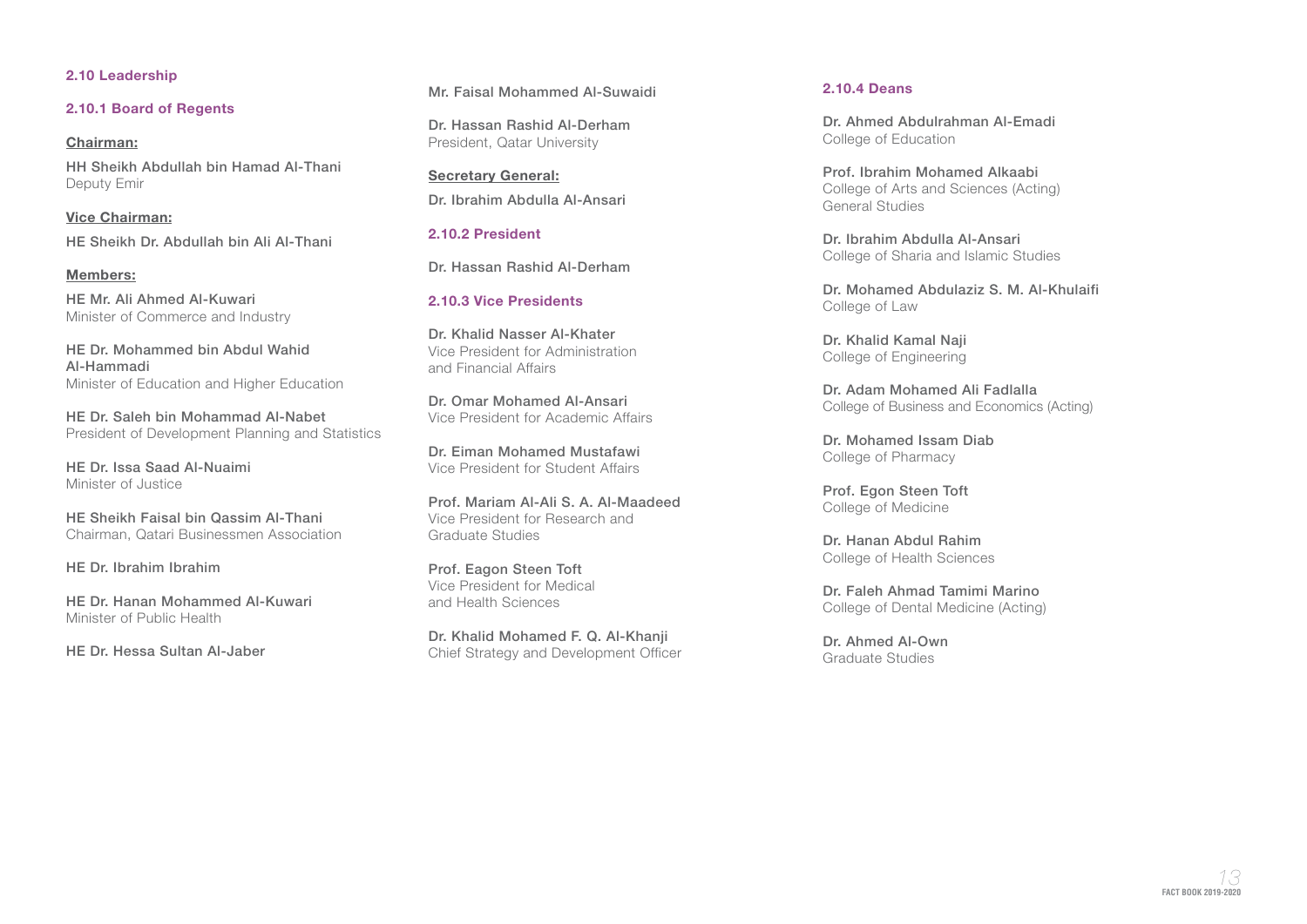#### **2.10 Leadership**

#### **2.10.1 Board of Regents**

#### **Chairman:**

HH Sheikh Abdullah bin Hamad Al-Thani Deputy Emir

**Vice Chairman:** HE Sheikh Dr. Abdullah bin Ali Al-Thani

#### **Members:**

HE Mr. Ali Ahmed Al-Kuwari Minister of Commerce and Industry

HE Dr. Mohammed bin Abdul Wahid Al-Hammadi Minister of Education and Higher Education

HE Dr. Saleh bin Mohammad Al-Nabet President of Development Planning and Statistics

HE Dr. Issa Saad Al-Nuaimi Minister of Justice

HE Sheikh Faisal bin Qassim Al-Thani Chairman, Qatari Businessmen Association

HE Dr. Ibrahim Ibrahim

HE Dr. Hanan Mohammed Al-Kuwari Minister of Public Health

HE Dr. Hessa Sultan Al-Jaber

Mr. Faisal Mohammed Al-Suwaidi

Dr. Hassan Rashid Al-Derham President, Qatar University

**Secretary General:** Dr. Ibrahim Abdulla Al-Ansari

#### **2.10.2 President**

Dr. Hassan Rashid Al-Derham

#### **2.10.3 Vice Presidents**

Dr. Khalid Nasser Al-Khater Vice President for Administration and Financial Affairs

Dr. Omar Mohamed Al-Ansari Vice President for Academic Affairs

Dr. Eiman Mohamed Mustafawi Vice President for Student Affairs

Prof. Mariam Al-Ali S. A. Al-Maadeed Vice President for Research and Graduate Studies

Prof. Eagon Steen Toft Vice President for Medical and Health Sciences

Dr. Khalid Mohamed F. Q. Al-Khanji Chief Strategy and Development Officer

#### **2.10.4 Deans**

Dr. Ahmed Abdulrahman Al-Emadi College of Education

Prof. Ibrahim Mohamed Alkaabi College of Arts and Sciences (Acting) General Studies

Dr. Ibrahim Abdulla Al-Ansari College of Sharia and Islamic Studies

Dr. Mohamed Abdulaziz S. M. Al-Khulaifi College of Law

Dr. Khalid Kamal Naji College of Engineering

Dr. Adam Mohamed Ali Fadlalla College of Business and Economics (Acting)

Dr. Mohamed Issam Diab College of Pharmacy

Prof. Egon Steen Toft College of Medicine

Dr. Hanan Abdul Rahim College of Health Sciences

Dr. Faleh Ahmad Tamimi Marino College of Dental Medicine (Acting)

Dr. Ahmed Al-Own Graduate Studies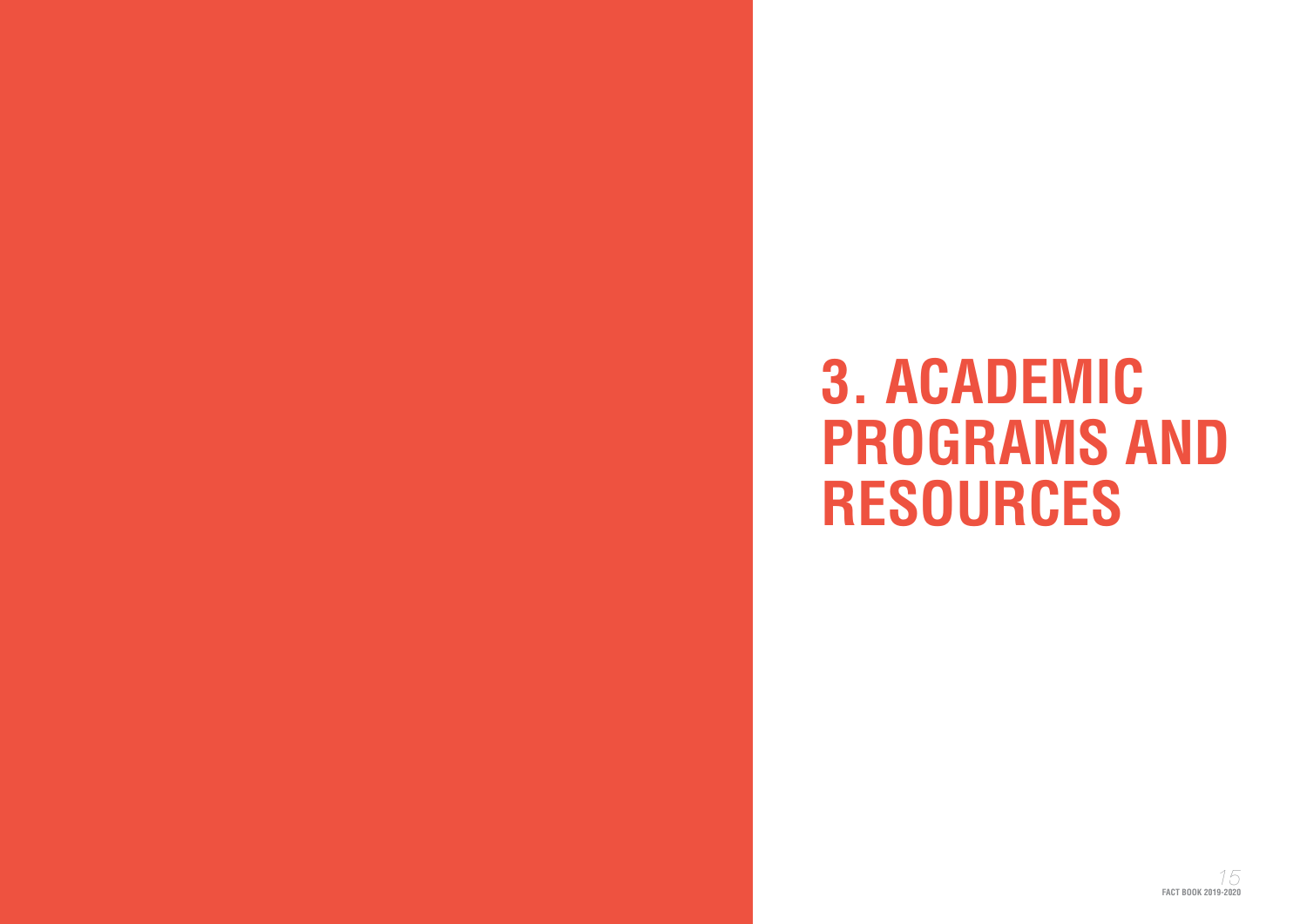# **3. ACADEMIC PROGRAMS AND RESOURCES**

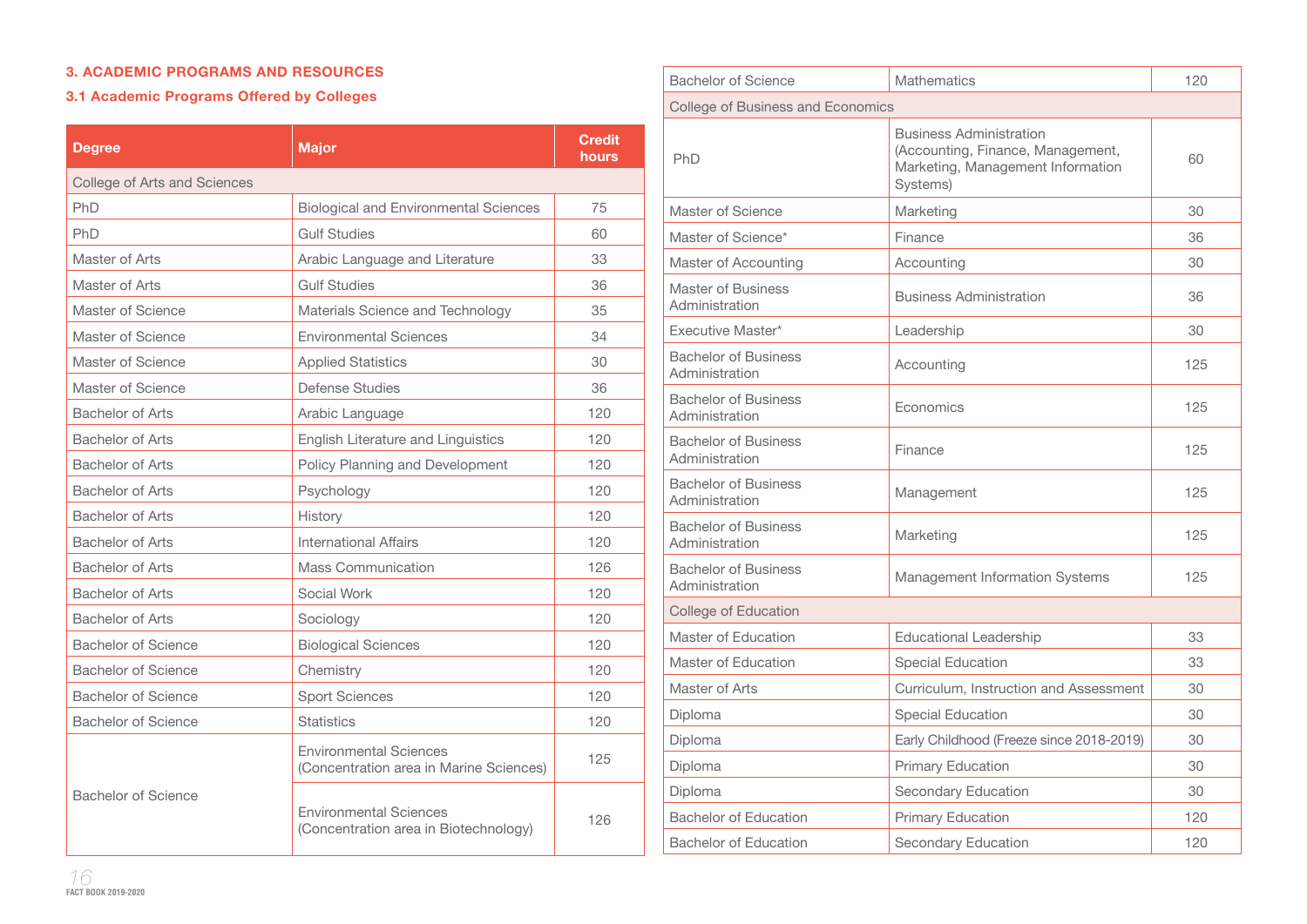# **3. ACADEMIC PROGRAMS AND RESOURCES**

# **3.1 Academic Programs Offered by Colleges**

| <b>Degree</b>                | <b>Major</b>                                                             | <b>Credit</b><br>hours |  |  |
|------------------------------|--------------------------------------------------------------------------|------------------------|--|--|
| College of Arts and Sciences |                                                                          |                        |  |  |
| PhD                          | <b>Biological and Environmental Sciences</b>                             | 75                     |  |  |
| PhD                          | <b>Gulf Studies</b>                                                      | 60                     |  |  |
| Master of Arts               | Arabic Language and Literature                                           | 33                     |  |  |
| Master of Arts               | <b>Gulf Studies</b>                                                      | 36                     |  |  |
| Master of Science            | Materials Science and Technology                                         | 35                     |  |  |
| Master of Science            | <b>Environmental Sciences</b>                                            | 34                     |  |  |
| Master of Science            | <b>Applied Statistics</b>                                                | 30                     |  |  |
| Master of Science            | Defense Studies                                                          | 36                     |  |  |
| <b>Bachelor of Arts</b>      | Arabic Language                                                          | 120                    |  |  |
| <b>Bachelor of Arts</b>      | English Literature and Linguistics                                       | 120                    |  |  |
| <b>Bachelor of Arts</b>      | Policy Planning and Development                                          | 120                    |  |  |
| <b>Bachelor of Arts</b>      | Psychology                                                               | 120                    |  |  |
| <b>Bachelor of Arts</b>      | History                                                                  | 120                    |  |  |
| <b>Bachelor of Arts</b>      | <b>International Affairs</b>                                             | 120                    |  |  |
| <b>Bachelor of Arts</b>      | <b>Mass Communication</b>                                                | 126                    |  |  |
| <b>Bachelor of Arts</b>      | Social Work                                                              | 120                    |  |  |
| <b>Bachelor of Arts</b>      | Sociology                                                                | 120                    |  |  |
| <b>Bachelor of Science</b>   | <b>Biological Sciences</b>                                               | 120                    |  |  |
| <b>Bachelor of Science</b>   | Chemistry                                                                | 120                    |  |  |
| <b>Bachelor of Science</b>   | <b>Sport Sciences</b>                                                    | 120                    |  |  |
| <b>Bachelor of Science</b>   | <b>Statistics</b>                                                        | 120                    |  |  |
|                              | <b>Environmental Sciences</b><br>(Concentration area in Marine Sciences) | 125                    |  |  |
| Bachelor of Science          | <b>Environmental Sciences</b><br>(Concentration area in Biotechnology)   | 126                    |  |  |

| <b>Bachelor of Science</b><br><b>Mathematics</b> |                                                                                                                      | 120 |
|--------------------------------------------------|----------------------------------------------------------------------------------------------------------------------|-----|
| College of Business and Economics                |                                                                                                                      |     |
| <b>PhD</b>                                       | <b>Business Administration</b><br>(Accounting, Finance, Management,<br>Marketing, Management Information<br>Systems) | 60  |
| <b>Master of Science</b>                         | Marketing                                                                                                            | 30  |
| Master of Science*                               | Finance                                                                                                              | 36  |
| Master of Accounting                             | Accounting                                                                                                           | 30  |
| <b>Master of Business</b><br>Administration      | <b>Business Administration</b>                                                                                       | 36  |
| Executive Master*                                | Leadership                                                                                                           | 30  |
| <b>Bachelor of Business</b><br>Administration    | Accounting                                                                                                           | 125 |
| <b>Bachelor of Business</b><br>Administration    | Economics                                                                                                            | 125 |
| <b>Bachelor of Business</b><br>Administration    | Finance                                                                                                              | 125 |
| <b>Bachelor of Business</b><br>Administration    | Management                                                                                                           | 125 |
| <b>Bachelor of Business</b><br>Administration    | Marketing                                                                                                            | 125 |
| <b>Bachelor of Business</b><br>Administration    | Management Information Systems                                                                                       | 125 |
| <b>College of Education</b>                      |                                                                                                                      |     |
| <b>Master of Education</b>                       | <b>Educational Leadership</b>                                                                                        | 33  |
| Master of Education                              | <b>Special Education</b>                                                                                             | 33  |
| Master of Arts                                   | Curriculum, Instruction and Assessment                                                                               | 30  |
| Diploma                                          | Special Education                                                                                                    | 30  |
| Diploma                                          | Early Childhood (Freeze since 2018-2019)                                                                             | 30  |
| Diploma                                          | <b>Primary Education</b>                                                                                             | 30  |
| Diploma                                          | Secondary Education                                                                                                  | 30  |
| <b>Bachelor of Education</b>                     | <b>Primary Education</b>                                                                                             | 120 |
| <b>Bachelor of Education</b>                     | Secondary Education                                                                                                  | 120 |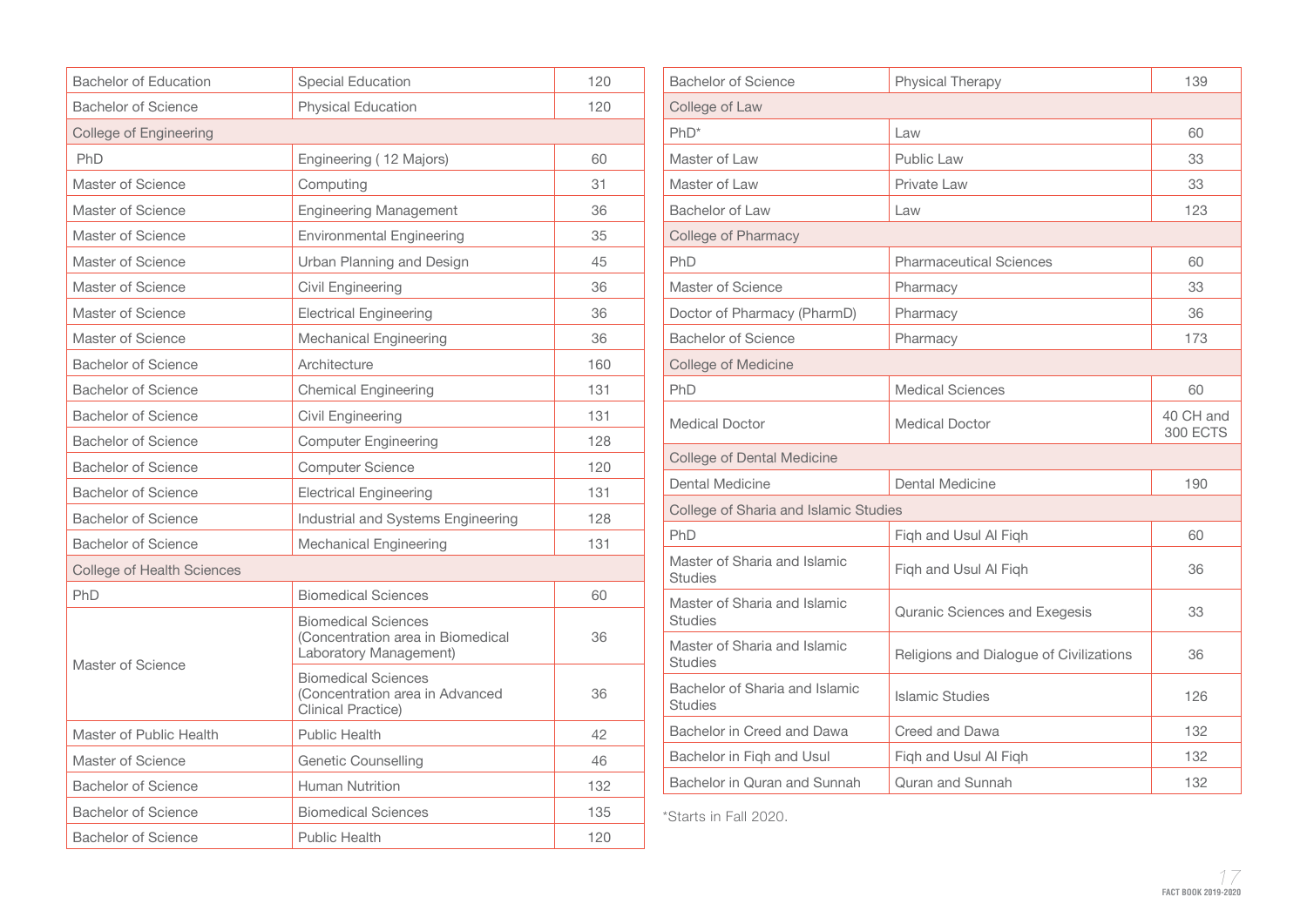| <b>Bachelor of Education</b>      | <b>Special Education</b>                                                                   | 120 |  |  |
|-----------------------------------|--------------------------------------------------------------------------------------------|-----|--|--|
| <b>Bachelor of Science</b>        | <b>Physical Education</b>                                                                  | 120 |  |  |
| College of Engineering            |                                                                                            |     |  |  |
| PhD                               | Engineering (12 Majors)                                                                    | 60  |  |  |
| Master of Science                 | Computing                                                                                  | 31  |  |  |
| Master of Science                 | <b>Engineering Management</b>                                                              | 36  |  |  |
| Master of Science                 | <b>Environmental Engineering</b>                                                           | 35  |  |  |
| Master of Science                 | Urban Planning and Design                                                                  | 45  |  |  |
| Master of Science                 | Civil Engineering                                                                          | 36  |  |  |
| Master of Science                 | <b>Electrical Engineering</b>                                                              | 36  |  |  |
| Master of Science                 | Mechanical Engineering                                                                     | 36  |  |  |
| <b>Bachelor of Science</b>        | Architecture                                                                               | 160 |  |  |
| <b>Bachelor of Science</b>        | <b>Chemical Engineering</b>                                                                | 131 |  |  |
| <b>Bachelor of Science</b>        | Civil Engineering                                                                          | 131 |  |  |
| <b>Bachelor of Science</b>        | <b>Computer Engineering</b>                                                                | 128 |  |  |
| <b>Bachelor of Science</b>        | <b>Computer Science</b>                                                                    | 120 |  |  |
| <b>Bachelor of Science</b>        | <b>Electrical Engineering</b>                                                              | 131 |  |  |
| <b>Bachelor of Science</b>        | Industrial and Systems Engineering                                                         | 128 |  |  |
| <b>Bachelor of Science</b>        | Mechanical Engineering                                                                     | 131 |  |  |
| <b>College of Health Sciences</b> |                                                                                            |     |  |  |
| PhD                               | <b>Biomedical Sciences</b>                                                                 | 60  |  |  |
|                                   | <b>Biomedical Sciences</b><br>(Concentration area in Biomedical<br>Laboratory Management)  | 36  |  |  |
| Master of Science                 | <b>Biomedical Sciences</b><br>(Concentration area in Advanced<br><b>Clinical Practice)</b> | 36  |  |  |
| Master of Public Health           | Public Health                                                                              | 42  |  |  |
| Master of Science                 | Genetic Counselling                                                                        | 46  |  |  |
| <b>Bachelor of Science</b>        | <b>Human Nutrition</b>                                                                     | 132 |  |  |
| <b>Bachelor of Science</b>        | <b>Biomedical Sciences</b>                                                                 | 135 |  |  |
| <b>Bachelor of Science</b>        | <b>Public Health</b>                                                                       | 120 |  |  |

| <b>Bachelor of Science</b>                       | Physical Therapy                        | 139                          |  |  |
|--------------------------------------------------|-----------------------------------------|------------------------------|--|--|
| College of Law                                   |                                         |                              |  |  |
| $PhD^*$                                          | Law                                     | 60                           |  |  |
| Master of Law                                    | Public Law                              | 33                           |  |  |
| Master of Law                                    | Private Law                             | 33                           |  |  |
| Bachelor of Law                                  | Law                                     | 123                          |  |  |
| <b>College of Pharmacy</b>                       |                                         |                              |  |  |
| PhD                                              | <b>Pharmaceutical Sciences</b>          | 60                           |  |  |
| Master of Science                                | Pharmacy                                | 33                           |  |  |
| Doctor of Pharmacy (PharmD)                      | Pharmacy                                | 36                           |  |  |
| <b>Bachelor of Science</b>                       | Pharmacy                                | 173                          |  |  |
| <b>College of Medicine</b>                       |                                         |                              |  |  |
| <b>PhD</b>                                       | <b>Medical Sciences</b>                 | 60                           |  |  |
| <b>Medical Doctor</b>                            | <b>Medical Doctor</b>                   | 40 CH and<br><b>300 ECTS</b> |  |  |
| <b>College of Dental Medicine</b>                |                                         |                              |  |  |
| Dental Medicine                                  | <b>Dental Medicine</b>                  | 190                          |  |  |
| College of Sharia and Islamic Studies            |                                         |                              |  |  |
| PhD                                              | Figh and Usul Al Figh                   | 60                           |  |  |
| Master of Sharia and Islamic<br><b>Studies</b>   | Fiqh and Usul Al Fiqh                   | 36                           |  |  |
| Master of Sharia and Islamic<br>Studies          | Quranic Sciences and Exegesis           | 33                           |  |  |
| Master of Sharia and Islamic<br><b>Studies</b>   | Religions and Dialogue of Civilizations | 36                           |  |  |
| Bachelor of Sharia and Islamic<br><b>Studies</b> | <b>Islamic Studies</b>                  | 126                          |  |  |
| Bachelor in Creed and Dawa                       | Creed and Dawa                          | 132                          |  |  |
| Bachelor in Figh and Usul                        | Figh and Usul Al Figh                   | 132                          |  |  |
| Bachelor in Quran and Sunnah                     | Quran and Sunnah                        | 132                          |  |  |

\*Starts in Fall 2020.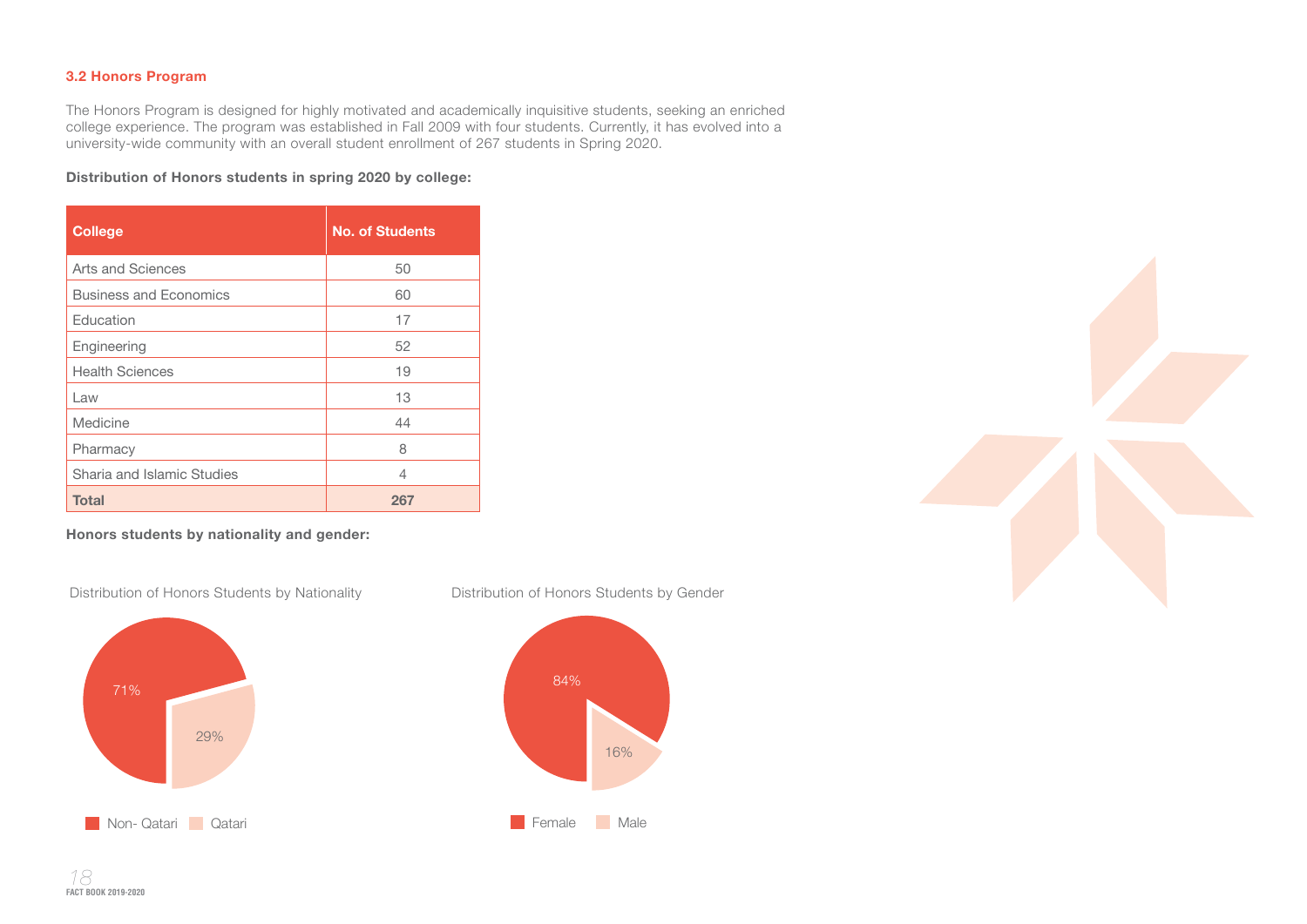### **3.2 Honors Program**

The Honors Program is designed for highly motivated and academically inquisitive students, seeking an enriched college experience. The program was established in Fall 2009 with four students. Currently, it has evolved into a university-wide community with an overall student enrollment of 267 students in Spring 2020.

#### **Distribution of Honors students in spring 2020 by college:**

| <b>College</b>                | <b>No. of Students</b> |
|-------------------------------|------------------------|
| Arts and Sciences             | 50                     |
| <b>Business and Economics</b> | 60                     |
| Education                     | 17                     |
| Engineering                   | 52                     |
| <b>Health Sciences</b>        | 19                     |
| Law                           | 13                     |
| Medicine                      | 44                     |
| Pharmacy                      | 8                      |
| Sharia and Islamic Studies    | 4                      |
| <b>Total</b>                  | 267                    |

**Honors students by nationality and gender:**



Distribution of Honors Students by Nationality Distribution of Honors Students by Gender



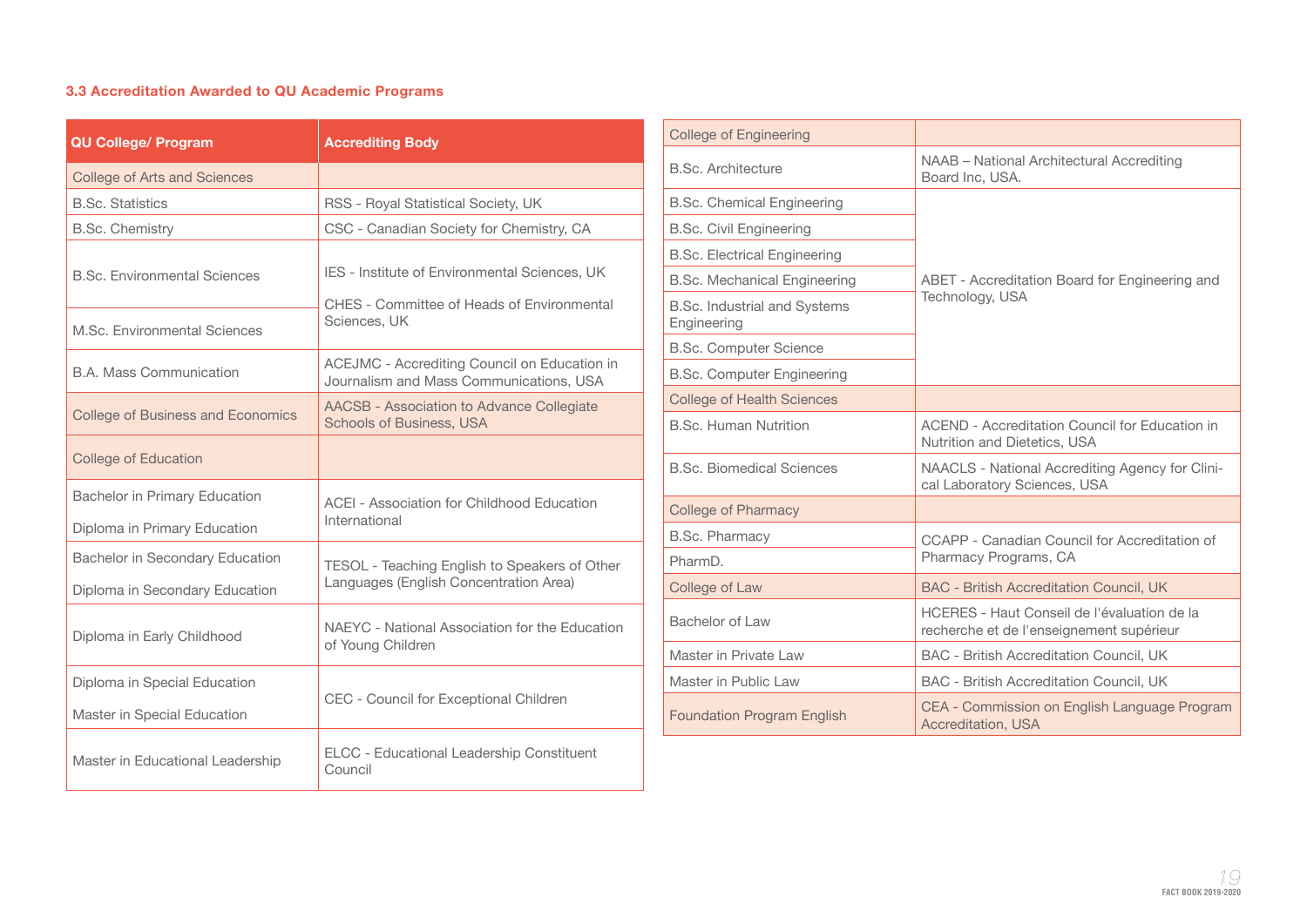# **3.3 Accreditation Awarded to QU Academic Programs**

| <b>QU College/ Program</b>               | <b>Accrediting Body</b>                                                                     |
|------------------------------------------|---------------------------------------------------------------------------------------------|
| <b>College of Arts and Sciences</b>      |                                                                                             |
| <b>B.Sc. Statistics</b>                  | RSS - Royal Statistical Society, UK                                                         |
| <b>B.Sc. Chemistry</b>                   | CSC - Canadian Society for Chemistry, CA                                                    |
| <b>B.Sc. Environmental Sciences</b>      | IES - Institute of Environmental Sciences, UK<br>CHES - Committee of Heads of Environmental |
| M.Sc. Environmental Sciences             | Sciences, UK                                                                                |
| <b>B.A. Mass Communication</b>           | ACEJMC - Accrediting Council on Education in<br>Journalism and Mass Communications, USA     |
| <b>College of Business and Economics</b> | AACSB - Association to Advance Collegiate<br><b>Schools of Business, USA</b>                |
| <b>College of Education</b>              |                                                                                             |
| <b>Bachelor in Primary Education</b>     | ACEI - Association for Childhood Education                                                  |
| Diploma in Primary Education             | International                                                                               |
| Bachelor in Secondary Education          | TESOL - Teaching English to Speakers of Other                                               |
| Diploma in Secondary Education           | Languages (English Concentration Area)                                                      |
| Diploma in Early Childhood               | NAEYC - National Association for the Education<br>of Young Children                         |
| Diploma in Special Education             |                                                                                             |
| Master in Special Education              | CEC - Council for Exceptional Children                                                      |
| Master in Educational Leadership         | ELCC - Educational Leadership Constituent<br>Council                                        |

| <b>College of Engineering</b>                      |                                                                                         |
|----------------------------------------------------|-----------------------------------------------------------------------------------------|
| <b>B.Sc. Architecture</b>                          | NAAB - National Architectural Accrediting<br>Board Inc, USA.                            |
| <b>B.Sc. Chemical Engineering</b>                  |                                                                                         |
| <b>B.Sc. Civil Engineering</b>                     |                                                                                         |
| <b>B.Sc. Electrical Engineering</b>                |                                                                                         |
| <b>B.Sc. Mechanical Engineering</b>                | ABET - Accreditation Board for Engineering and                                          |
| <b>B.Sc. Industrial and Systems</b><br>Engineering | Technology, USA                                                                         |
| <b>B.Sc. Computer Science</b>                      |                                                                                         |
| <b>B.Sc. Computer Engineering</b>                  |                                                                                         |
| <b>College of Health Sciences</b>                  |                                                                                         |
| <b>B.Sc. Human Nutrition</b>                       | ACEND - Accreditation Council for Education in<br>Nutrition and Dietetics, USA          |
| <b>B.Sc. Biomedical Sciences</b>                   | NAACLS - National Accrediting Agency for Clini-<br>cal Laboratory Sciences, USA         |
| <b>College of Pharmacy</b>                         |                                                                                         |
| <b>B.Sc. Pharmacy</b>                              | CCAPP - Canadian Council for Accreditation of                                           |
| PharmD.                                            | Pharmacy Programs, CA                                                                   |
| College of Law                                     | <b>BAC - British Accreditation Council, UK</b>                                          |
| Bachelor of Law                                    | HCERES - Haut Conseil de l'évaluation de la<br>recherche et de l'enseignement supérieur |
| Master in Private Law                              | <b>BAC - British Accreditation Council, UK</b>                                          |
| Master in Public Law                               | BAC - British Accreditation Council, UK                                                 |
| <b>Foundation Program English</b>                  | CEA - Commission on English Language Program<br>Accreditation, USA                      |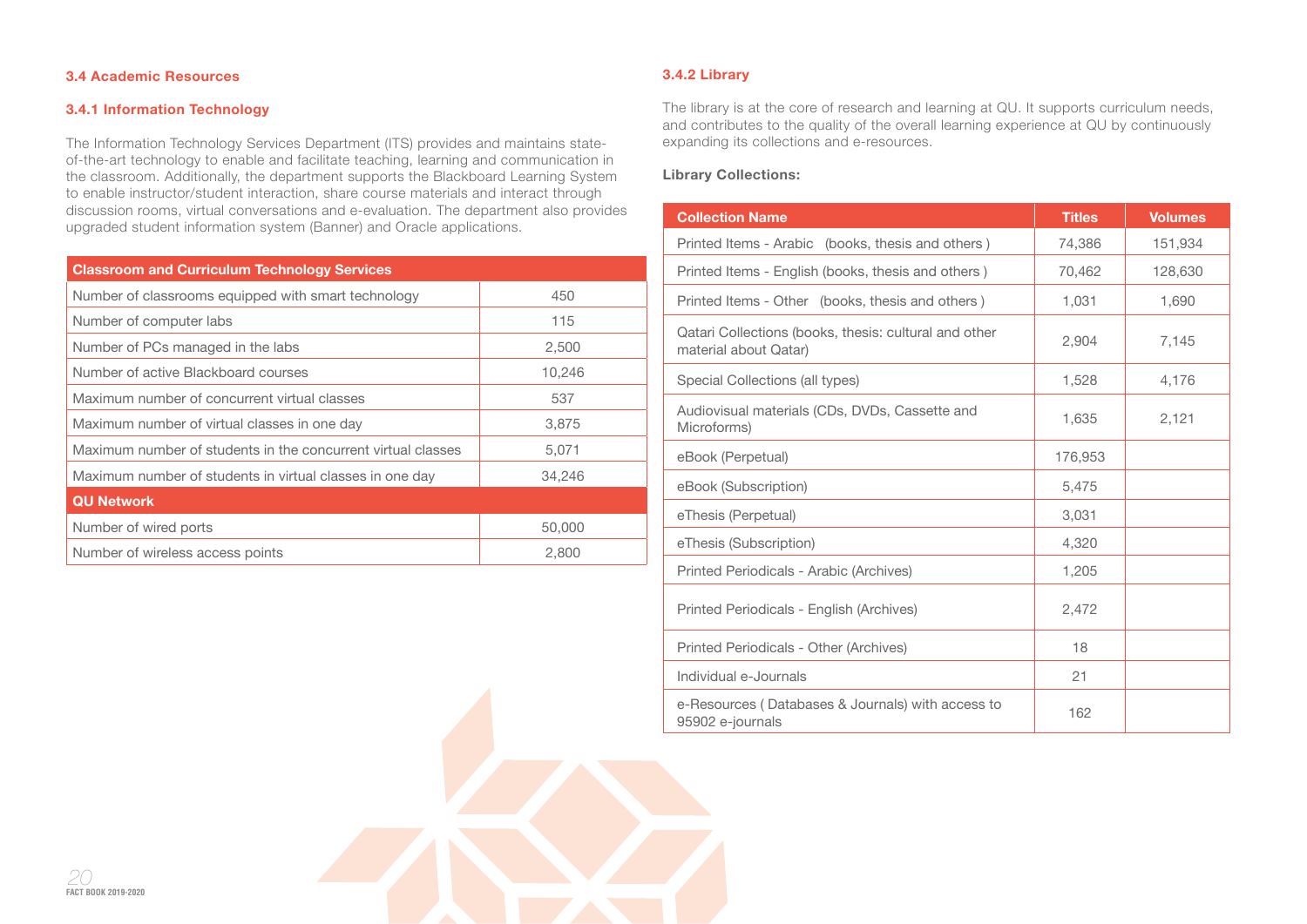#### **3.4 Academic Resources**

#### **3.4.1 Information Technology**

The Information Technology Services Department (ITS) provides and maintains stateof-the-art technology to enable and facilitate teaching, learning and communication in the classroom. Additionally, the department supports the Blackboard Learning System to enable instructor/student interaction, share course materials and interact through discussion rooms, virtual conversations and e-evaluation. The department also provides upgraded student information system (Banner) and Oracle applications.

| <b>Classroom and Curriculum Technology Services</b>          |        |  |  |
|--------------------------------------------------------------|--------|--|--|
| Number of classrooms equipped with smart technology          | 450    |  |  |
| Number of computer labs                                      | 115    |  |  |
| Number of PCs managed in the labs                            | 2,500  |  |  |
| Number of active Blackboard courses                          | 10,246 |  |  |
| Maximum number of concurrent virtual classes                 | 537    |  |  |
| Maximum number of virtual classes in one day                 | 3,875  |  |  |
| Maximum number of students in the concurrent virtual classes | 5,071  |  |  |
| Maximum number of students in virtual classes in one day     | 34,246 |  |  |
| <b>QU Network</b>                                            |        |  |  |
| Number of wired ports                                        | 50,000 |  |  |
| Number of wireless access points                             | 2,800  |  |  |

# **3.4.2 Library**

The library is at the core of research and learning at QU. It supports curriculum needs, and contributes to the quality of the overall learning experience at QU by continuously expanding its collections and e-resources.

#### **Library Collections:**

| <b>Collection Name</b>                                                         | <b>Titles</b> | <b>Volumes</b> |
|--------------------------------------------------------------------------------|---------------|----------------|
| Printed Items - Arabic (books, thesis and others)                              | 74,386        | 151,934        |
| Printed Items - English (books, thesis and others)                             | 70,462        | 128,630        |
| Printed Items - Other (books, thesis and others)                               | 1,031         | 1,690          |
| Qatari Collections (books, thesis: cultural and other<br>material about Qatar) | 2,904         | 7,145          |
| Special Collections (all types)                                                | 1,528         | 4,176          |
| Audiovisual materials (CDs, DVDs, Cassette and<br>Microforms)                  | 1,635         | 2,121          |
| eBook (Perpetual)                                                              | 176,953       |                |
| eBook (Subscription)                                                           | 5,475         |                |
| eThesis (Perpetual)                                                            | 3,031         |                |
| eThesis (Subscription)                                                         | 4,320         |                |
| Printed Periodicals - Arabic (Archives)                                        | 1,205         |                |
| Printed Periodicals - English (Archives)                                       | 2,472         |                |
| Printed Periodicals - Other (Archives)                                         | 18            |                |
| Individual e-Journals                                                          | 21            |                |
| e-Resources (Databases & Journals) with access to<br>95902 e-journals          | 162           |                |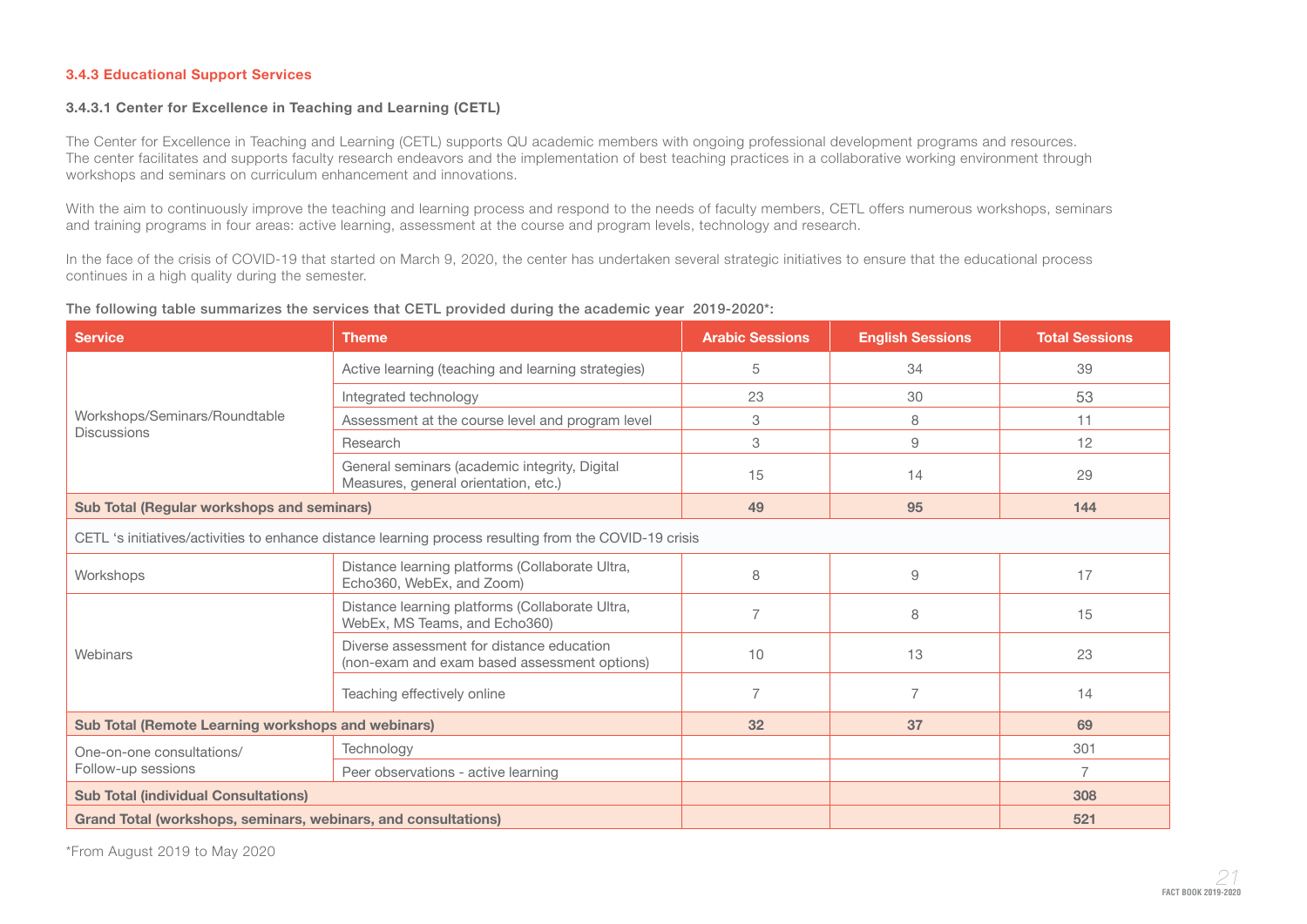#### **3.4.3 Educational Support Services**

#### **3.4.3.1 Center for Excellence in Teaching and Learning (CETL)**

The Center for Excellence in Teaching and Learning (CETL) supports QU academic members with ongoing professional development programs and resources. The center facilitates and supports faculty research endeavors and the implementation of best teaching practices in a collaborative working environment through workshops and seminars on curriculum enhancement and innovations.

With the aim to continuously improve the teaching and learning process and respond to the needs of faculty members, CETL offers numerous workshops, seminars and training programs in four areas: active learning, assessment at the course and program levels, technology and research.

In the face of the crisis of COVID-19 that started on March 9, 2020, the center has undertaken several strategic initiatives to ensure that the educational process continues in a high quality during the semester.

#### The following table summarizes the services that CETL provided during the academic year 2019-2020\*:

| <b>Service</b>                                                                                        | Theme,                                                                                                 | <b>Arabic Sessions</b> | <b>English Sessions</b> | <b>Total Sessions</b> |
|-------------------------------------------------------------------------------------------------------|--------------------------------------------------------------------------------------------------------|------------------------|-------------------------|-----------------------|
|                                                                                                       | Active learning (teaching and learning strategies)                                                     | 5                      | 34                      | 39                    |
|                                                                                                       | Integrated technology                                                                                  | 23                     | 30                      | 53                    |
| Workshops/Seminars/Roundtable                                                                         | Assessment at the course level and program level                                                       | 3                      | 8                       | 11                    |
| <b>Discussions</b>                                                                                    | Research                                                                                               | 3                      | 9                       | 12                    |
|                                                                                                       | General seminars (academic integrity, Digital<br>Measures, general orientation, etc.)                  | 15                     | 14                      | 29                    |
| <b>Sub Total (Regular workshops and seminars)</b>                                                     |                                                                                                        | 49                     | 95                      | 144                   |
|                                                                                                       | CETL 's initiatives/activities to enhance distance learning process resulting from the COVID-19 crisis |                        |                         |                       |
| Workshops                                                                                             | Distance learning platforms (Collaborate Ultra,<br>Echo360, WebEx, and Zoom)                           | 8                      | 9                       | 17                    |
|                                                                                                       | Distance learning platforms (Collaborate Ultra,<br>WebEx, MS Teams, and Echo360)                       | 7                      | 8                       | 15                    |
| Diverse assessment for distance education<br>Webinars<br>(non-exam and exam based assessment options) |                                                                                                        | 10                     | 13                      | 23                    |
| Teaching effectively online                                                                           |                                                                                                        | $\overline{7}$         | $\overline{7}$          | 14                    |
| Sub Total (Remote Learning workshops and webinars)                                                    |                                                                                                        | 32                     | 37                      | 69                    |
| One-on-one consultations/                                                                             | Technology                                                                                             |                        |                         | 301                   |
| Follow-up sessions                                                                                    | Peer observations - active learning                                                                    |                        |                         | $\overline{7}$        |
| <b>Sub Total (individual Consultations)</b>                                                           |                                                                                                        |                        |                         | 308                   |
| Grand Total (workshops, seminars, webinars, and consultations)                                        |                                                                                                        |                        |                         | 521                   |

\*From August 2019 to May 2020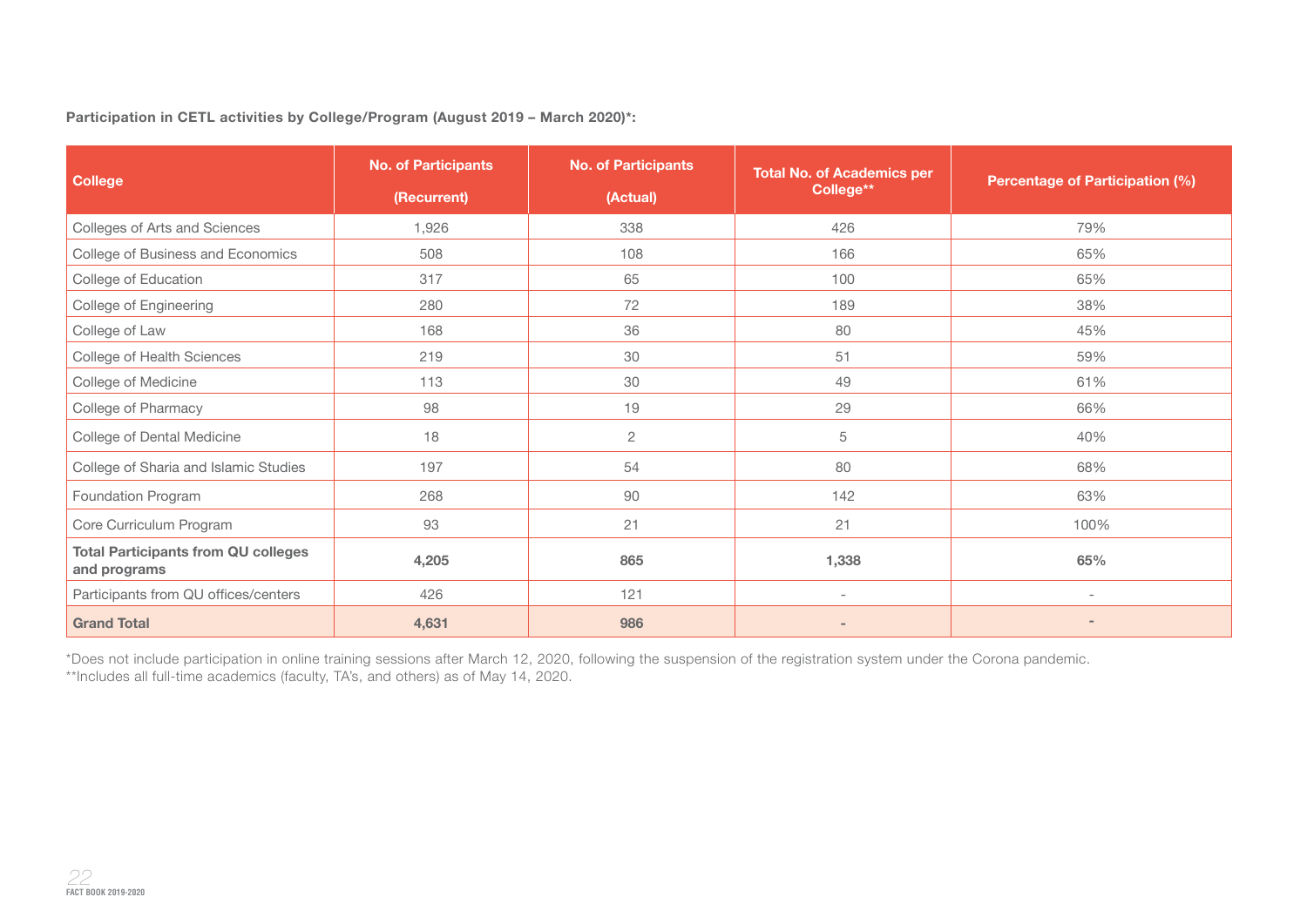**Participation in CETL activities by College/Program (August 2019 – March 2020)\*:**

| <b>College</b>                                             | <b>No. of Participants</b><br>(Recurrent) | <b>No. of Participants</b><br>(Actual) | <b>Total No. of Academics per</b><br>College** | <b>Percentage of Participation (%)</b> |
|------------------------------------------------------------|-------------------------------------------|----------------------------------------|------------------------------------------------|----------------------------------------|
| Colleges of Arts and Sciences                              | 1,926                                     | 338                                    | 426                                            | 79%                                    |
| College of Business and Economics                          | 508                                       | 108                                    | 166                                            | 65%                                    |
| College of Education                                       | 317                                       | 65                                     | 100                                            | 65%                                    |
| College of Engineering                                     | 280                                       | 72                                     | 189                                            | 38%                                    |
| College of Law                                             | 168                                       | 36                                     | 80                                             | 45%                                    |
| College of Health Sciences                                 | 219                                       | 30                                     | 51                                             | 59%                                    |
| College of Medicine                                        | 113                                       | 30                                     | 49                                             | 61%                                    |
| College of Pharmacy                                        | 98                                        | 19                                     | 29                                             | 66%                                    |
| College of Dental Medicine                                 | 18                                        | $\overline{2}$                         | 5                                              | 40%                                    |
| College of Sharia and Islamic Studies                      | 197                                       | 54                                     | 80                                             | 68%                                    |
| Foundation Program                                         | 268                                       | 90                                     | 142                                            | 63%                                    |
| Core Curriculum Program                                    | 93                                        | 21                                     | 21                                             | 100%                                   |
| <b>Total Participants from QU colleges</b><br>and programs | 4,205                                     | 865                                    | 1,338                                          | 65%                                    |
| Participants from QU offices/centers                       | 426                                       | 121                                    | $\overline{\phantom{a}}$                       | $\overline{\phantom{a}}$               |
| <b>Grand Total</b>                                         | 4,631                                     | 986                                    | ٠.                                             | $\overline{\phantom{a}}$               |

\*Does not include participation in online training sessions after March 12, 2020, following the suspension of the registration system under the Corona pandemic.

\*\*Includes all full-time academics (faculty, TA's, and others) as of May 14, 2020.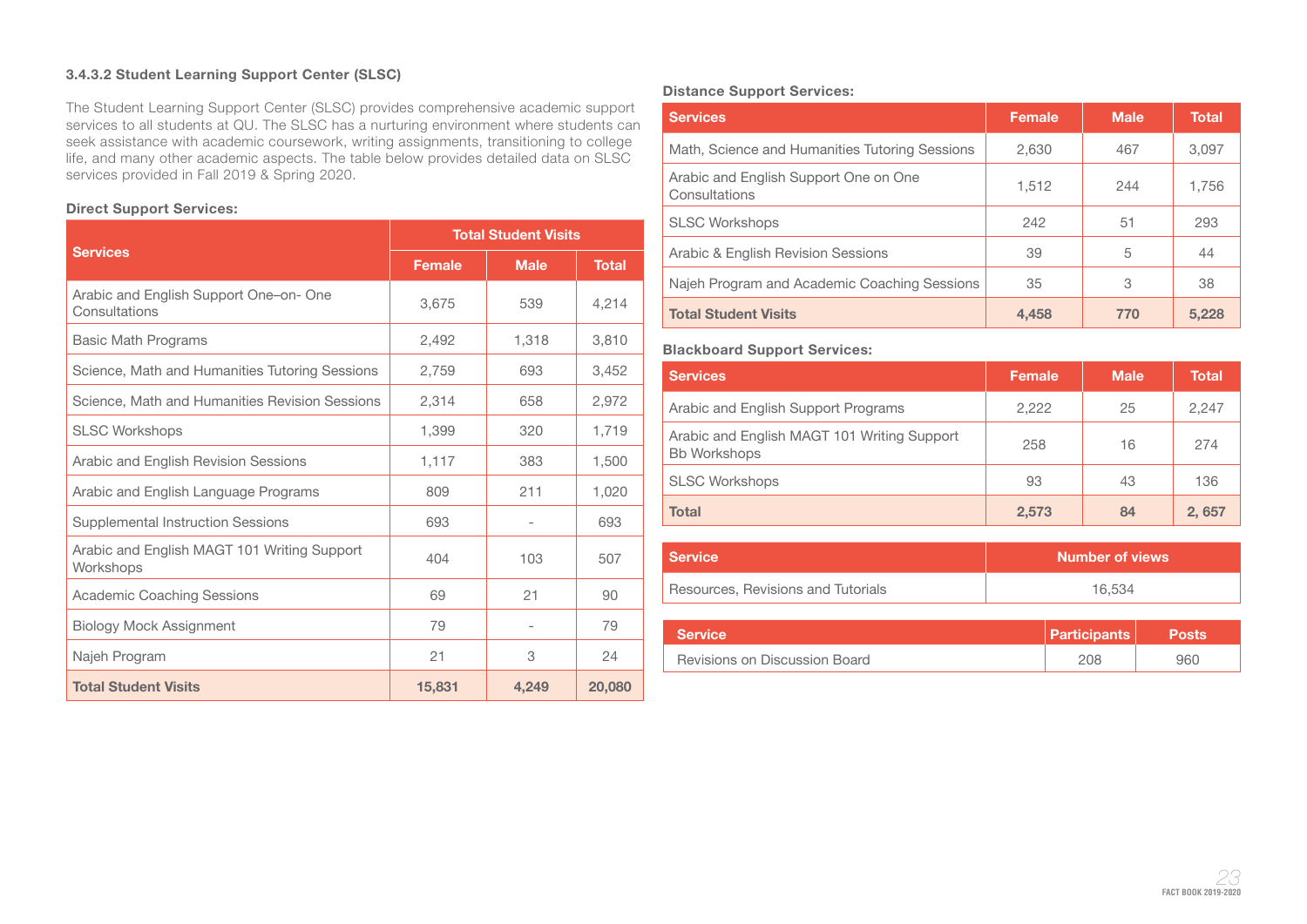# **3.4.3.2 Student Learning Support Center (SLSC)**

The Student Learning Support Center (SLSC) provides comprehensive academic support services to all students at QU. The SLSC has a nurturing environment where students can seek assistance with academic coursework, writing assignments, transitioning to college life, and many other academic aspects. The table below provides detailed data on SLSC services provided in Fall 2019 & Spring 2020.

### **Direct Support Services:**

|                                                          | <b>Total Student Visits</b> |             |              |
|----------------------------------------------------------|-----------------------------|-------------|--------------|
| <b>Services</b>                                          | <b>Female</b>               | <b>Male</b> | <b>Total</b> |
| Arabic and English Support One-on- One<br>Consultations  | 3.675                       | 539         | 4,214        |
| <b>Basic Math Programs</b>                               | 2,492                       | 1,318       | 3,810        |
| Science, Math and Humanities Tutoring Sessions           | 2,759                       | 693         | 3,452        |
| Science, Math and Humanities Revision Sessions           | 2,314                       | 658         | 2,972        |
| <b>SLSC Workshops</b>                                    | 1,399                       | 320         | 1,719        |
| Arabic and English Revision Sessions                     | 1,117                       | 383         | 1,500        |
| Arabic and English Language Programs                     | 809                         | 211         | 1,020        |
| <b>Supplemental Instruction Sessions</b>                 | 693                         |             | 693          |
| Arabic and English MAGT 101 Writing Support<br>Workshops | 404                         | 103         | 507          |
| <b>Academic Coaching Sessions</b>                        | 69                          | 21          | 90           |
| <b>Biology Mock Assignment</b>                           | 79                          |             | 79           |
| Najeh Program                                            | 21                          | 3           | 24           |
| <b>Total Student Visits</b>                              | 15,831                      | 4,249       | 20,080       |

### **Distance Support Services:**

| <b>Services</b>                                        | <b>Female</b> | <b>Male</b> | <b>Total</b> |
|--------------------------------------------------------|---------------|-------------|--------------|
| Math, Science and Humanities Tutoring Sessions         | 2,630         | 467         | 3,097        |
| Arabic and English Support One on One<br>Consultations | 1,512         | 244         | 1,756        |
| <b>SLSC Workshops</b>                                  | 242           | 51          | 293          |
| Arabic & English Revision Sessions                     | 39            | 5           | 44           |
| Najeh Program and Academic Coaching Sessions           | 35            | 3           | 38           |
| <b>Total Student Visits</b>                            | 4.458         | 770         | 5.228        |

#### **Blackboard Support Services:**

| <b>Services</b>                                                    | <b>Female</b> | <b>Male</b> | <b>Total</b> |
|--------------------------------------------------------------------|---------------|-------------|--------------|
| Arabic and English Support Programs                                | 2,222         | 25          | 2,247        |
| Arabic and English MAGT 101 Writing Support<br><b>Bb Workshops</b> | 258           | 16          | 274          |
| <b>SLSC Workshops</b>                                              | 93            | 43          | 136          |
| <b>Total</b>                                                       | 2,573         | 84          | 2,657        |

| <b>Service</b>                     | <b>Number of views</b> |
|------------------------------------|------------------------|
| Resources, Revisions and Tutorials | 16.534                 |

| <b>Service</b>                | <b>Participants</b> | Posts |
|-------------------------------|---------------------|-------|
| Revisions on Discussion Board |                     | 960   |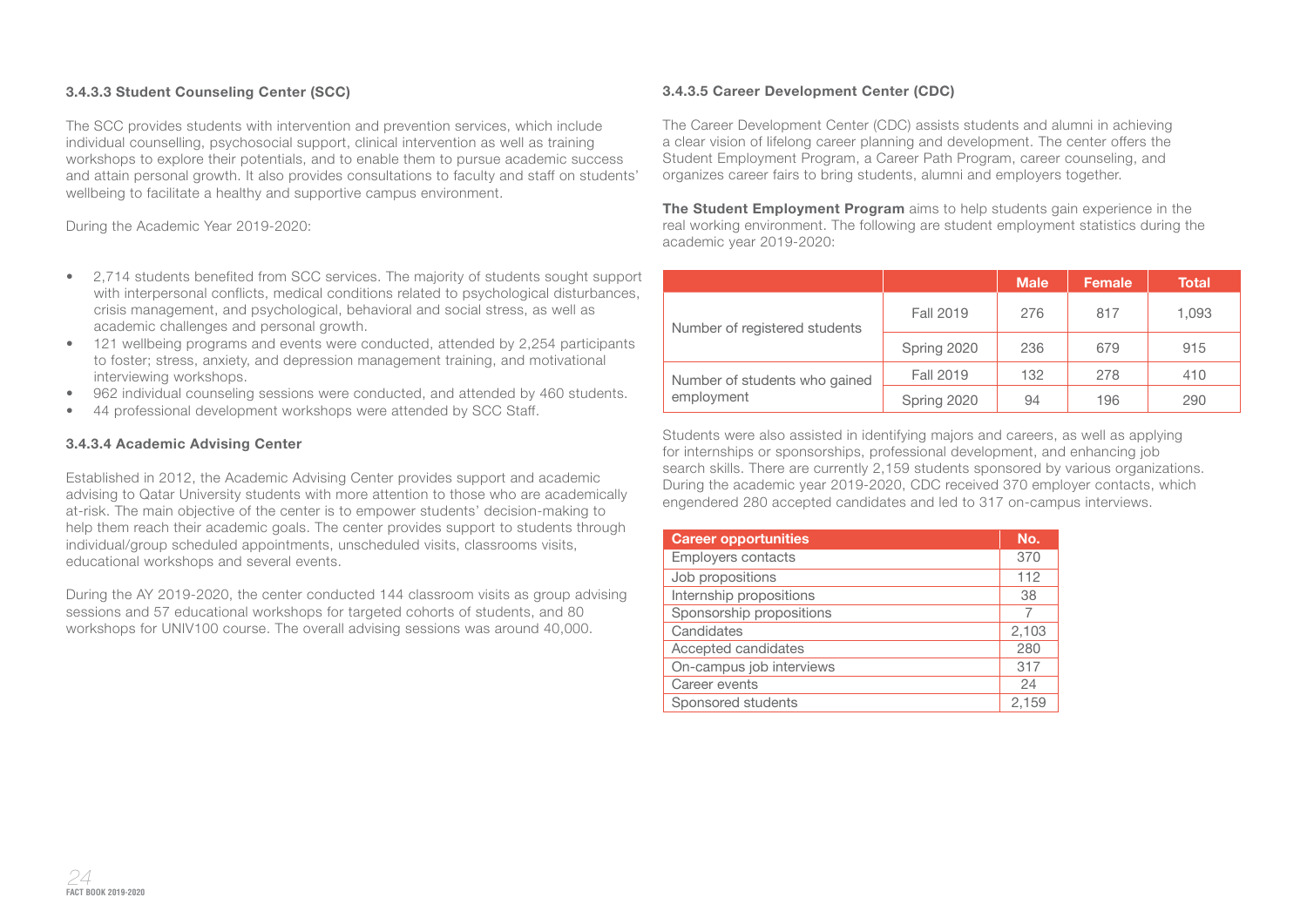#### **3.4.3.3 Student Counseling Center (SCC)**

The SCC provides students with intervention and prevention services, which include individual counselling, psychosocial support, clinical intervention as well as training workshops to explore their potentials, and to enable them to pursue academic success and attain personal growth. It also provides consultations to faculty and staff on students' wellbeing to facilitate a healthy and supportive campus environment.

During the Academic Year 2019-2020:

- 2,714 students benefited from SCC services. The majority of students sought support with interpersonal conflicts, medical conditions related to psychological disturbances, crisis management, and psychological, behavioral and social stress, as well as academic challenges and personal growth.
- 121 wellbeing programs and events were conducted, attended by 2,254 participants to foster; stress, anxiety, and depression management training, and motivational interviewing workshops.
- 962 individual counseling sessions were conducted, and attended by 460 students.
- 44 professional development workshops were attended by SCC Staff.

#### **3.4.3.4 Academic Advising Center**

Established in 2012, the Academic Advising Center provides support and academic advising to Qatar University students with more attention to those who are academically at-risk. The main objective of the center is to empower students' decision-making to help them reach their academic goals. The center provides support to students through individual/group scheduled appointments, unscheduled visits, classrooms visits, educational workshops and several events.

During the AY 2019-2020, the center conducted 144 classroom visits as group advising sessions and 57 educational workshops for targeted cohorts of students, and 80 workshops for UNIV100 course. The overall advising sessions was around 40,000.

#### **3.4.3.5 Career Development Center (CDC)**

The Career Development Center (CDC) assists students and alumni in achieving a clear vision of lifelong career planning and development. The center offers the Student Employment Program, a Career Path Program, career counseling, and organizes career fairs to bring students, alumni and employers together.

**The Student Employment Program** aims to help students gain experience in the real working environment. The following are student employment statistics during the academic year 2019-2020:

|                               |             | <b>Male</b> | Female | <b>Total</b> |
|-------------------------------|-------------|-------------|--------|--------------|
| Number of registered students | Fall 2019   | 276         | 817    | 1,093        |
|                               | Spring 2020 | 236         | 679    | 915          |
| Number of students who gained | Fall 2019   | 132         | 278    | 410          |
| employment                    | Spring 2020 | 94          | 196    | 290          |

Students were also assisted in identifying majors and careers, as well as applying for internships or sponsorships, professional development, and enhancing job search skills. There are currently 2,159 students sponsored by various organizations. During the academic year 2019-2020, CDC received 370 employer contacts, which engendered 280 accepted candidates and led to 317 on-campus interviews.

| <b>Career opportunities</b> | No.   |
|-----------------------------|-------|
| <b>Employers contacts</b>   | 370   |
| Job propositions            | 112   |
| Internship propositions     | 38    |
| Sponsorship propositions    |       |
| Candidates                  | 2,103 |
| Accepted candidates         | 280   |
| On-campus job interviews    | 317   |
| Career events               | 24    |
| Sponsored students          | 2.159 |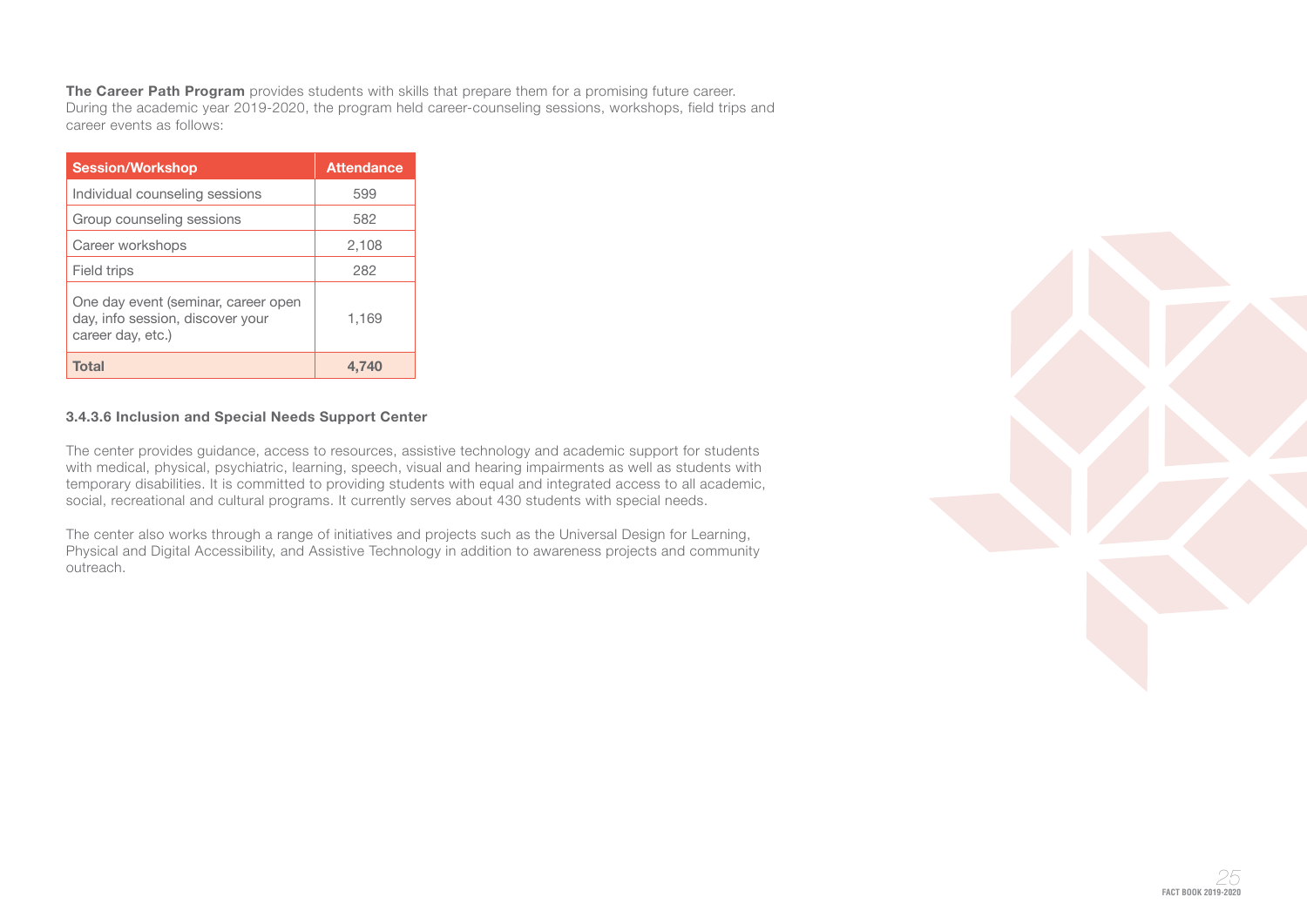**The Career Path Program** provides students with skills that prepare them for a promising future career. During the academic year 2019-2020, the program held career-counseling sessions, workshops, field trips and career events as follows:

| <b>Session/Workshop</b>                                                                      | <b>Attendance</b> |
|----------------------------------------------------------------------------------------------|-------------------|
| Individual counseling sessions                                                               | 599               |
| Group counseling sessions                                                                    | 582               |
| Career workshops                                                                             | 2,108             |
| Field trips                                                                                  | 282               |
| One day event (seminar, career open<br>day, info session, discover your<br>career day, etc.) | 1,169             |
| <b>Total</b>                                                                                 |                   |

#### **3.4.3.6 Inclusion and Special Needs Support Center**

The center provides guidance, access to resources, assistive technology and academic support for students with medical, physical, psychiatric, learning, speech, visual and hearing impairments as well as students with temporary disabilities. It is committed to providing students with equal and integrated access to all academic, social, recreational and cultural programs. It currently serves about 430 students with special needs.

The center also works through a range of initiatives and projects such as the Universal Design for Learning, Physical and Digital Accessibility, and Assistive Technology in addition to awareness projects and community outreach.

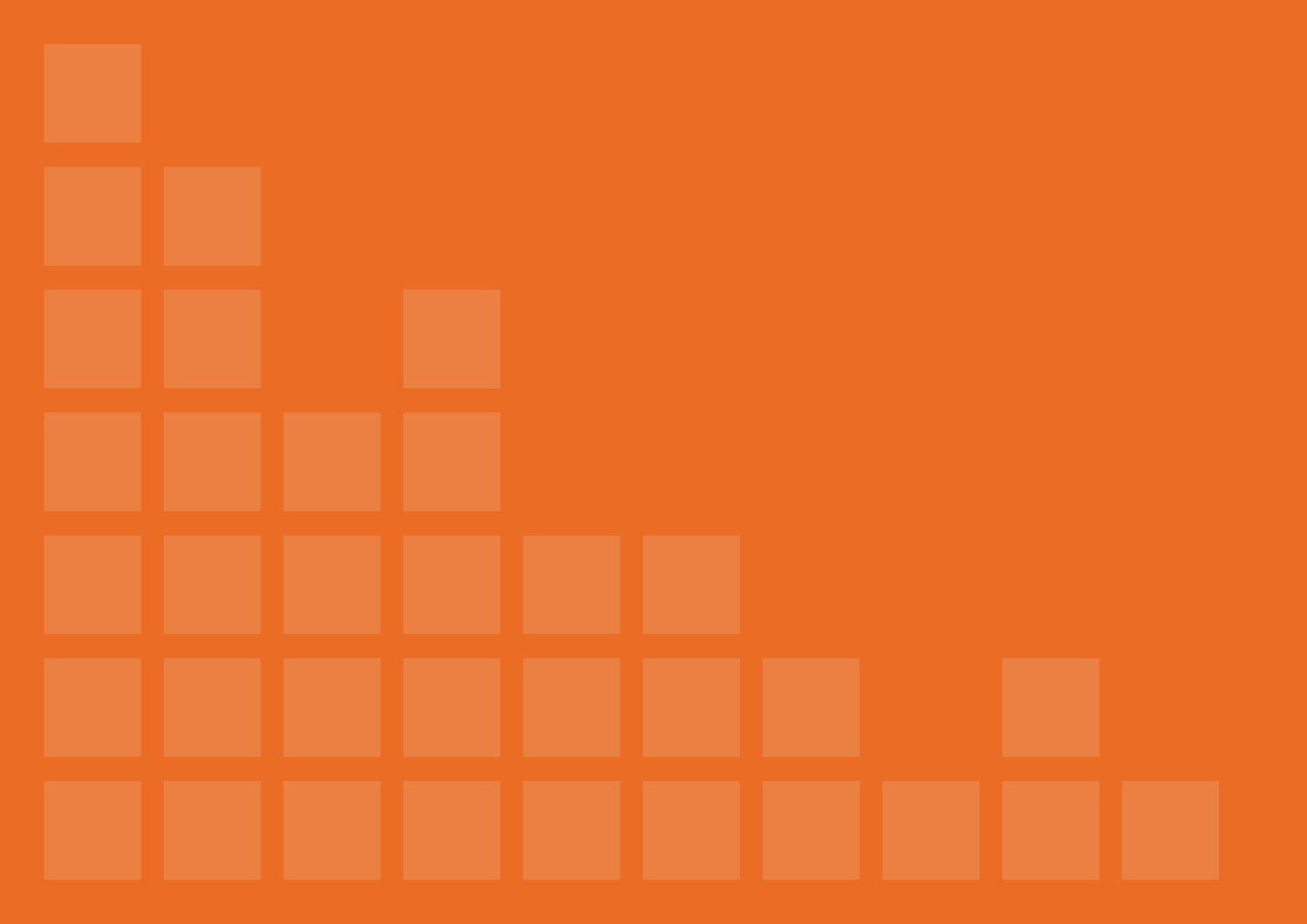| <u> 1999 - John Barnett, f</u> |  |  |  |  |  |
|--------------------------------|--|--|--|--|--|
|                                |  |  |  |  |  |
|                                |  |  |  |  |  |
|                                |  |  |  |  |  |
|                                |  |  |  |  |  |
|                                |  |  |  |  |  |
|                                |  |  |  |  |  |
|                                |  |  |  |  |  |
|                                |  |  |  |  |  |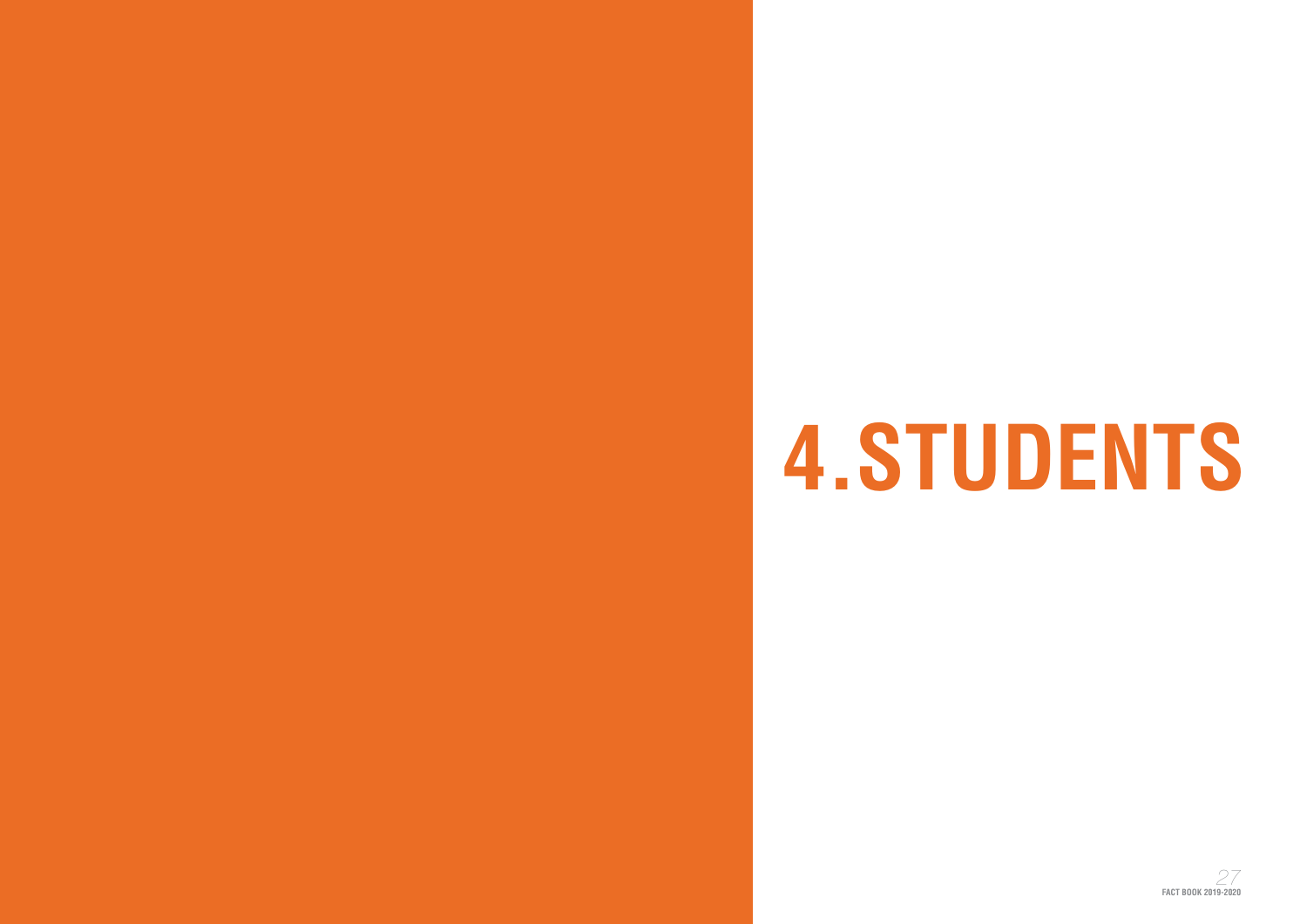# **4.STUDENTS**

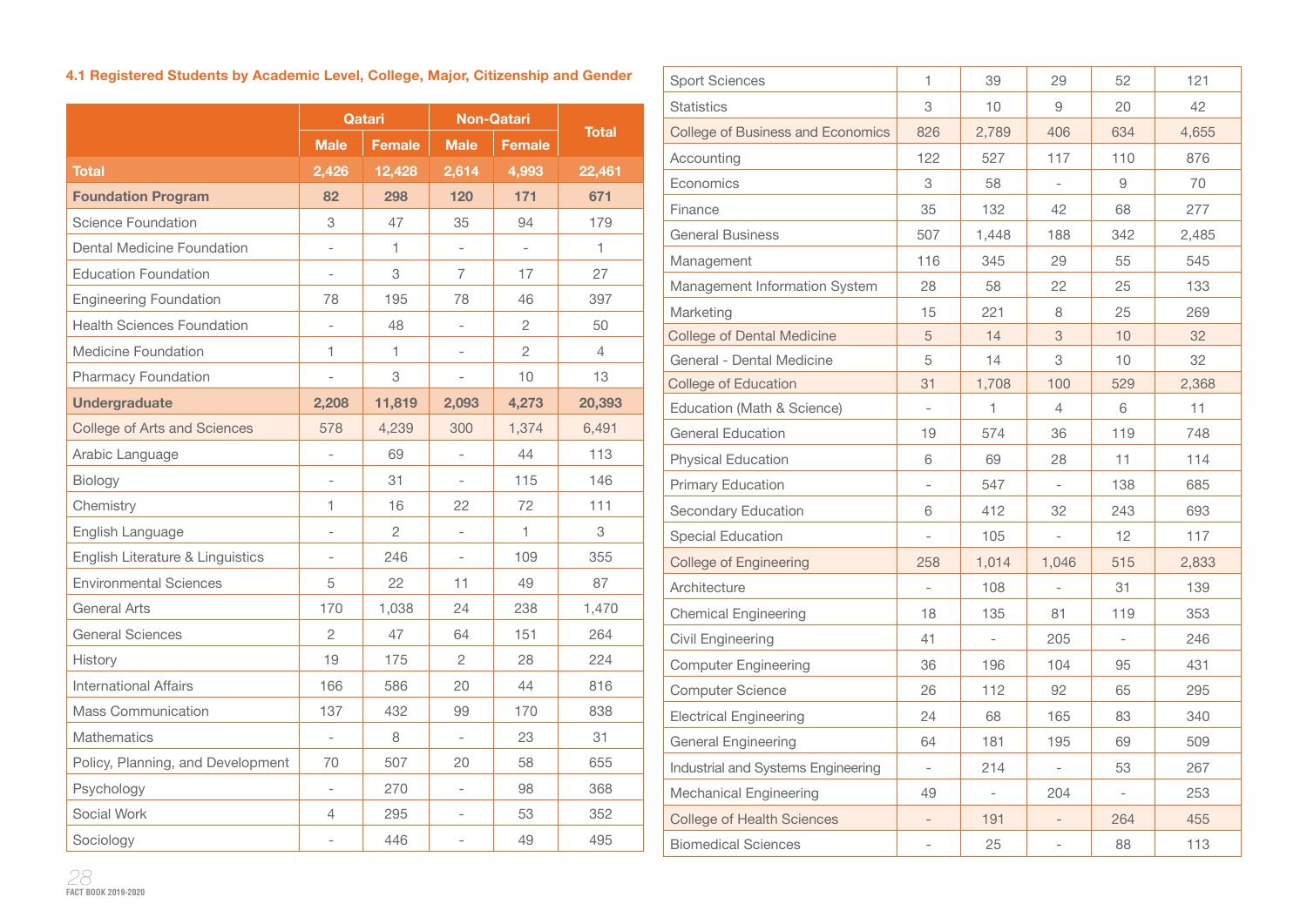# **4.1 Registered Students by Academic Level, College, Major, Citizenship and Gender**

|                                     |                          | Qatari         |                          | <b>Non-Qatari</b> |                |  |
|-------------------------------------|--------------------------|----------------|--------------------------|-------------------|----------------|--|
|                                     | <b>Male</b>              | <b>Female</b>  | <b>Male</b>              | <b>Female</b>     | <b>Total</b>   |  |
| <b>Total</b>                        | 2,426                    | 12,428         | 2,614                    | 4,993             | 22,461         |  |
| <b>Foundation Program</b>           | 82                       | 298            | 120                      | 171               | 671            |  |
| Science Foundation                  | 3                        | 47             | 35                       | 94                | 179            |  |
| Dental Medicine Foundation          | $\overline{\phantom{0}}$ | 1.             | $\frac{1}{2}$            | $\frac{1}{2}$     | 1              |  |
| <b>Education Foundation</b>         | $\bar{ }$                | 3              | 7                        | 17                | 27             |  |
| <b>Engineering Foundation</b>       | 78                       | 195            | 78                       | 46                | 397            |  |
| <b>Health Sciences Foundation</b>   | $\frac{1}{2}$            | 48             | $\overline{\phantom{0}}$ | $\mathbf{2}$      | 50             |  |
| <b>Medicine Foundation</b>          | 1                        | 1              | $\overline{\phantom{0}}$ | 2                 | $\overline{4}$ |  |
| Pharmacy Foundation                 | $\overline{a}$           | 3              |                          | 10                | 13             |  |
| <b>Undergraduate</b>                | 2,208                    | 11,819         | 2,093                    | 4,273             | 20,393         |  |
| <b>College of Arts and Sciences</b> | 578                      | 4,239          | 300                      | 1,374             | 6,491          |  |
| Arabic Language                     | $\overline{\phantom{0}}$ | 69             |                          | 44                | 113            |  |
| Biology                             |                          | 31             |                          | 115               | 146            |  |
| Chemistry                           | 1                        | 16             | 22                       | 72                | 111            |  |
| English Language                    | $\overline{a}$           | $\mathfrak{D}$ | $\overline{\phantom{0}}$ | 1                 | 3              |  |
| English Literature & Linguistics    | $\overline{\phantom{0}}$ | 246            | $\overline{\phantom{0}}$ | 109               | 355            |  |
| <b>Environmental Sciences</b>       | 5                        | 22             | 11                       | 49                | 87             |  |
| General Arts                        | 170                      | 1,038          | 24                       | 238               | 1,470          |  |
| <b>General Sciences</b>             | $\overline{c}$           | 47             | 64                       | 151               | 264            |  |
| History                             | 19                       | 175            | $\overline{2}$           | 28                | 224            |  |
| <b>International Affairs</b>        | 166                      | 586            | 20                       | 44                | 816            |  |
| <b>Mass Communication</b>           | 137                      | 432            | 99                       | 170               | 838            |  |
| <b>Mathematics</b>                  | $\bar{a}$                | 8              | $\overline{\phantom{a}}$ | 23                | 31             |  |
| Policy, Planning, and Development   | 70                       | 507            | 20                       | 58                | 655            |  |
| Psychology                          | $\frac{1}{2}$            | 270            | $\overline{\phantom{0}}$ | 98                | 368            |  |
| Social Work                         | 4                        | 295            | $\bar{\phantom{a}}$      | 53                | 352            |  |
| Sociology                           |                          | 446            | $\overline{\phantom{0}}$ | 49                | 495            |  |

| <b>Sport Sciences</b>              | 1                        | 39            | 29                | 52                       | 121   |
|------------------------------------|--------------------------|---------------|-------------------|--------------------------|-------|
| <b>Statistics</b>                  | 3                        | 10            | 9                 | 20                       | 42    |
| College of Business and Economics  | 826                      | 2,789         | 406               | 634                      | 4,655 |
| Accounting                         | 122                      | 527           | 117               | 110                      | 876   |
| Economics                          | 3                        | 58            | $\frac{1}{2}$     | 9                        | 70    |
| Finance                            | 35                       | 132           | 42                | 68                       | 277   |
| <b>General Business</b>            | 507                      | 1,448         | 188               | 342                      | 2,485 |
| Management                         | 116                      | 345           | 29                | 55                       | 545   |
| Management Information System      | 28                       | 58            | 22                | 25                       | 133   |
| Marketing                          | 15                       | 221           | 8                 | 25                       | 269   |
| <b>College of Dental Medicine</b>  | 5                        | 14            | 3                 | 10                       | 32    |
| General - Dental Medicine          | 5                        | 14            | 3                 | 10                       | 32    |
| <b>College of Education</b>        | 31                       | 1,708         | 100               | 529                      | 2,368 |
| Education (Math & Science)         | $\overline{a}$           | 1             | $\overline{4}$    | 6                        | 11    |
| <b>General Education</b>           | 19                       | 574           | 36                | 119                      | 748   |
| Physical Education                 | 6                        | 69            | 28                | 11                       | 114   |
| <b>Primary Education</b>           |                          | 547           |                   | 138                      | 685   |
| Secondary Education                | 6                        | 412           | 32                | 243                      | 693   |
| <b>Special Education</b>           |                          | 105           |                   | 12                       | 117   |
| <b>College of Engineering</b>      | 258                      | 1,014         | 1,046             | 515                      | 2,833 |
| Architecture                       | $\overline{\phantom{a}}$ | 108           | L,                | 31                       | 139   |
| <b>Chemical Engineering</b>        | 18                       | 135           | 81                | 119                      | 353   |
| Civil Engineering                  | 41                       | $\frac{1}{2}$ | 205               | $\overline{\phantom{a}}$ | 246   |
| <b>Computer Engineering</b>        | 36                       | 196           | 104               | 95                       | 431   |
| <b>Computer Science</b>            | 26                       | 112           | 92                | 65                       | 295   |
| <b>Electrical Engineering</b>      | 24                       | 68            | 165               | 83                       | 340   |
| General Engineering                | 64                       | 181           | 195               | 69                       | 509   |
| Industrial and Systems Engineering | $\overline{\phantom{0}}$ | 214           | $\frac{1}{2}$     | 53                       | 267   |
| <b>Mechanical Engineering</b>      | 49                       |               | 204               |                          | 253   |
| <b>College of Health Sciences</b>  | $\qquad \qquad -$        | 191           | $\qquad \qquad -$ | 264                      | 455   |
| <b>Biomedical Sciences</b>         |                          | 25            |                   | 88                       | 113   |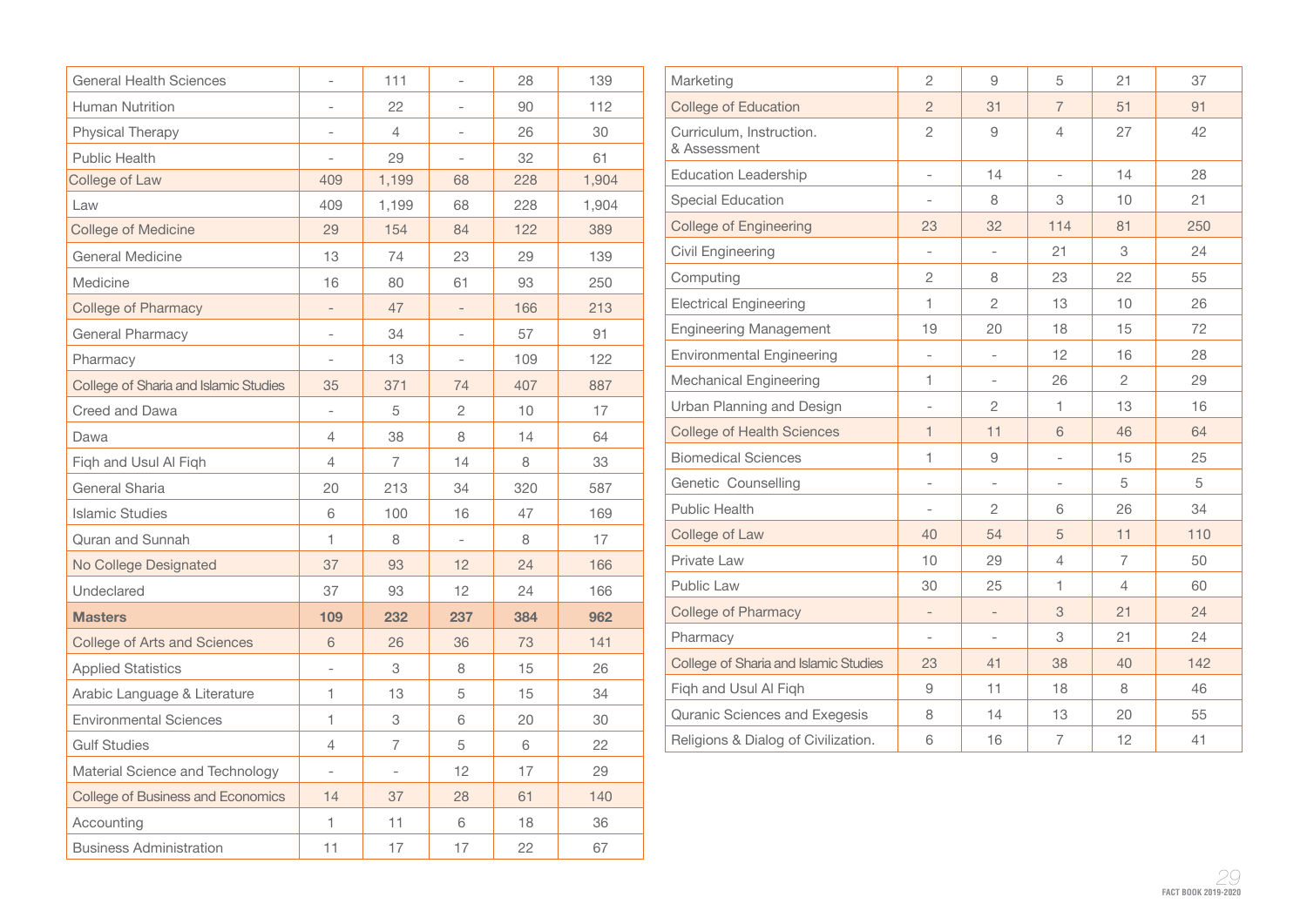| <b>General Health Sciences</b>        | $\overline{\phantom{a}}$ | 111                      | $\sim$                   | 28  | 139   | Marketing                             | $\overline{c}$           | 9                        | $\sqrt{5}$                | 21             | 37  |
|---------------------------------------|--------------------------|--------------------------|--------------------------|-----|-------|---------------------------------------|--------------------------|--------------------------|---------------------------|----------------|-----|
| <b>Human Nutrition</b>                | $\overline{\phantom{a}}$ | 22                       | $\overline{\phantom{a}}$ | 90  | 112   | College of Education                  | $\overline{2}$           | 31                       | $\overline{7}$            | 51             | 91  |
| Physical Therapy                      | $\overline{\phantom{a}}$ | $\overline{4}$           | $\overline{\phantom{a}}$ | 26  | 30    | Curriculum, Instruction.              | $\overline{c}$           | $\Theta$                 | $\overline{4}$            | 27             | 42  |
| Public Health                         | $\overline{\phantom{a}}$ | 29                       |                          | 32  | 61    | & Assessment                          |                          |                          |                           |                |     |
| College of Law                        | 409                      | 1,199                    | 68                       | 228 | 1,904 | <b>Education Leadership</b>           |                          | 14                       | $\frac{1}{2}$             | 14             | 28  |
| Law                                   | 409                      | 1,199                    | 68                       | 228 | 1,904 | <b>Special Education</b>              |                          | 8                        | $\ensuremath{\mathsf{3}}$ | 10             | 21  |
| <b>College of Medicine</b>            | 29                       | 154                      | 84                       | 122 | 389   | <b>College of Engineering</b>         | 23                       | 32                       | 114                       | 81             | 250 |
| General Medicine                      | 13                       | 74                       | 23                       | 29  | 139   | Civil Engineering                     |                          | $\overline{\phantom{0}}$ | 21                        | 3              | 24  |
| Medicine                              | 16                       | 80                       | 61                       | 93  | 250   | Computing                             | $\overline{c}$           | 8                        | 23                        | 22             | 55  |
| <b>College of Pharmacy</b>            | $\qquad \qquad -$        | 47                       |                          | 166 | 213   | <b>Electrical Engineering</b>         | $\overline{1}$           | $\overline{2}$           | 13                        | 10             | 26  |
| <b>General Pharmacy</b>               | $\overline{\phantom{a}}$ | 34                       | i,                       | 57  | 91    | <b>Engineering Management</b>         | 19                       | 20                       | 18                        | 15             | 72  |
| Pharmacy                              | $\overline{\phantom{a}}$ | 13                       |                          | 109 | 122   | <b>Environmental Engineering</b>      |                          | $\overline{\phantom{a}}$ | 12                        | 16             | 28  |
| College of Sharia and Islamic Studies | 35                       | 371                      | 74                       | 407 | 887   | <b>Mechanical Engineering</b>         | $\mathbf{1}$             | $\overline{\phantom{0}}$ | 26                        | $\mathbf{2}$   | 29  |
| Creed and Dawa                        | $\overline{\phantom{a}}$ | 5                        | $\mathbf{2}$             | 10  | 17    | Urban Planning and Design             | $\overline{\phantom{a}}$ | $\overline{c}$           | $\mathbf{1}$              | 13             | 16  |
| Dawa                                  | $\overline{4}$           | 38                       | 8                        | 14  | 64    | <b>College of Health Sciences</b>     | $\mathbf{1}$             | 11                       | $\,6\,$                   | 46             | 64  |
| Figh and Usul Al Figh                 | $\overline{4}$           | $\overline{7}$           | 14                       | 8   | 33    | <b>Biomedical Sciences</b>            | 1                        | $\hbox{9}$               | $\overline{\phantom{a}}$  | 15             | 25  |
| General Sharia                        | 20                       | 213                      | 34                       | 320 | 587   | Genetic Counselling                   |                          | $\overline{a}$           | $\frac{1}{2}$             | 5              | 5   |
| <b>Islamic Studies</b>                | 6                        | 100                      | 16                       | 47  | 169   | Public Health                         |                          | $\sqrt{2}$               | $\,6\,$                   | 26             | 34  |
| Quran and Sunnah                      | $\mathbf{1}$             | 8                        |                          | 8   | 17    | College of Law                        | 40                       | 54                       | $\sqrt{5}$                | 11             | 110 |
| No College Designated                 | 37                       | 93                       | 12                       | 24  | 166   | Private Law                           | 10                       | 29                       | $\overline{4}$            | $\overline{7}$ | 50  |
| Undeclared                            | 37                       | 93                       | 12                       | 24  | 166   | Public Law                            | 30                       | 25                       | $\mathbf{1}$              | $\overline{4}$ | 60  |
| <b>Masters</b>                        | 109                      | 232                      | 237                      | 384 | 962   | College of Pharmacy                   |                          | $\overline{\phantom{a}}$ | $\ensuremath{\mathsf{3}}$ | 21             | 24  |
| <b>College of Arts and Sciences</b>   | 6                        | 26                       | 36                       | 73  | 141   | Pharmacy                              |                          | $\overline{\phantom{0}}$ | $\ensuremath{\mathsf{3}}$ | 21             | 24  |
| <b>Applied Statistics</b>             | $\overline{\phantom{a}}$ | 3                        | 8                        | 15  | 26    | College of Sharia and Islamic Studies | 23                       | 41                       | 38                        | 40             | 142 |
| Arabic Language & Literature          | $\mathbf{1}$             | 13                       | 5                        | 15  | 34    | Figh and Usul Al Figh                 | 9                        | 11                       | 18                        | 8              | 46  |
| <b>Environmental Sciences</b>         | $\mathbf{1}$             | 3                        | 6                        | 20  | 30    | Quranic Sciences and Exegesis         | 8                        | 14                       | 13                        | 20             | 55  |
| <b>Gulf Studies</b>                   | $\overline{4}$           | $\overline{7}$           | 5                        | 6   | 22    | Religions & Dialog of Civilization.   | 6                        | 16                       | $\overline{7}$            | 12             | 41  |
| Material Science and Technology       | $\overline{\phantom{a}}$ | $\overline{\phantom{a}}$ | 12                       | 17  | 29    |                                       |                          |                          |                           |                |     |
| College of Business and Economics     | 14                       | 37                       | 28                       | 61  | 140   |                                       |                          |                          |                           |                |     |
| Accounting                            | $\mathbf{1}$             | 11                       | 6                        | 18  | 36    |                                       |                          |                          |                           |                |     |
| <b>Business Administration</b>        | 11                       | 17                       | 17                       | 22  | 67    |                                       |                          |                          |                           |                |     |
|                                       |                          |                          |                          |     |       |                                       |                          |                          |                           |                |     |

Ξ

ī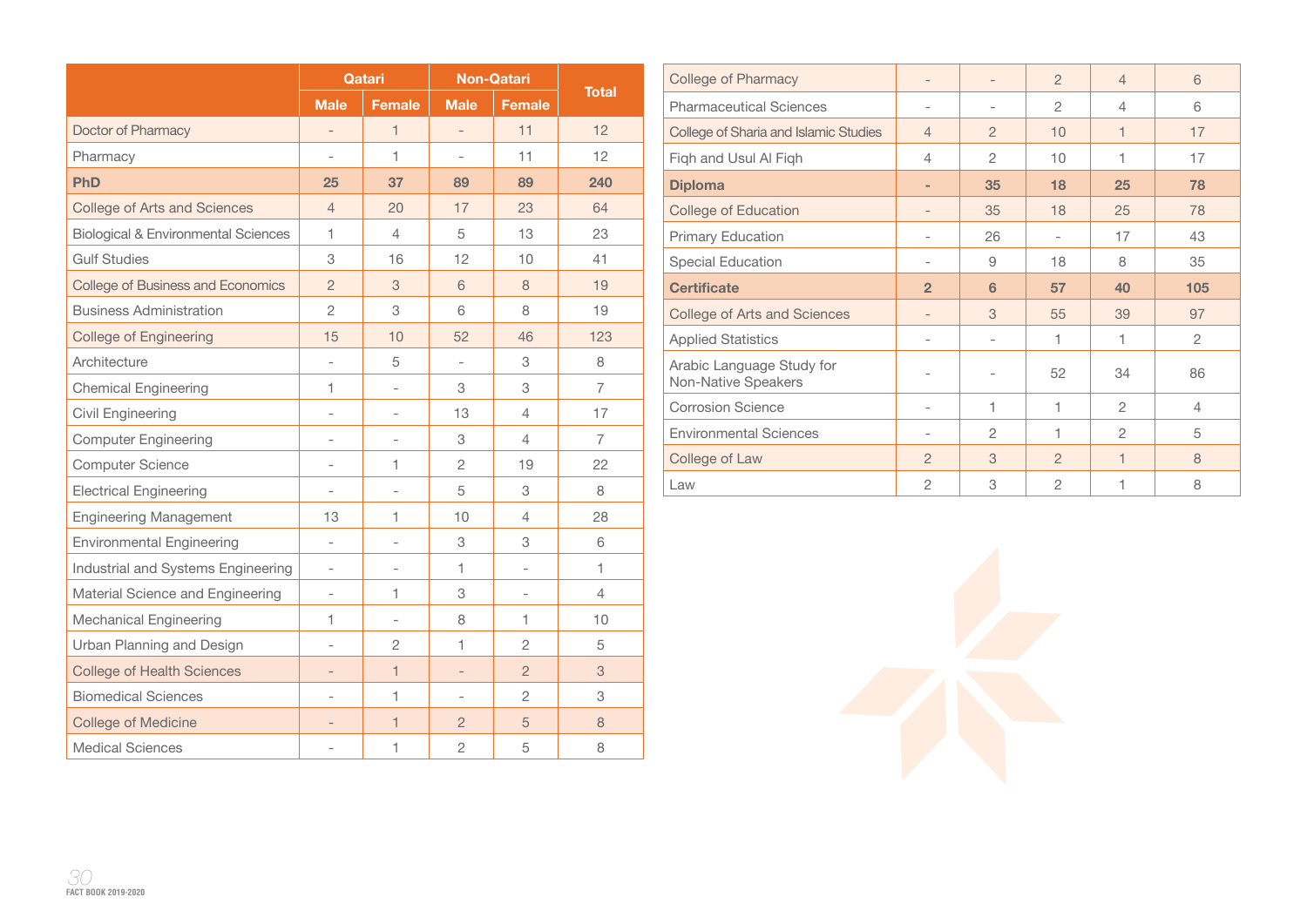|                                                |                          | Qatari                   |                          | <b>Non-Qatari</b>        |                |  |
|------------------------------------------------|--------------------------|--------------------------|--------------------------|--------------------------|----------------|--|
|                                                | <b>Male</b>              | <b>Female</b>            | <b>Male</b>              | <b>Female</b>            | <b>Total</b>   |  |
| Doctor of Pharmacy                             | $\overline{a}$           | $\mathbf{1}$             | $\overline{\phantom{0}}$ | 11                       | 12             |  |
| Pharmacy                                       |                          | 1                        |                          | 11                       | 12             |  |
| PhD                                            | 25                       | 37                       | 89                       | 89                       | 240            |  |
| <b>College of Arts and Sciences</b>            | $\overline{4}$           | 20                       | 17                       | 23                       | 64             |  |
| <b>Biological &amp; Environmental Sciences</b> | 1                        | 4                        | 5                        | 13                       | 23             |  |
| <b>Gulf Studies</b>                            | 3                        | 16                       | 12                       | 10                       | 41             |  |
| <b>College of Business and Economics</b>       | $\overline{2}$           | 3                        | 6                        | 8                        | 19             |  |
| <b>Business Administration</b>                 | $\overline{c}$           | 3                        | 6                        | 8                        | 19             |  |
| <b>College of Engineering</b>                  | 15                       | 10                       | 52                       | 46                       | 123            |  |
| Architecture                                   | $\overline{\phantom{a}}$ | 5                        | $\bar{ }$                | 3                        | 8              |  |
| <b>Chemical Engineering</b>                    | 1                        | $\overline{\phantom{0}}$ | 3                        | 3                        | 7              |  |
| Civil Engineering                              | L                        | $\overline{\phantom{0}}$ | 13                       | 4                        | 17             |  |
| <b>Computer Engineering</b>                    | $\frac{1}{2}$            | $\overline{a}$           | 3                        | $\overline{4}$           | $\overline{7}$ |  |
| <b>Computer Science</b>                        | $\overline{\phantom{0}}$ | 1                        | $\overline{2}$           | 19                       | 22             |  |
| <b>Electrical Engineering</b>                  | $\frac{1}{2}$            | $\frac{1}{2}$            | 5                        | 3                        | 8              |  |
| <b>Engineering Management</b>                  | 13                       | 1                        | 10                       | 4                        | 28             |  |
| <b>Environmental Engineering</b>               | $\overline{\phantom{0}}$ | $\overline{a}$           | 3                        | 3                        | 6              |  |
| Industrial and Systems Engineering             | $\overline{\phantom{a}}$ | $\overline{\phantom{0}}$ | 1                        | $\overline{\phantom{0}}$ | $\mathbf{1}$   |  |
| Material Science and Engineering               | $\qquad \qquad -$        | 1                        | 3                        | $\bar{ }$                | 4              |  |
| Mechanical Engineering                         | 1                        | $\overline{a}$           | 8                        | 1                        | 10             |  |
| Urban Planning and Design                      | $\overline{\phantom{0}}$ | $\overline{2}$           | 1                        | $\overline{c}$           | 5              |  |
| <b>College of Health Sciences</b>              | $\qquad \qquad -$        | $\mathbf{1}$             | $\overline{\phantom{a}}$ | $\overline{2}$           | 3              |  |
| <b>Biomedical Sciences</b>                     | $\overline{\phantom{0}}$ | 1                        | $\overline{\phantom{0}}$ | $\overline{2}$           | 3              |  |
| <b>College of Medicine</b>                     | $\overline{\phantom{0}}$ | $\mathbf{1}$             | $\overline{2}$           | 5                        | 8              |  |
| <b>Medical Sciences</b>                        |                          | 1                        | $\overline{c}$           | 5                        | 8              |  |

| College of Pharmacy                              |                          |                | $\overline{2}$           | $\overline{4}$ | 6              |
|--------------------------------------------------|--------------------------|----------------|--------------------------|----------------|----------------|
| <b>Pharmaceutical Sciences</b>                   | $\qquad \qquad$          |                | $\mathbf{2}$             | 4              | 6              |
| <b>College of Sharia and Islamic Studies</b>     | $\overline{4}$           | $\overline{2}$ | 10                       | $\mathbf{1}$   | 17             |
| Figh and Usul Al Figh                            | 4                        | $\overline{c}$ | 10                       | 1              | 17             |
| <b>Diploma</b>                                   |                          | 35             | 18                       | 25             | 78             |
| <b>College of Education</b>                      | -                        | 35             | 18                       | 25             | 78             |
| Primary Education                                | $\overline{a}$           | 26             | $\overline{\phantom{a}}$ | 17             | 43             |
| <b>Special Education</b>                         |                          | 9              | 18                       | 8              | 35             |
| <b>Certificate</b>                               | $\overline{2}$           | 6              | 57                       | 40             | 105            |
| <b>College of Arts and Sciences</b>              |                          | 3              | 55                       | 39             | 97             |
| <b>Applied Statistics</b>                        | $\overline{\phantom{0}}$ |                | 1                        | 1              | $\overline{2}$ |
| Arabic Language Study for<br>Non-Native Speakers |                          |                | 52                       | 34             | 86             |
| <b>Corrosion Science</b>                         |                          | 1              | 1                        | $\mathfrak{D}$ | $\overline{4}$ |
| <b>Environmental Sciences</b>                    | $\overline{\phantom{0}}$ | $\overline{2}$ | 1                        | $\overline{2}$ | 5              |
| College of Law                                   | $\overline{2}$           | 3              | $\overline{2}$           | $\mathbf{1}$   | 8              |
| Law                                              | $\overline{2}$           | 3              | $\overline{2}$           | 1              | 8              |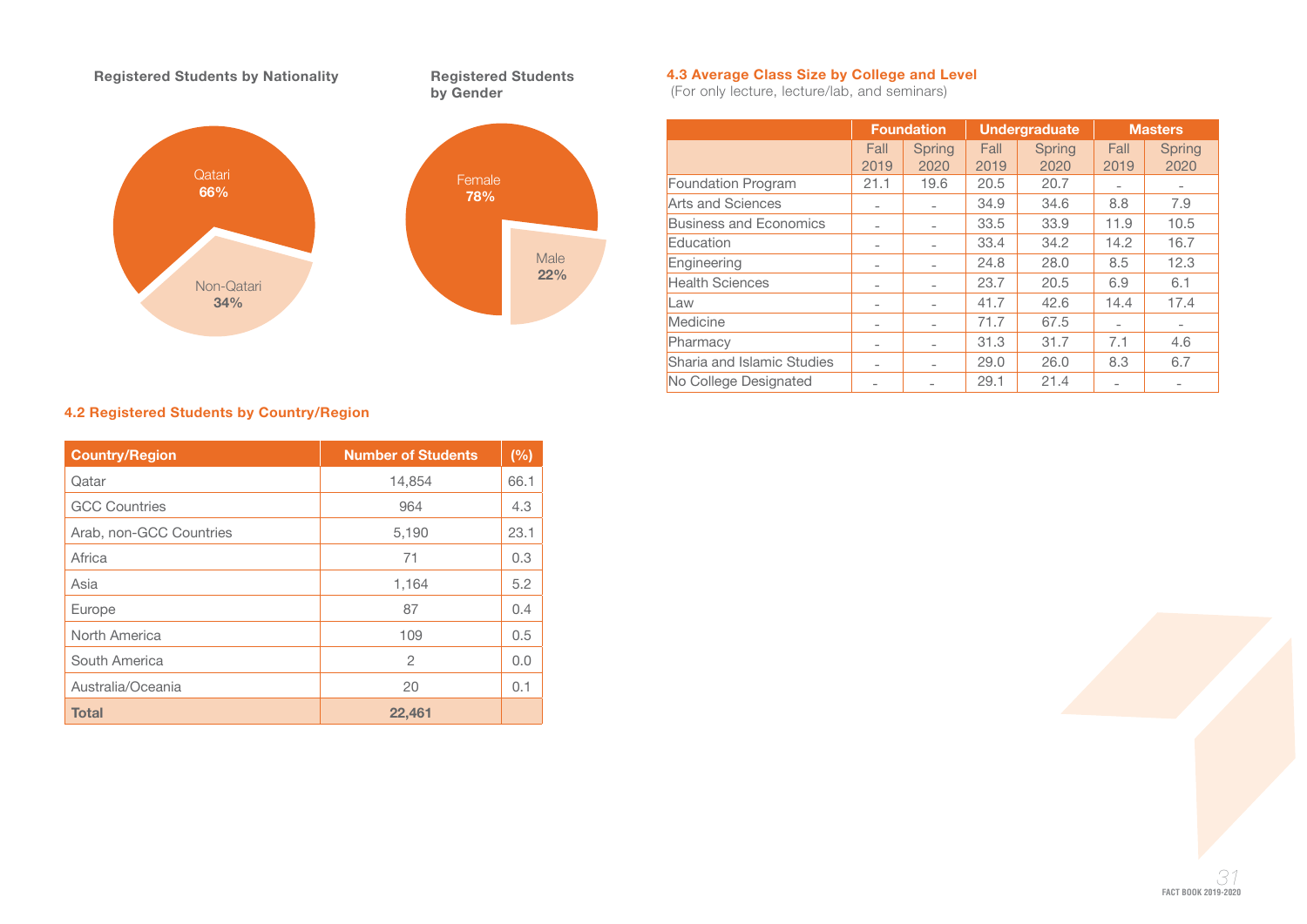### **Registered Students by Nationality Registered Students**



**by Gender**

### **4.3 Average Class Size by College and Level**

(For only lecture, lecture/lab, and seminars)

|                               | <b>Foundation</b>        |                          | <b>Undergraduate</b> |                | <b>Masters</b>           |                |
|-------------------------------|--------------------------|--------------------------|----------------------|----------------|--------------------------|----------------|
|                               | Fall<br>2019             | Spring<br>2020           | Fall<br>2019         | Spring<br>2020 | Fall<br>2019             | Spring<br>2020 |
| <b>Foundation Program</b>     | 21.1                     | 19.6                     | 20.5                 | 20.7           | $\overline{\phantom{0}}$ |                |
| <b>Arts and Sciences</b>      | $\overline{\phantom{0}}$ | $\overline{\phantom{a}}$ | 34.9                 | 34.6           | 8.8                      | 7.9            |
| <b>Business and Economics</b> | $\overline{\phantom{0}}$ | $\overline{a}$           | 33.5                 | 33.9           | 11.9                     | 10.5           |
| Education                     | $\overline{\phantom{0}}$ | $\overline{\phantom{a}}$ | 33.4                 | 34.2           | 14.2                     | 16.7           |
| Engineering                   | $\overline{\phantom{0}}$ | $\overline{\phantom{a}}$ | 24.8                 | 28.0           | 8.5                      | 12.3           |
| <b>Health Sciences</b>        | -                        | $\overline{\phantom{a}}$ | 23.7                 | 20.5           | 6.9                      | 6.1            |
| Law                           | $\overline{\phantom{0}}$ | $\overline{\phantom{a}}$ | 41.7                 | 42.6           | 14.4                     | 17.4           |
| Medicine                      | $\overline{\phantom{0}}$ | $\overline{a}$           | 71.7                 | 67.5           | $\overline{\phantom{0}}$ |                |
| Pharmacy                      | $\overline{\phantom{0}}$ | $\overline{\phantom{a}}$ | 31.3                 | 31.7           | 7.1                      | 4.6            |
| Sharia and Islamic Studies    | $\overline{\phantom{0}}$ | $\overline{\phantom{a}}$ | 29.0                 | 26.0           | 8.3                      | 6.7            |
| No College Designated         |                          |                          | 29.1                 | 21.4           |                          |                |

# **4.2 Registered Students by Country/Region**

| <b>Country/Region</b>   | <b>Number of Students</b> | (%)  |
|-------------------------|---------------------------|------|
| Qatar                   | 14,854                    | 66.1 |
| <b>GCC Countries</b>    | 964                       | 4.3  |
| Arab, non-GCC Countries | 5,190                     | 23.1 |
| Africa                  | 71                        | 0.3  |
| Asia                    | 1,164                     | 5.2  |
| Europe                  | 87                        | 0.4  |
| North America           | 109                       | 0.5  |
| South America           | 2                         | 0.0  |
| Australia/Oceania       | 20                        | 0.1  |
| <b>Total</b>            | 22,461                    |      |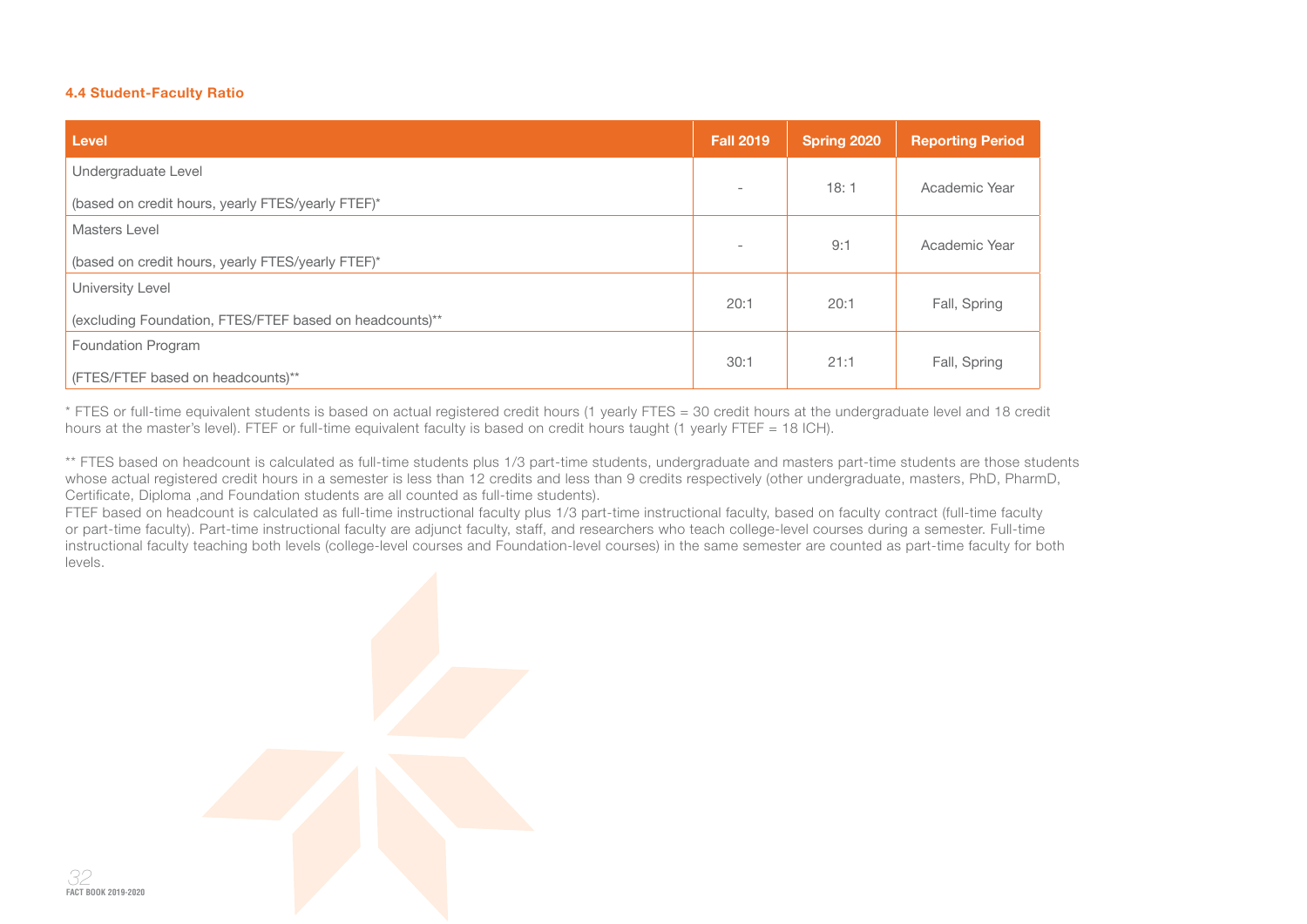#### **4.4 Student-Faculty Ratio**

| <b>Level</b>                                            | <b>Fall 2019</b>         | Spring 2020 | <b>Reporting Period</b> |
|---------------------------------------------------------|--------------------------|-------------|-------------------------|
| Undergraduate Level                                     |                          |             |                         |
| (based on credit hours, yearly FTES/yearly FTEF)*       | $\overline{\phantom{a}}$ | 18:1        | Academic Year           |
| Masters Level                                           |                          | 9:1         | Academic Year           |
| (based on credit hours, yearly FTES/yearly FTEF)*       | -                        |             |                         |
| University Level                                        |                          |             |                         |
| (excluding Foundation, FTES/FTEF based on headcounts)** | 20:1                     | 20:1        | Fall, Spring            |
| <b>Foundation Program</b>                               |                          |             |                         |
| (FTES/FTEF based on headcounts)**                       | 30:1                     | 21:1        | Fall, Spring            |

\* FTES or full-time equivalent students is based on actual registered credit hours (1 yearly FTES = 30 credit hours at the undergraduate level and 18 credit hours at the master's level). FTEF or full-time equivalent faculty is based on credit hours taught (1 yearly FTEF = 18 ICH).

\*\* FTES based on headcount is calculated as full-time students plus 1/3 part-time students, undergraduate and masters part-time students are those students whose actual registered credit hours in a semester is less than 12 credits and less than 9 credits respectively (other undergraduate, masters, PhD, PharmD, Certificate, Diploma ,and Foundation students are all counted as full-time students).

FTEF based on headcount is calculated as full-time instructional faculty plus 1/3 part-time instructional faculty, based on faculty contract (full-time faculty or part-time faculty). Part-time instructional faculty are adjunct faculty, staff, and researchers who teach college-level courses during a semester. Full-time instructional faculty teaching both levels (college-level courses and Foundation-level courses) in the same semester are counted as part-time faculty for both levels.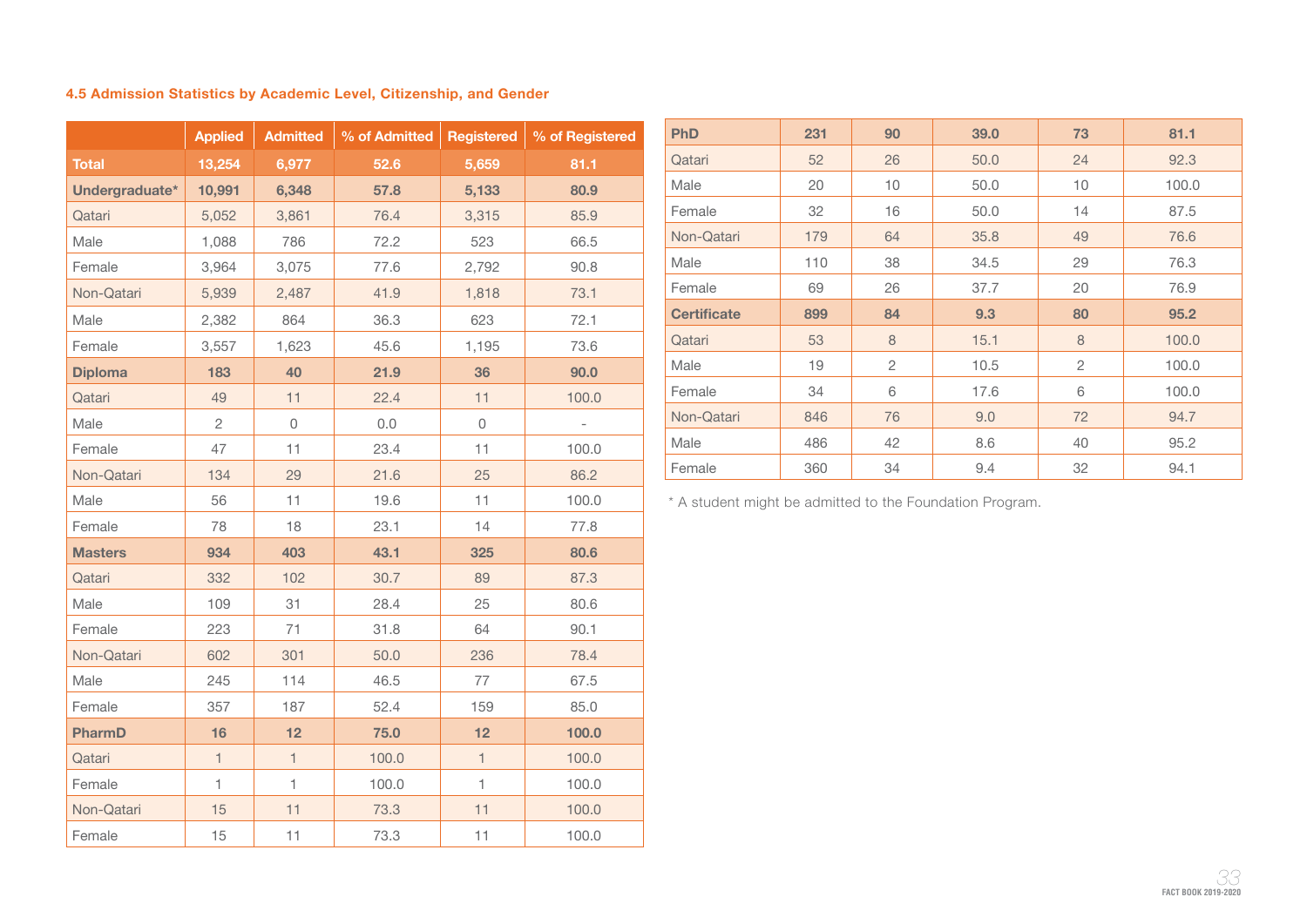# **4.5 Admission Statistics by Academic Level, Citizenship, and Gender**

|                | <b>Applied</b> | <b>Admitted</b> | % of Admitted | Registered          | % of Registered          |
|----------------|----------------|-----------------|---------------|---------------------|--------------------------|
| <b>Total</b>   | 13,254         | 6,977           | 52.6          | 5,659               | 81.1                     |
| Undergraduate* | 10,991         | 6,348           | 57.8          | 5,133               | 80.9                     |
| Qatari         | 5,052          | 3,861           | 76.4          | 3,315               | 85.9                     |
| Male           | 1,088          | 786             | 72.2          | 523                 | 66.5                     |
| Female         | 3,964          | 3,075           | 77.6          | 2,792               | 90.8                     |
| Non-Qatari     | 5,939          | 2,487           | 41.9          | 1,818               | 73.1                     |
| Male           | 2,382          | 864             | 36.3          | 623                 | 72.1                     |
| Female         | 3,557          | 1,623           | 45.6          | 1,195               | 73.6                     |
| <b>Diploma</b> | 183            | 40              | 21.9          | 36                  | 90.0                     |
| Qatari         | 49             | 11              | 22.4          | 11                  | 100.0                    |
| Male           | $\overline{2}$ | 0               | 0.0           | $\mathsf{O}\xspace$ | $\overline{\phantom{0}}$ |
| Female         | 47             | 11              | 23.4          | 11                  | 100.0                    |
| Non-Qatari     | 134            | 29              | 21.6          | 25                  | 86.2                     |
| Male           | 56             | 11              | 19.6          | 11                  | 100.0                    |
| Female         | 78             | 18              | 23.1          | 14                  | 77.8                     |
| <b>Masters</b> | 934            | 403             | 43.1          | 325                 | 80.6                     |
| Qatari         | 332            | 102             | 30.7          | 89                  | 87.3                     |
| Male           | 109            | 31              | 28.4          | 25                  | 80.6                     |
| Female         | 223            | 71              | 31.8          | 64                  | 90.1                     |
| Non-Qatari     | 602            | 301             | 50.0          | 236                 | 78.4                     |
| Male           | 245            | 114             | 46.5          | 77                  | 67.5                     |
| Female         | 357            | 187             | 52.4          | 159                 | 85.0                     |
| PharmD         | 16             | 12              | 75.0          | 12                  | 100.0                    |
| Qatari         | $\mathbf{1}$   | $\mathbf{1}$    | 100.0         | $\mathbf{1}$        | 100.0                    |
| Female         | $\mathbf{1}$   | $\mathbf{1}$    | 100.0         | 1                   | 100.0                    |
| Non-Qatari     | 15             | 11              | 73.3          | 11                  | 100.0                    |
| Female         | 15             | 11              | 73.3          | 11                  | 100.0                    |

| <b>PhD</b>         | 231 | 90           | 39.0 | 73           | 81.1  |
|--------------------|-----|--------------|------|--------------|-------|
| Qatari             | 52  | 26           | 50.0 | 24           | 92.3  |
| Male               | 20  | 10           | 50.0 | 10           | 100.0 |
| Female             | 32  | 16           | 50.0 | 14           | 87.5  |
| Non-Qatari         | 179 | 64           | 35.8 | 49           | 76.6  |
| Male               | 110 | 38           | 34.5 | 29           | 76.3  |
| Female             | 69  | 26           | 37.7 | 20           | 76.9  |
| <b>Certificate</b> | 899 | 84           | 9.3  | 80           | 95.2  |
| Qatari             | 53  | 8            | 15.1 | 8            | 100.0 |
| Male               | 19  | $\mathbf{2}$ | 10.5 | $\mathbf{2}$ | 100.0 |
| Female             | 34  | 6            | 17.6 | 6            | 100.0 |
| Non-Qatari         | 846 | 76           | 9.0  | 72           | 94.7  |
| Male               | 486 | 42           | 8.6  | 40           | 95.2  |
| Female             | 360 | 34           | 9.4  | 32           | 94.1  |

\* A student might be admitted to the Foundation Program.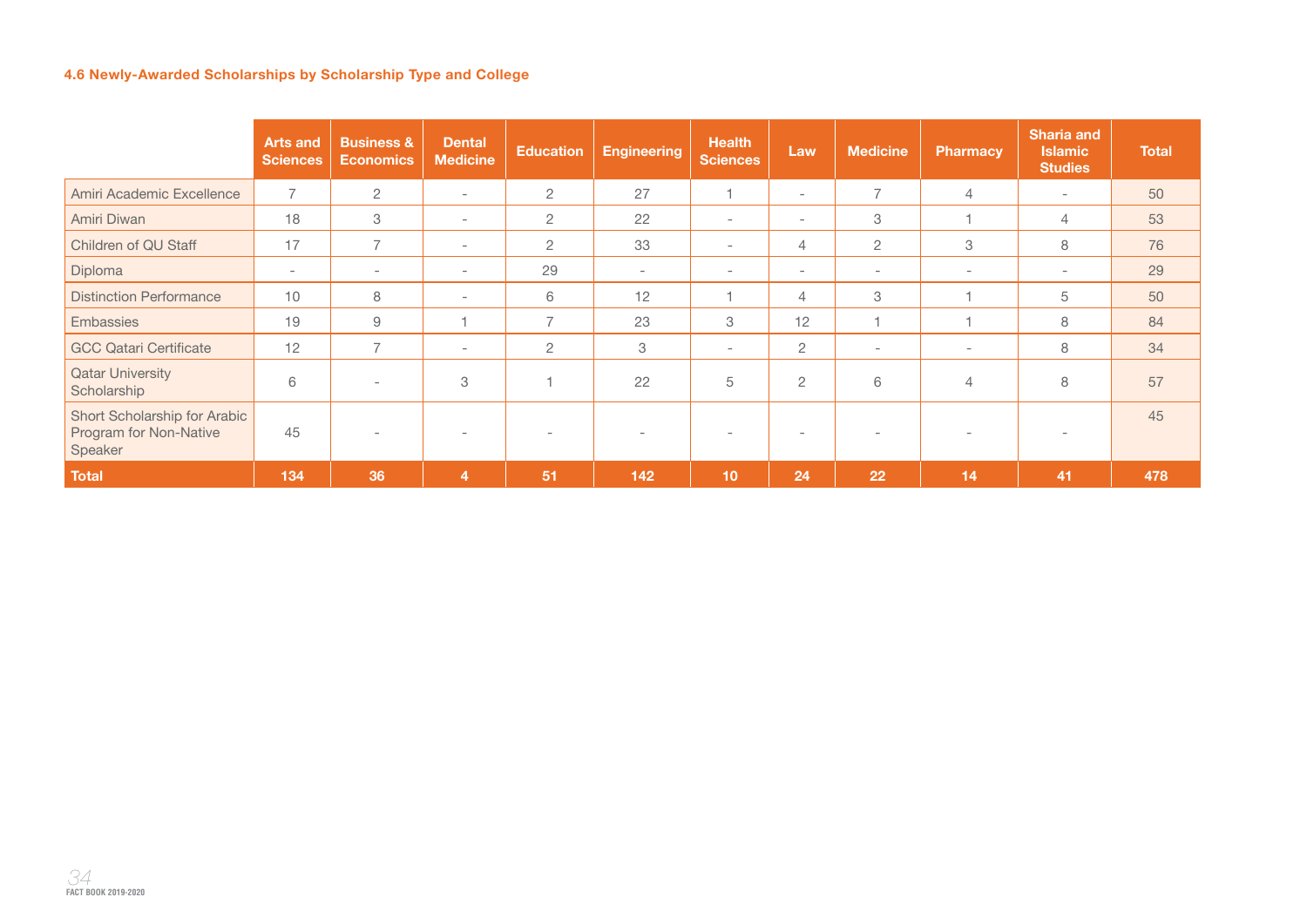# **4.6 Newly-Awarded Scholarships by Scholarship Type and College**

|                                                                   | <b>Arts and</b><br><b>Sciences</b> | <b>Business &amp;</b><br><b>Economics</b> | <b>Dental</b><br><b>Medicine</b> | <b>Education</b>         | <b>Engineering</b>       | <b>Health</b><br><b>Sciences</b> | Law                      | <b>Medicine</b>          | Pharmacy                 | <b>Sharia and</b><br><b>Islamic</b><br><b>Studies</b> | <b>Total</b> |
|-------------------------------------------------------------------|------------------------------------|-------------------------------------------|----------------------------------|--------------------------|--------------------------|----------------------------------|--------------------------|--------------------------|--------------------------|-------------------------------------------------------|--------------|
| Amiri Academic Excellence                                         | $\overline{7}$                     | $\mathbf{2}$                              | $\sim$                           | $\overline{2}$           | 27                       |                                  | $\overline{\phantom{a}}$ | $\overline{7}$           | $\overline{4}$           | $\overline{\phantom{a}}$                              | 50           |
| Amiri Diwan                                                       | 18                                 | 3                                         | $\overline{\phantom{a}}$         | $\overline{2}$           | 22                       | $\overline{\phantom{a}}$         | $\qquad \qquad =\qquad$  | 3                        |                          | $\overline{4}$                                        | 53           |
| Children of QU Staff                                              | 17                                 | $\overline{7}$                            | $\sim$                           | $\overline{2}$           | 33                       | $\overline{\phantom{a}}$         | $\overline{4}$           | $\overline{2}$           | 3                        | 8                                                     | 76           |
| Diploma                                                           | $\overline{\phantom{0}}$           | $\overline{\phantom{0}}$                  | $\overline{\phantom{0}}$         | 29                       | $\overline{\phantom{0}}$ | $\overline{\phantom{a}}$         | $\overline{\phantom{a}}$ | $\overline{\phantom{0}}$ | $\overline{\phantom{a}}$ | $\overline{\phantom{a}}$                              | 29           |
| <b>Distinction Performance</b>                                    | 10                                 | 8                                         | $\overline{\phantom{0}}$         | 6                        | 12                       |                                  | $\overline{4}$           | 3                        | $\overline{ }$           | 5                                                     | 50           |
| <b>Embassies</b>                                                  | 19                                 | $\mathsf 9$                               |                                  | $\overline{7}$           | 23                       | 3                                | 12                       |                          |                          | 8                                                     | 84           |
| <b>GCC Qatari Certificate</b>                                     | 12                                 | $\overline{7}$                            | $\sim$                           | 2                        | 3                        | $\overline{\phantom{a}}$         | $\overline{2}$           | $\overline{\phantom{a}}$ | $\overline{\phantom{0}}$ | 8                                                     | 34           |
| <b>Qatar University</b><br>Scholarship                            | 6                                  | $\overline{\phantom{0}}$                  | 3                                |                          | 22                       | 5                                | $\overline{2}$           | 6                        | $\overline{4}$           | 8                                                     | 57           |
| Short Scholarship for Arabic<br>Program for Non-Native<br>Speaker | 45                                 | $\overline{\phantom{a}}$                  | $\overline{\phantom{0}}$         | $\overline{\phantom{a}}$ |                          |                                  | $\overline{\phantom{a}}$ | $\overline{\phantom{a}}$ | $\sim$                   |                                                       | 45           |
| <b>Total</b>                                                      | 134                                | 36                                        | 4                                | 51                       | 142                      | 10                               | 24                       | 22                       | 14                       | 41                                                    | 478          |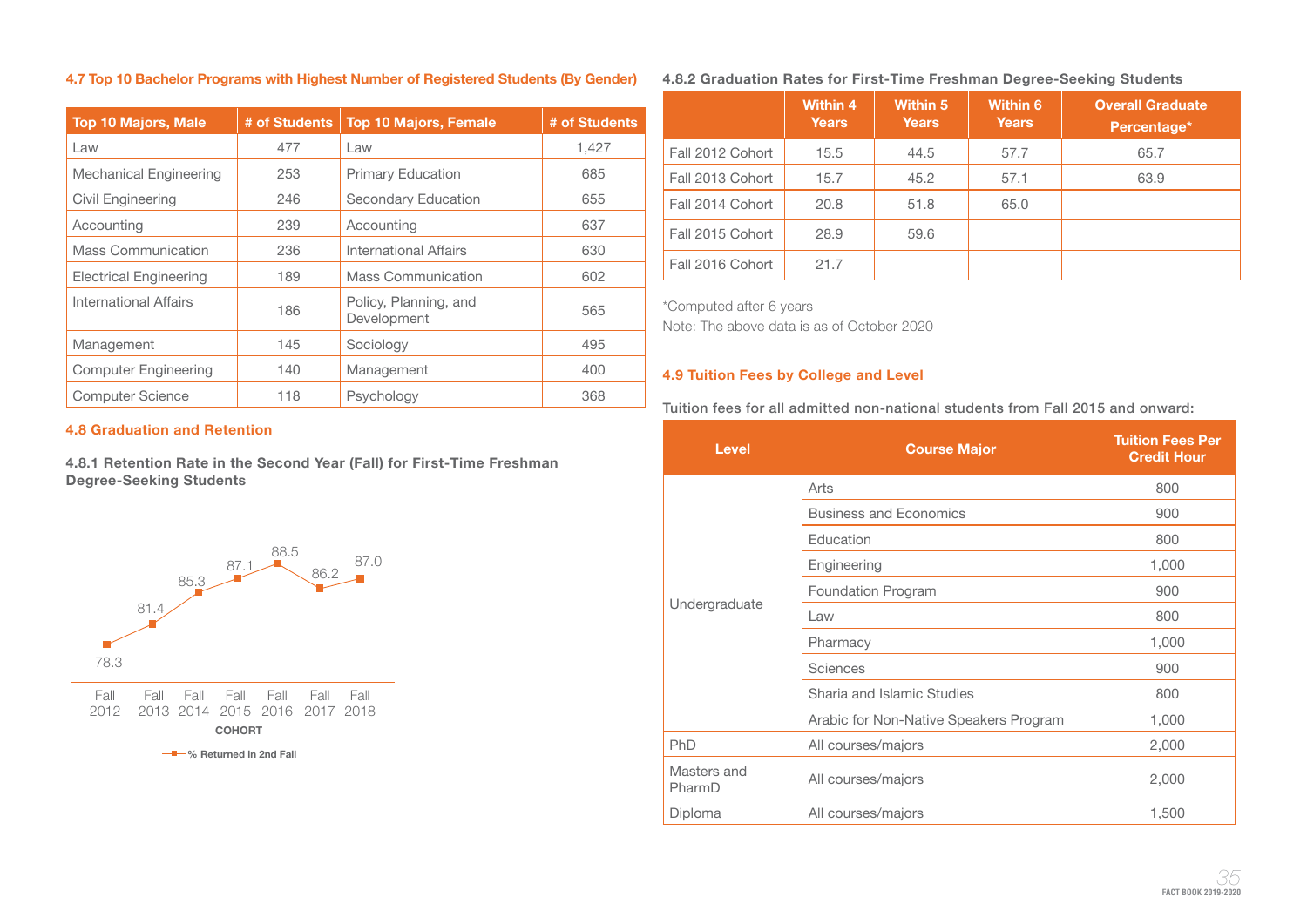# **4.7 Top 10 Bachelor Programs with Highest Number of Registered Students (By Gender)**

| <b>Top 10 Majors, Male</b>    | # of Students | <b>Top 10 Majors, Female</b>         | # of Students |
|-------------------------------|---------------|--------------------------------------|---------------|
| Law                           | 477           | Law                                  | 1,427         |
| Mechanical Engineering        | 253           | <b>Primary Education</b>             | 685           |
| Civil Engineering             | 246           | Secondary Education                  | 655           |
| Accounting                    | 239           | Accounting                           | 637           |
| Mass Communication            | 236           | <b>International Affairs</b>         | 630           |
| <b>Electrical Engineering</b> | 189           | Mass Communication                   | 602           |
| International Affairs         | 186           | Policy, Planning, and<br>Development | 565           |
| Management                    | 145           | Sociology                            | 495           |
| <b>Computer Engineering</b>   | 140           | Management                           | 400           |
| <b>Computer Science</b>       | 118           | Psychology                           | 368           |

#### **4.8 Graduation and Retention**

**4.8.1 Retention Rate in the Second Year (Fall) for First-Time Freshman Degree-Seeking Students**



#### **4.8.2 Graduation Rates for First-Time Freshman Degree-Seeking Students**

|                  | Within 4<br><b>Years</b> | Within 5<br><b>Years</b> | <b>Within 6</b><br><b>Years</b> | <b>Overall Graduate</b><br>Percentage* |
|------------------|--------------------------|--------------------------|---------------------------------|----------------------------------------|
| Fall 2012 Cohort | 15.5                     | 44.5                     | 57.7                            | 65.7                                   |
| Fall 2013 Cohort | 15.7                     | 45.2                     | 57.1                            | 63.9                                   |
| Fall 2014 Cohort | 20.8                     | 51.8                     | 65.0                            |                                        |
| Fall 2015 Cohort | 28.9                     | 59.6                     |                                 |                                        |
| Fall 2016 Cohort | 21.7                     |                          |                                 |                                        |

\*Computed after 6 years

Note: The above data is as of October 2020

#### **4.9 Tuition Fees by College and Level**

Tuition fees for all admitted non-national students from Fall 2015 and onward:

| <b>Level</b>          | <b>Course Major</b>                    | <b>Tuition Fees Per</b><br><b>Credit Hour</b> |
|-----------------------|----------------------------------------|-----------------------------------------------|
|                       | Arts                                   | 800                                           |
|                       | <b>Business and Economics</b>          | 900                                           |
|                       | Education                              | 800                                           |
|                       | Engineering                            | 1,000                                         |
|                       | <b>Foundation Program</b>              | 900                                           |
| Undergraduate         | Law                                    | 800                                           |
|                       | Pharmacy                               | 1,000                                         |
|                       | <b>Sciences</b>                        | 900                                           |
|                       | Sharia and Islamic Studies             | 800                                           |
|                       | Arabic for Non-Native Speakers Program | 1,000                                         |
| PhD                   | All courses/majors                     | 2,000                                         |
| Masters and<br>PharmD | All courses/majors                     | 2,000                                         |
| Diploma               | All courses/majors                     | 1,500                                         |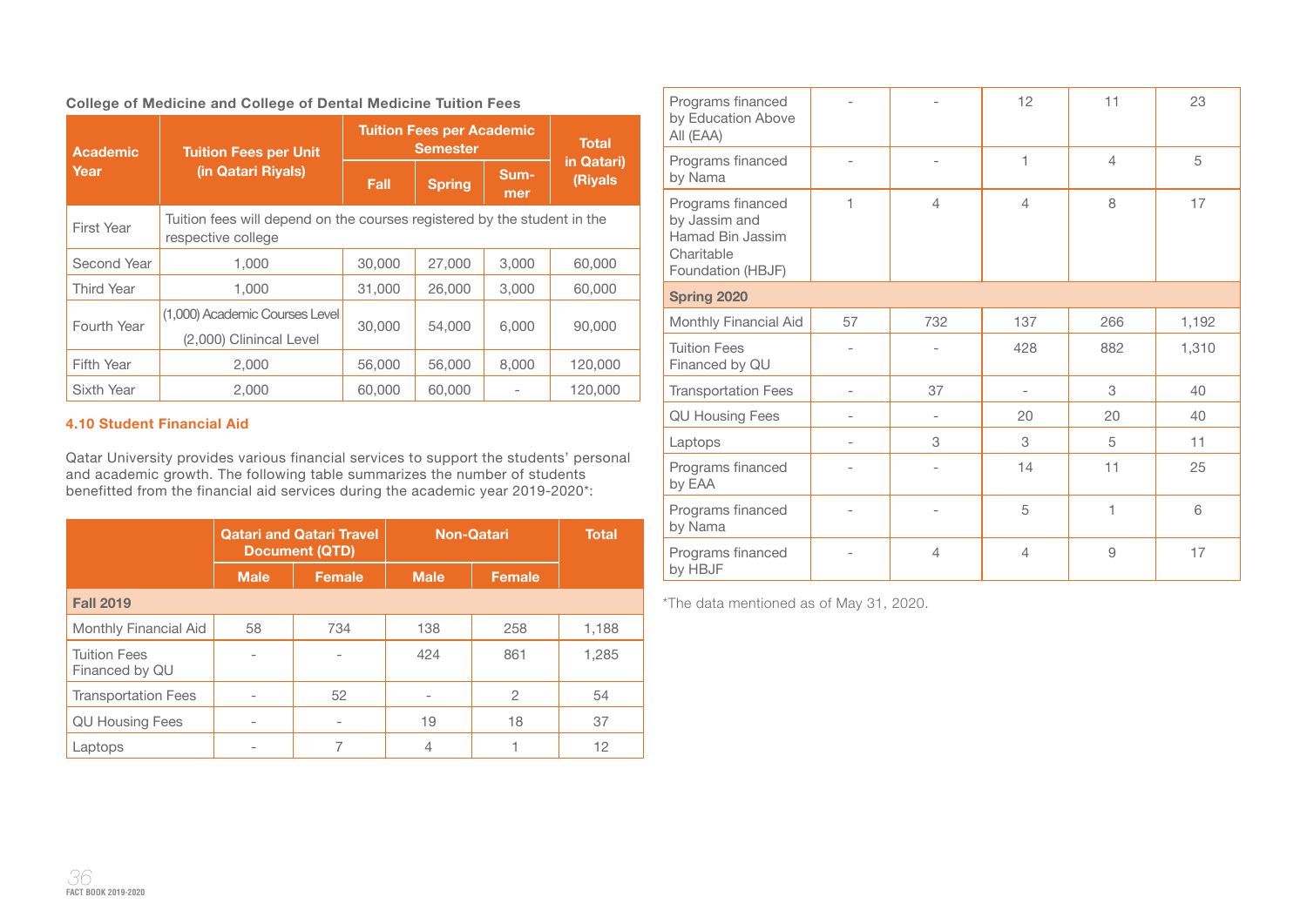| <b>Academic</b>   | <b>Tuition Fees per Unit</b>                                                                   | <b>Tuition Fees per Academic</b><br><b>Semester</b> | <b>Total</b><br>in Qatari)<br>(Riyals |       |         |
|-------------------|------------------------------------------------------------------------------------------------|-----------------------------------------------------|---------------------------------------|-------|---------|
| Year              | (in Qatari Riyals)                                                                             | Sum-<br><b>Spring</b><br>Fall<br>mer                |                                       |       |         |
| First Year        | Tuition fees will depend on the courses registered by the student in the<br>respective college |                                                     |                                       |       |         |
| Second Year       | 1,000                                                                                          | 30,000                                              | 27,000                                | 3,000 | 60,000  |
| <b>Third Year</b> | 1,000                                                                                          | 31,000                                              | 26,000                                | 3,000 | 60,000  |
| Fourth Year       | (1,000) Academic Courses Level<br>(2,000) Clinincal Level                                      | 30,000                                              | 54.000                                | 6,000 | 90,000  |
| Fifth Year        | 2,000                                                                                          | 56,000                                              | 56,000                                | 8.000 | 120,000 |
| Sixth Year        | 2.000                                                                                          | 60,000                                              | 60,000                                |       | 120,000 |

**College of Medicine and College of Dental Medicine Tuition Fees**

#### **4.10 Student Financial Aid**

Qatar University provides various financial services to support the students' personal and academic growth. The following table summarizes the number of students benefitted from the financial aid services during the academic year 2019-2020\*:

|                                       | <b>Qatari and Qatari Travel</b><br><b>Document (QTD)</b> |               | <b>Non-Qatari</b> | Total          |       |  |  |
|---------------------------------------|----------------------------------------------------------|---------------|-------------------|----------------|-------|--|--|
|                                       | <b>Male</b>                                              | <b>Female</b> | <b>Male</b>       | <b>Female</b>  |       |  |  |
| <b>Fall 2019</b>                      |                                                          |               |                   |                |       |  |  |
| Monthly Financial Aid                 | 58                                                       | 734           | 138               | 258            | 1,188 |  |  |
| <b>Tuition Fees</b><br>Financed by QU |                                                          |               | 424               | 861            | 1,285 |  |  |
| <b>Transportation Fees</b>            |                                                          | 52            |                   | $\overline{c}$ | 54    |  |  |
| <b>QU Housing Fees</b>                |                                                          |               | 19                | 18             | 37    |  |  |
| Laptops                               |                                                          |               | 4                 |                | 12    |  |  |

| Programs financed<br>by Education Above<br>All (EAA)                                      |    |                          | 12  | 11             | 23    |
|-------------------------------------------------------------------------------------------|----|--------------------------|-----|----------------|-------|
| Programs financed<br>by Nama                                                              |    | $\overline{\phantom{0}}$ | 1   | $\overline{4}$ | 5     |
| Programs financed<br>by Jassim and<br>Hamad Bin Jassim<br>Charitable<br>Foundation (HBJF) | 1  | 4                        | 4   | 8              | 17    |
| Spring 2020                                                                               |    |                          |     |                |       |
| Monthly Financial Aid                                                                     | 57 | 732                      | 137 | 266            | 1,192 |
| <b>Tuition Fees</b><br>Financed by QU                                                     |    |                          | 428 | 882            | 1,310 |
| <b>Transportation Fees</b>                                                                |    | 37                       |     | 3              | 40    |
| QU Housing Fees                                                                           |    |                          | 20  | 20             | 40    |
| Laptops                                                                                   |    | 3                        | 3   | 5              | 11    |
| Programs financed<br>by EAA                                                               |    |                          | 14  | 11             | 25    |
| Programs financed<br>by Nama                                                              |    |                          | 5   | 1              | 6     |
| Programs financed<br>by HBJF                                                              |    | $\overline{4}$           | 4   | 9              | 17    |

\*The data mentioned as of May 31, 2020.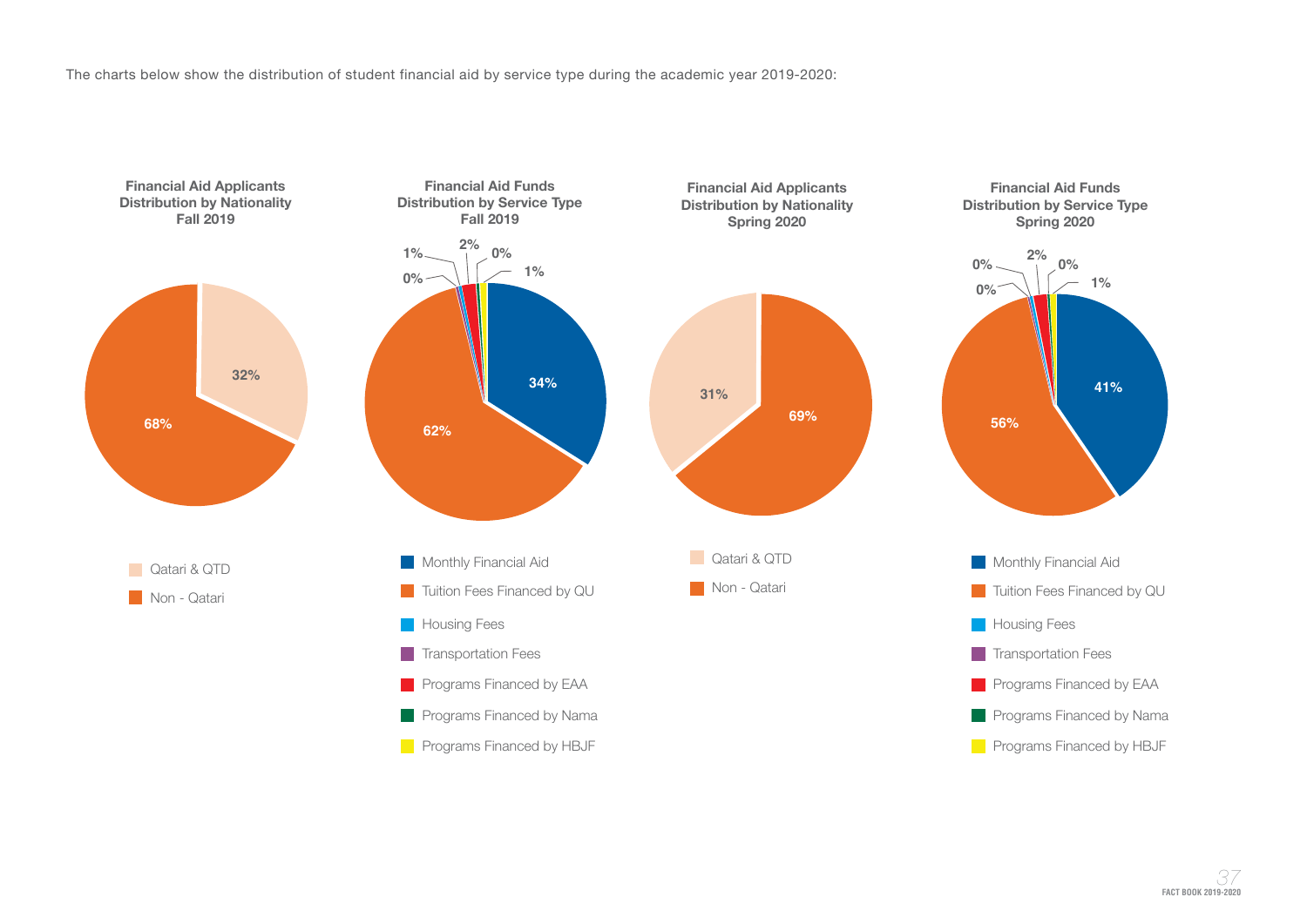The charts below show the distribution of student financial aid by service type during the academic year 2019-2020:

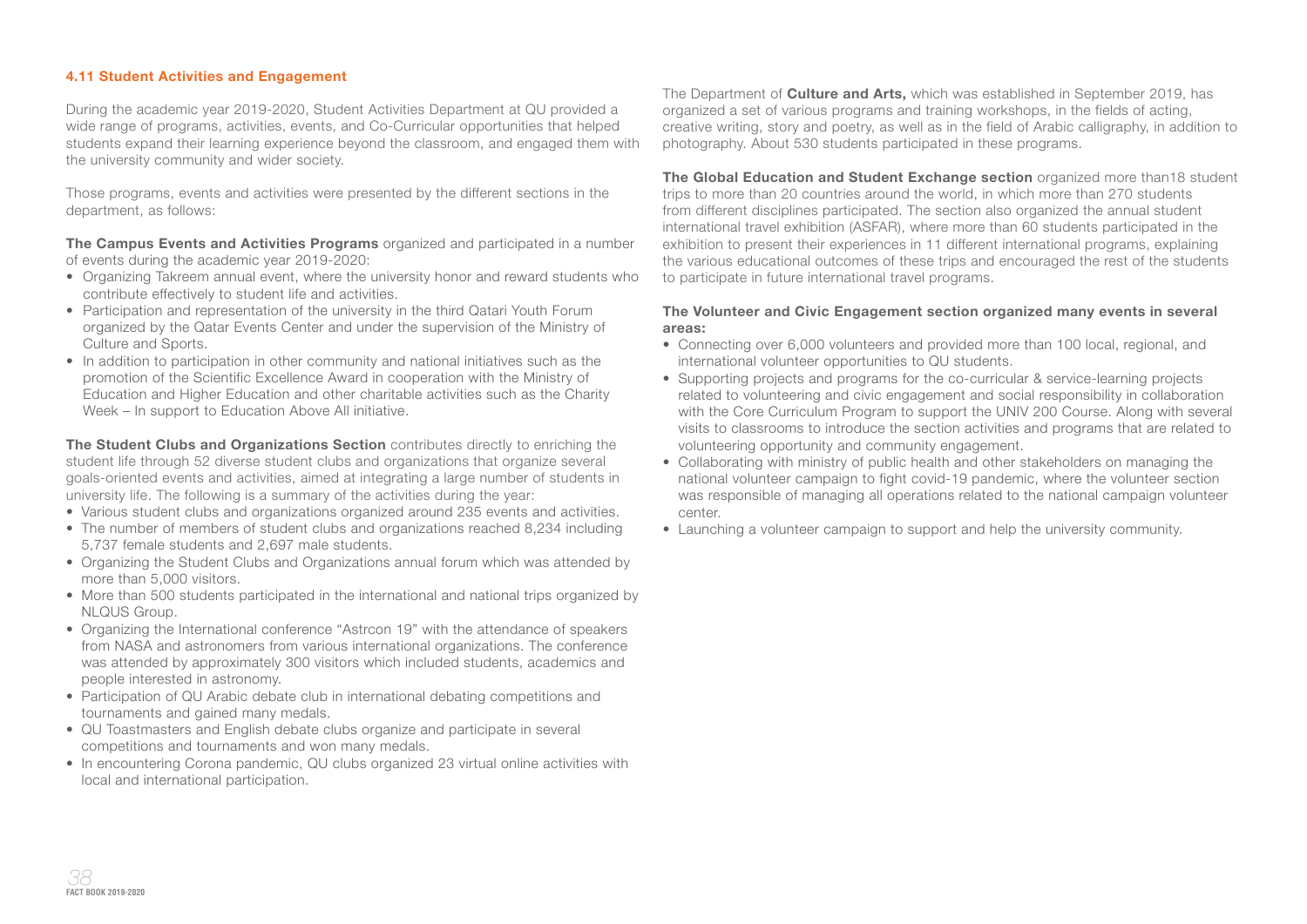# **4.11 Student Activities and Engagement**

During the academic year 2019-2020, Student Activities Department at QU provided a wide range of programs, activities, events, and Co-Curricular opportunities that helped students expand their learning experience beyond the classroom, and engaged them with the university community and wider society.

Those programs, events and activities were presented by the different sections in the department, as follows:

**The Campus Events and Activities Programs** organized and participated in a number of events during the academic year 2019-2020:

- Organizing Takreem annual event, where the university honor and reward students who contribute effectively to student life and activities.
- Participation and representation of the university in the third Qatari Youth Forum organized by the Qatar Events Center and under the supervision of the Ministry of Culture and Sports.
- In addition to participation in other community and national initiatives such as the promotion of the Scientific Excellence Award in cooperation with the Ministry of Education and Higher Education and other charitable activities such as the Charity Week – In support to Education Above All initiative.

**The Student Clubs and Organizations Section** contributes directly to enriching the student life through 52 diverse student clubs and organizations that organize several goals-oriented events and activities, aimed at integrating a large number of students in university life. The following is a summary of the activities during the year:

- Various student clubs and organizations organized around 235 events and activities.
- The number of members of student clubs and organizations reached 8,234 including 5,737 female students and 2,697 male students.
- Organizing the Student Clubs and Organizations annual forum which was attended by more than 5,000 visitors.
- More than 500 students participated in the international and national trips organized by NLQUS Group.
- Organizing the International conference "Astrcon 19" with the attendance of speakers from NASA and astronomers from various international organizations. The conference was attended by approximately 300 visitors which included students, academics and people interested in astronomy.
- Participation of QU Arabic debate club in international debating competitions and tournaments and gained many medals.
- QU Toastmasters and English debate clubs organize and participate in several competitions and tournaments and won many medals.
- In encountering Corona pandemic, QU clubs organized 23 virtual online activities with local and international participation.

The Department of **Culture and Arts,** which was established in September 2019, has organized a set of various programs and training workshops, in the fields of acting, creative writing, story and poetry, as well as in the field of Arabic calligraphy, in addition to photography. About 530 students participated in these programs.

**The Global Education and Student Exchange section** organized more than18 student trips to more than 20 countries around the world, in which more than 270 students from different disciplines participated. The section also organized the annual student international travel exhibition (ASFAR), where more than 60 students participated in the exhibition to present their experiences in 11 different international programs, explaining the various educational outcomes of these trips and encouraged the rest of the students to participate in future international travel programs.

#### **The Volunteer and Civic Engagement section organized many events in several areas:**

- Connecting over 6,000 volunteers and provided more than 100 local, regional, and international volunteer opportunities to QU students.
- Supporting projects and programs for the co-curricular & service-learning projects related to volunteering and civic engagement and social responsibility in collaboration with the Core Curriculum Program to support the UNIV 200 Course. Along with several visits to classrooms to introduce the section activities and programs that are related to volunteering opportunity and community engagement.
- Collaborating with ministry of public health and other stakeholders on managing the national volunteer campaign to fight covid-19 pandemic, where the volunteer section was responsible of managing all operations related to the national campaign volunteer center.
- Launching a volunteer campaign to support and help the university community.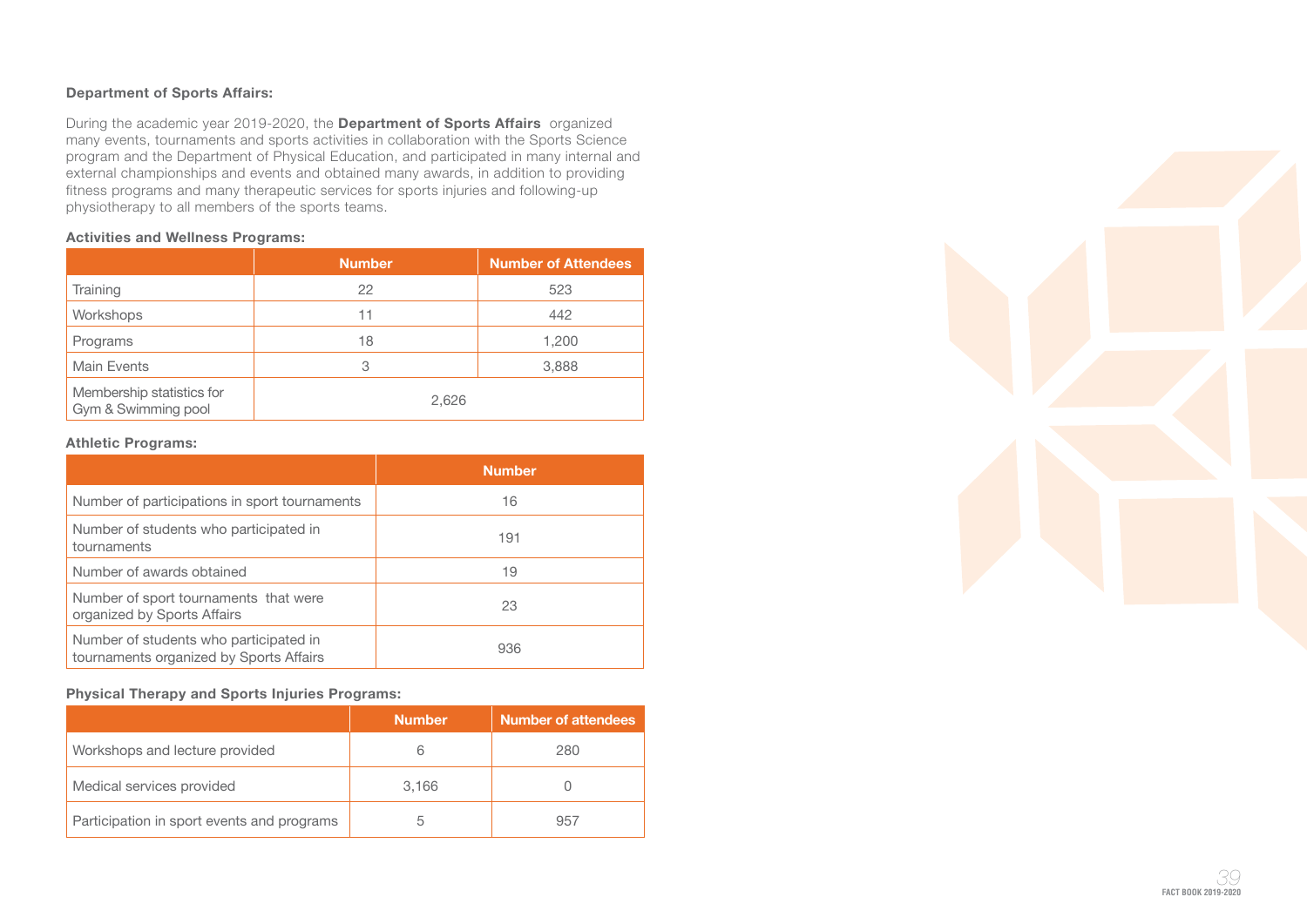# **Department of Sports Affairs:**

During the academic year 2019-2020, the **Department of Sports Affairs** organized many events, tournaments and sports activities in collaboration with the Sports Science program and the Department of Physical Education, and participated in many internal and external championships and events and obtained many awards, in addition to providing fitness programs and many therapeutic services for sports injuries and following-up physiotherapy to all members of the sports teams.

# **Activities and Wellness Programs:**

|                                                  | <b>Number</b> | <b>Number of Attendees</b> |
|--------------------------------------------------|---------------|----------------------------|
| Training                                         | 22            | 523                        |
| Workshops                                        | 11            | 442                        |
| Programs                                         | 18            | 1,200                      |
| Main Events                                      | 3             | 3,888                      |
| Membership statistics for<br>Gym & Swimming pool | 2,626         |                            |

# **Athletic Programs:**

|                                                                                   | <b>Number</b> |
|-----------------------------------------------------------------------------------|---------------|
| Number of participations in sport tournaments                                     | 16            |
| Number of students who participated in<br>tournaments                             | 191           |
| Number of awards obtained                                                         | 19            |
| Number of sport tournaments that were<br>organized by Sports Affairs              | 23            |
| Number of students who participated in<br>tournaments organized by Sports Affairs | 936           |

# **Physical Therapy and Sports Injuries Programs:**

|                                            | <b>Number</b> | Number of attendees |
|--------------------------------------------|---------------|---------------------|
| Workshops and lecture provided             |               | 280                 |
| Medical services provided                  | 3.166         |                     |
| Participation in sport events and programs |               | 957                 |

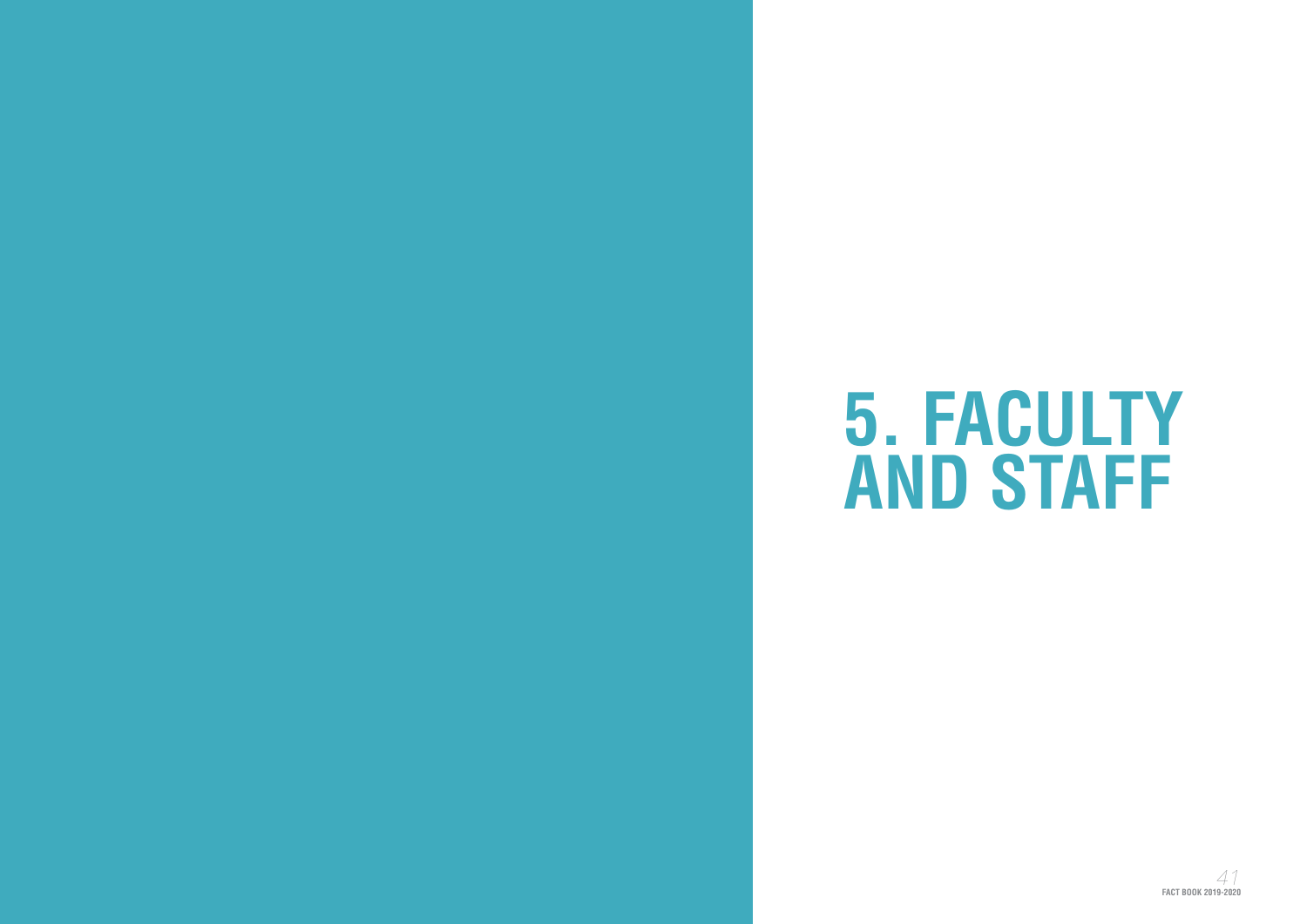# **5. FACULTY AND STAFF**

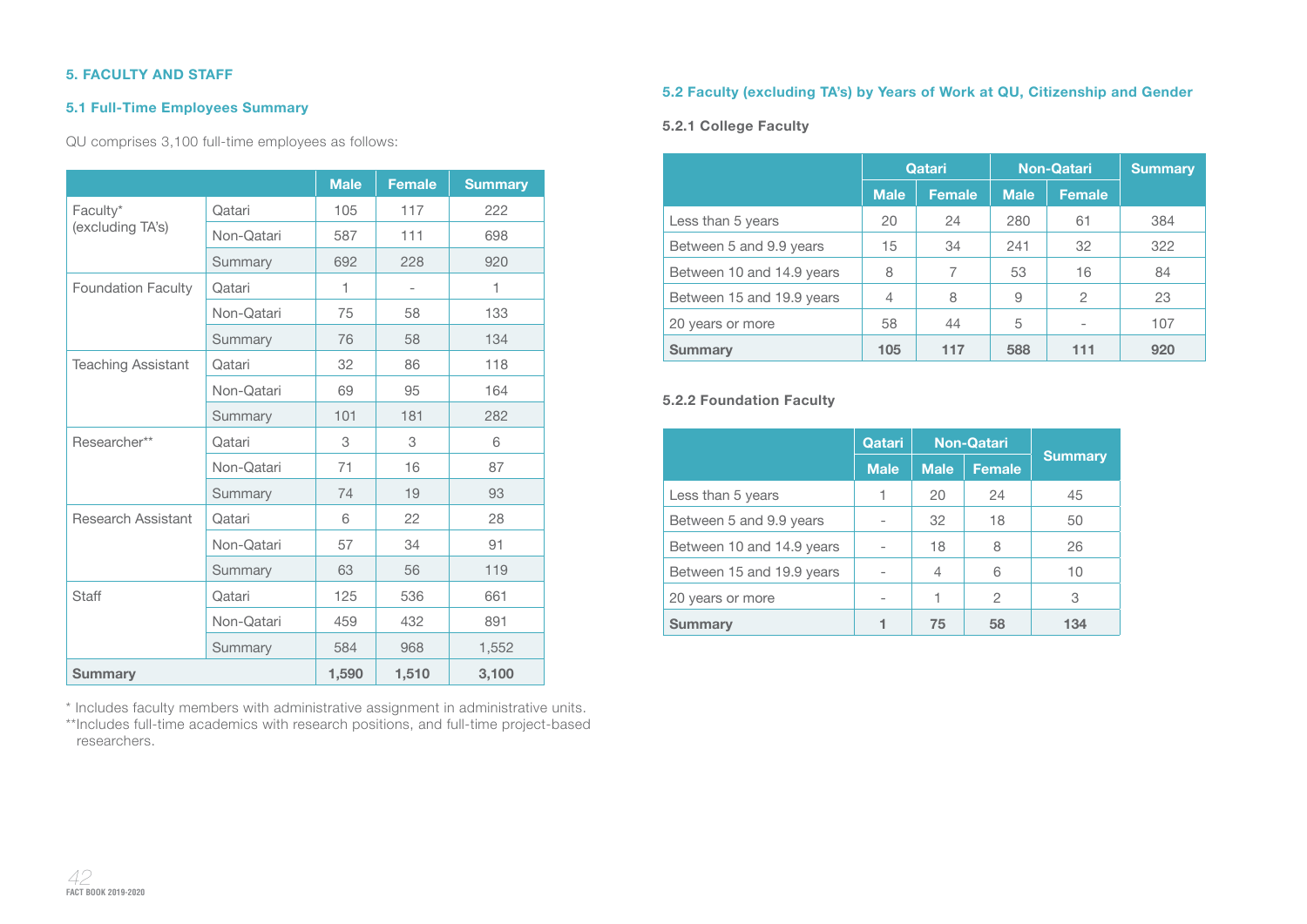# **5. FACULTY AND STAFF**

# **5.1 Full-Time Employees Summary**

QU comprises 3,100 full-time employees as follows:

|                           |            | <b>Male</b> | <b>Female</b> | <b>Summary</b> |
|---------------------------|------------|-------------|---------------|----------------|
| Faculty*                  | Qatari     | 105         | 117           | 222            |
| (excluding TA's)          | Non-Qatari | 587         | 111           | 698            |
|                           | Summary    | 692         | 228           | 920            |
| <b>Foundation Faculty</b> | Qatari     | 1           | $\bar{}$      | 1              |
|                           | Non-Qatari | 75          | 58            | 133            |
|                           | Summary    | 76          | 58            | 134            |
| <b>Teaching Assistant</b> | Qatari     | 32          | 86            | 118            |
|                           | Non-Qatari | 69          | 95            | 164            |
|                           | Summary    | 101         | 181           | 282            |
| Researcher**              | Qatari     | 3           | 3             | 6              |
|                           | Non-Qatari | 71          | 16            | 87             |
|                           | Summary    | 74          | 19            | 93             |
| <b>Research Assistant</b> | Qatari     | 6           | 22            | 28             |
|                           | Non-Qatari | 57          | 34            | 91             |
|                           | Summary    | 63          | 56            | 119            |
| Staff                     | Qatari     | 125         | 536           | 661            |
|                           | Non-Qatari | 459         | 432           | 891            |
|                           | Summary    | 584         | 968           | 1,552          |
| <b>Summary</b>            |            | 1,590       | 1,510         | 3,100          |

\* Includes faculty members with administrative assignment in administrative units. \*\*Includes full-time academics with research positions, and full-time project-based researchers.

# **5.2 Faculty (excluding TA's) by Years of Work at QU, Citizenship and Gender**

**5.2.1 College Faculty**

|                           | Qatari      |               | <b>Non-Qatari</b> |               | <b>Summary</b> |
|---------------------------|-------------|---------------|-------------------|---------------|----------------|
|                           | <b>Male</b> | <b>Female</b> | <b>Male</b>       | <b>Female</b> |                |
| Less than 5 years         | 20          | 24            | 280               | 61            | 384            |
| Between 5 and 9.9 years   | 15          | 34            | 241               | 32            | 322            |
| Between 10 and 14.9 years | 8           | 7             | 53                | 16            | 84             |
| Between 15 and 19.9 years | 4           | 8             | 9                 | 2             | 23             |
| 20 years or more          | 58          | 44            | 5                 |               | 107            |
| <b>Summary</b>            | 105         | 117           | 588               | 111           | 920            |

**5.2.2 Foundation Faculty**

|                           | <b>Qatari</b> | <b>Non-Qatari</b> |               |                |  |
|---------------------------|---------------|-------------------|---------------|----------------|--|
|                           | <b>Male</b>   | <b>Male</b>       | <b>Female</b> | <b>Summary</b> |  |
| Less than 5 years         |               | 20                | 24            | 45             |  |
| Between 5 and 9.9 years   |               | 32                | 18            | 50             |  |
| Between 10 and 14.9 years |               | 18                | 8             | 26             |  |
| Between 15 and 19.9 years |               | 4                 | 6             | 10             |  |
| 20 years or more          |               | 1                 | $\mathcal{P}$ | З              |  |
| <b>Summary</b>            |               | 75                | 58            | 134            |  |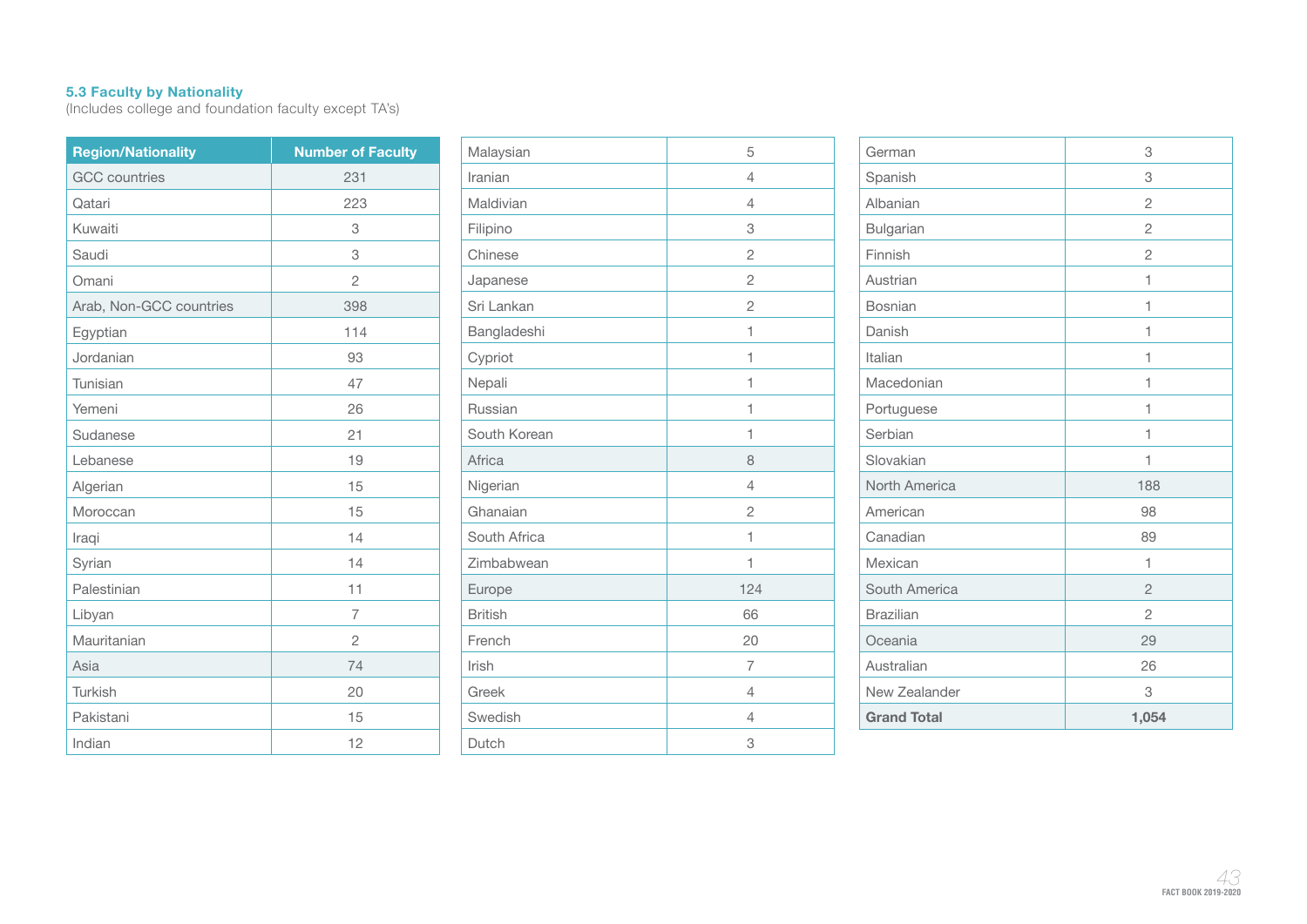# **5.3 Faculty by Nationality**

(Includes college and foundation faculty except TA's)

| <b>Region/Nationality</b> | <b>Number of Faculty</b> |
|---------------------------|--------------------------|
| <b>GCC</b> countries      | 231                      |
| Qatari                    | 223                      |
| Kuwaiti                   | 3                        |
| Saudi                     | 3                        |
| Omani                     | $\overline{2}$           |
| Arab, Non-GCC countries   | 398                      |
| Egyptian                  | 114                      |
| Jordanian                 | 93                       |
| Tunisian                  | 47                       |
| Yemeni                    | 26                       |
| Sudanese                  | 21                       |
| Lebanese                  | 19                       |
| Algerian                  | 15                       |
| Moroccan                  | 15                       |
| Iraqi                     | 14                       |
| Syrian                    | 14                       |
| Palestinian               | 11                       |
| Libyan                    | $\overline{7}$           |
| Mauritanian               | $\overline{2}$           |
| Asia                      | 74                       |
| Turkish                   | 20                       |
| Pakistani                 | 15                       |
| Indian                    | 12                       |

| Malaysian      | 5              |
|----------------|----------------|
| Iranian        | $\overline{4}$ |
| Maldivian      | $\overline{4}$ |
| Filipino       | 3              |
| Chinese        | $\overline{2}$ |
| Japanese       | $\overline{c}$ |
| Sri Lankan     | $\overline{2}$ |
| Bangladeshi    | 1              |
| Cypriot        | 1              |
| Nepali         | 1              |
| Russian        | 1              |
| South Korean   | $\overline{1}$ |
| Africa         | 8              |
| Nigerian       | $\overline{4}$ |
| Ghanaian       | $\overline{2}$ |
| South Africa   | 1              |
| Zimbabwean     | 1              |
| Europe         | 124            |
| <b>British</b> | 66             |
| French         | 20             |
| Irish          | $\overline{7}$ |
| Greek          | $\overline{4}$ |
| Swedish        | $\overline{4}$ |
| Dutch          | 3              |

| German             | 3              |
|--------------------|----------------|
| Spanish            | 3              |
| Albanian           | $\overline{2}$ |
| Bulgarian          | $\overline{2}$ |
| Finnish            | $\overline{2}$ |
| Austrian           | $\overline{1}$ |
| <b>Bosnian</b>     | 1              |
| Danish             | 1              |
| Italian            | 1              |
| Macedonian         | 1              |
| Portuguese         | 1              |
| Serbian            | 1              |
| Slovakian          | 1              |
| North America      | 188            |
| American           | 98             |
| Canadian           | 89             |
| Mexican            | 1              |
| South America      | $\overline{2}$ |
| <b>Brazilian</b>   | $\overline{2}$ |
| Oceania            | 29             |
| Australian         | 26             |
| New Zealander      | 3              |
| <b>Grand Total</b> | 1,054          |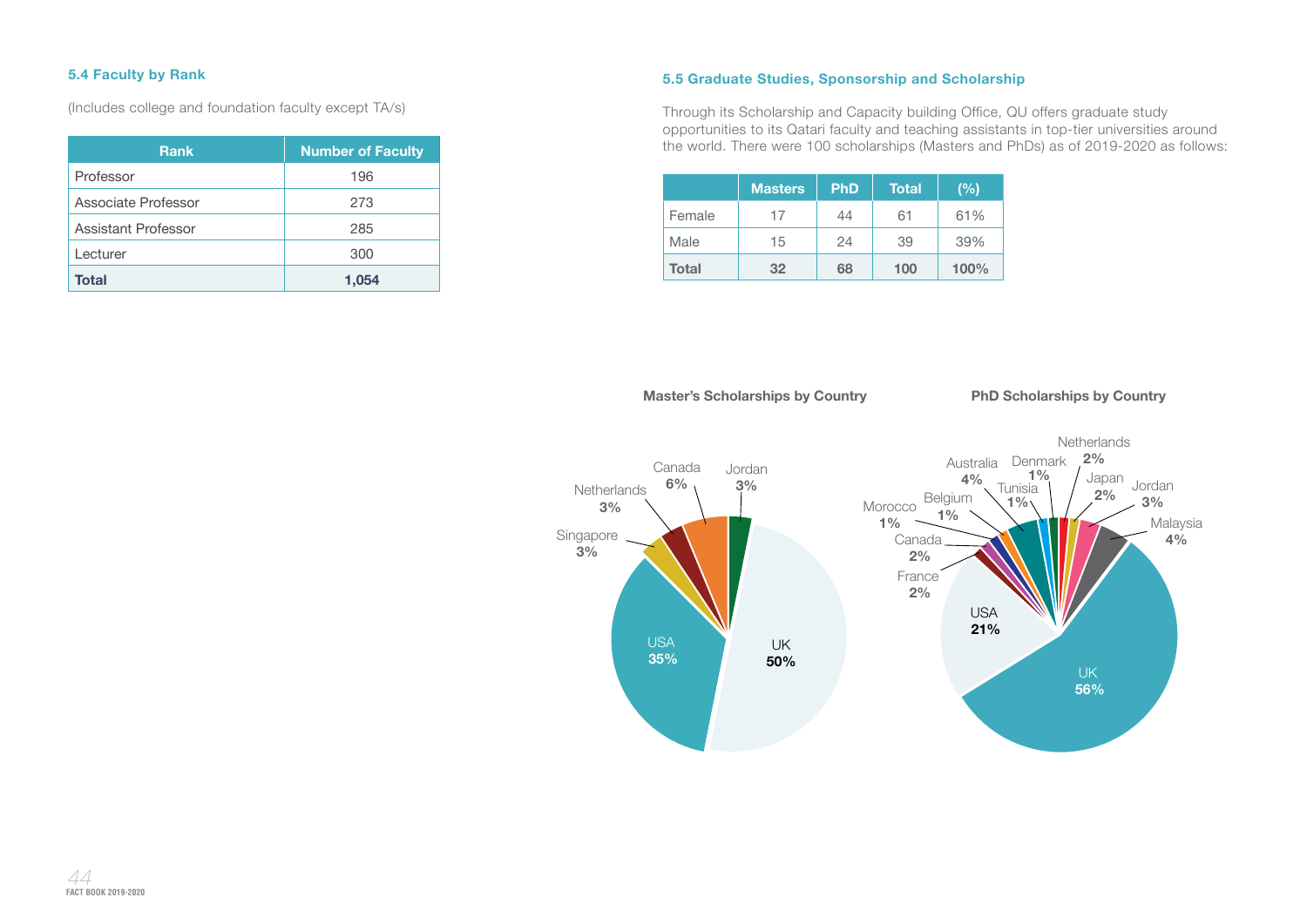# **5.4 Faculty by Rank**

(Includes college and foundation faculty except TA/s)

| <b>Rank</b>                | <b>Number of Faculty</b> |
|----------------------------|--------------------------|
| Professor                  | 196                      |
| Associate Professor        | 273                      |
| <b>Assistant Professor</b> | 285                      |
| Lecturer                   | 300                      |
| Total                      | 1.054                    |

# **5.5 Graduate Studies, Sponsorship and Scholarship**

Through its Scholarship and Capacity building Office, QU offers graduate study opportunities to its Qatari faculty and teaching assistants in top-tier universities around the world. There were 100 scholarships (Masters and PhDs) as of 2019-2020 as follows:

|              | <b>Masters</b> | <b>PhD</b> | <b>Total</b> | (%)  |
|--------------|----------------|------------|--------------|------|
| Female       | 17             | 44         | 61           | 61%  |
| Male         | 15             | 24         | 39           | 39%  |
| <b>Total</b> | 32             | 68         | 100          | 100% |

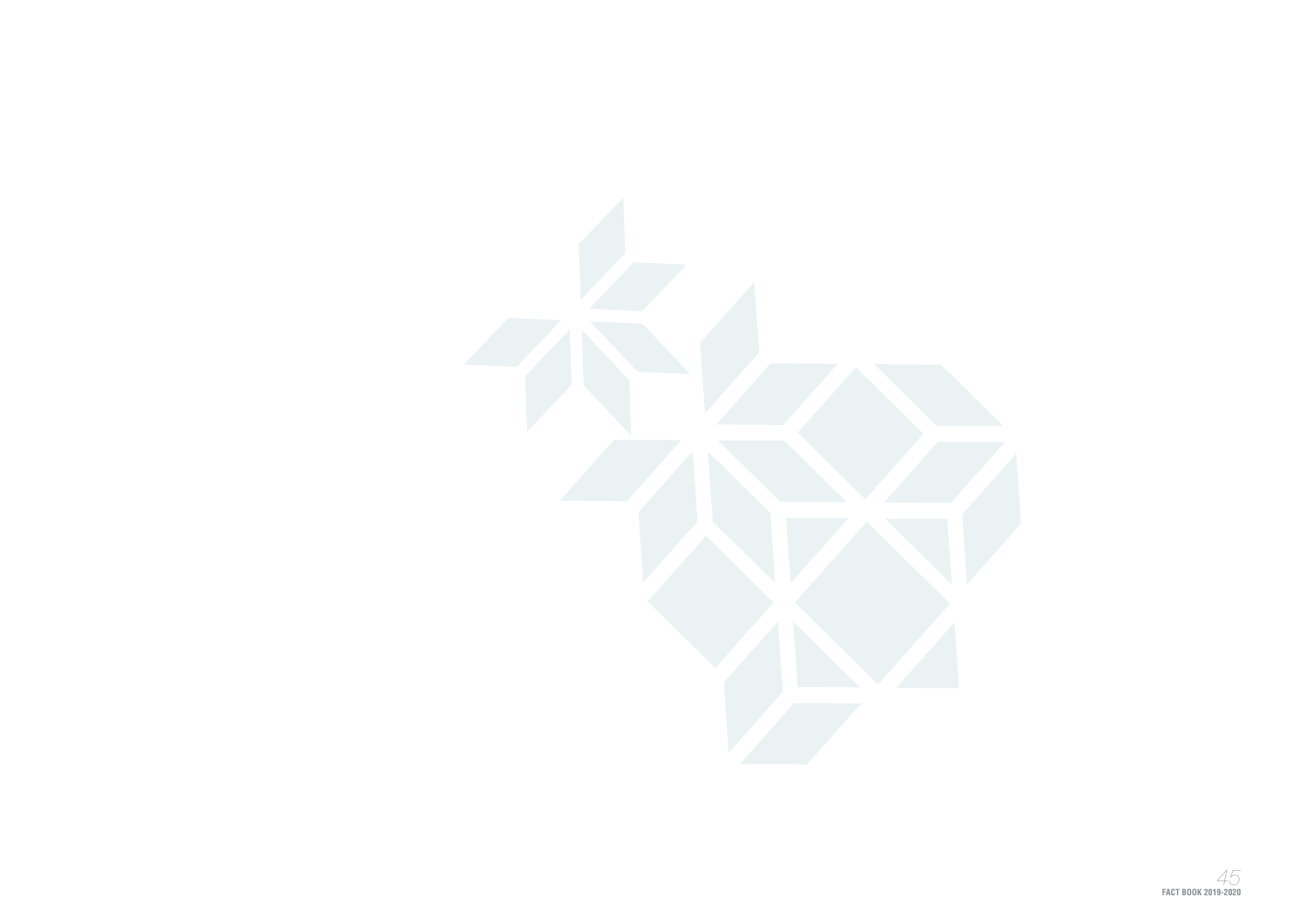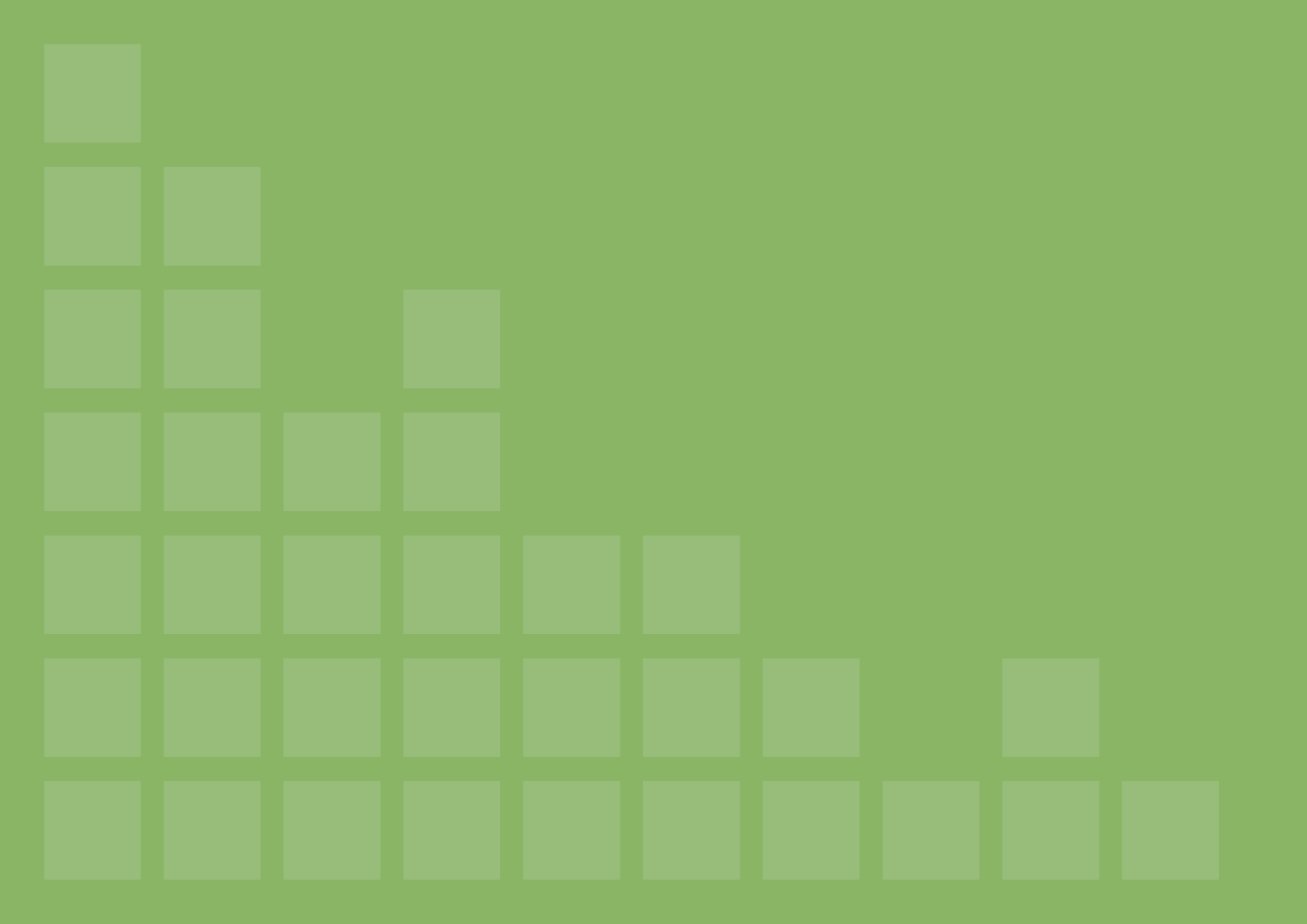| and the company of the company of |                        |  |
|-----------------------------------|------------------------|--|
|                                   |                        |  |
|                                   |                        |  |
|                                   |                        |  |
|                                   | <b>Service Service</b> |  |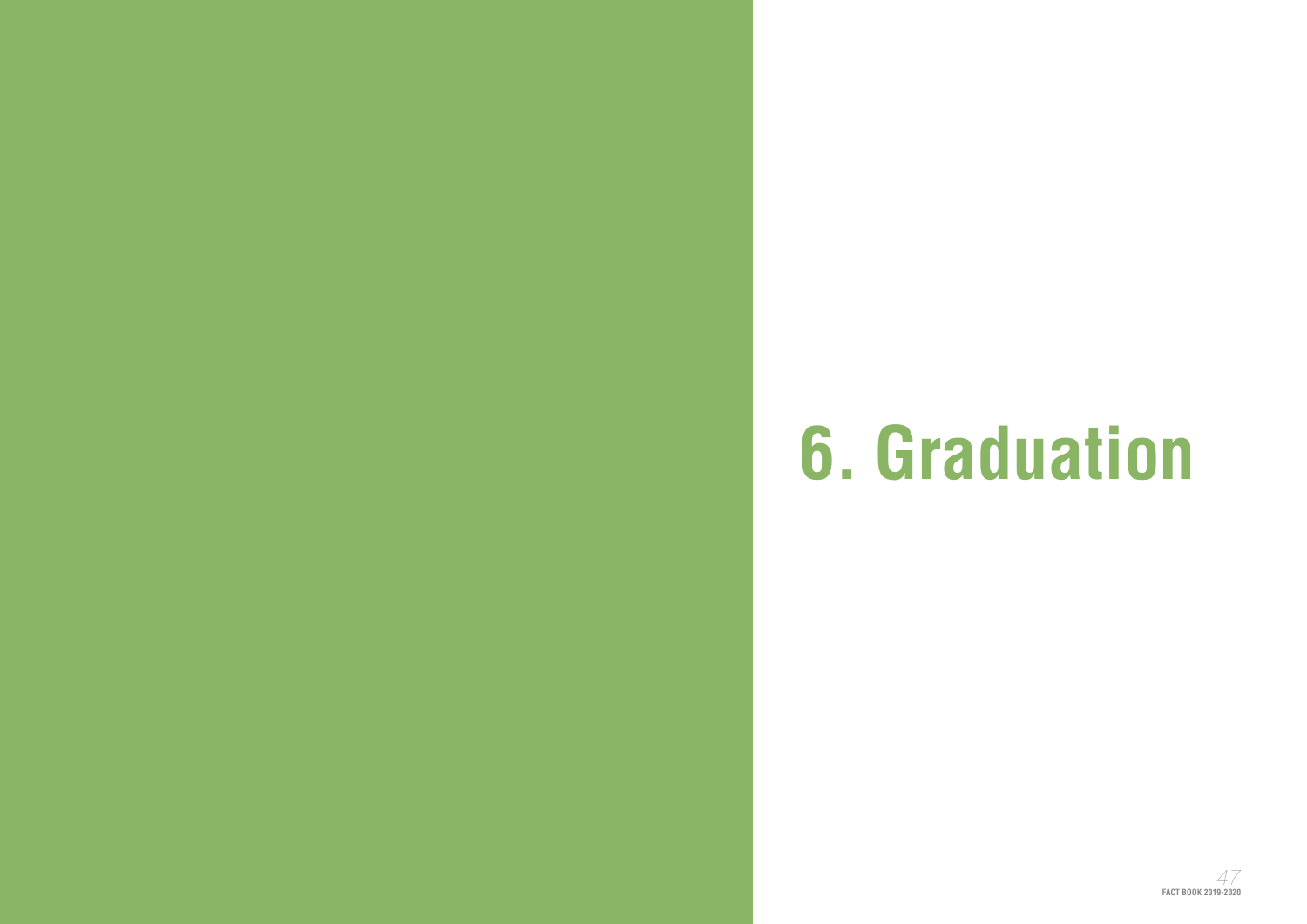# **6. Graduation**

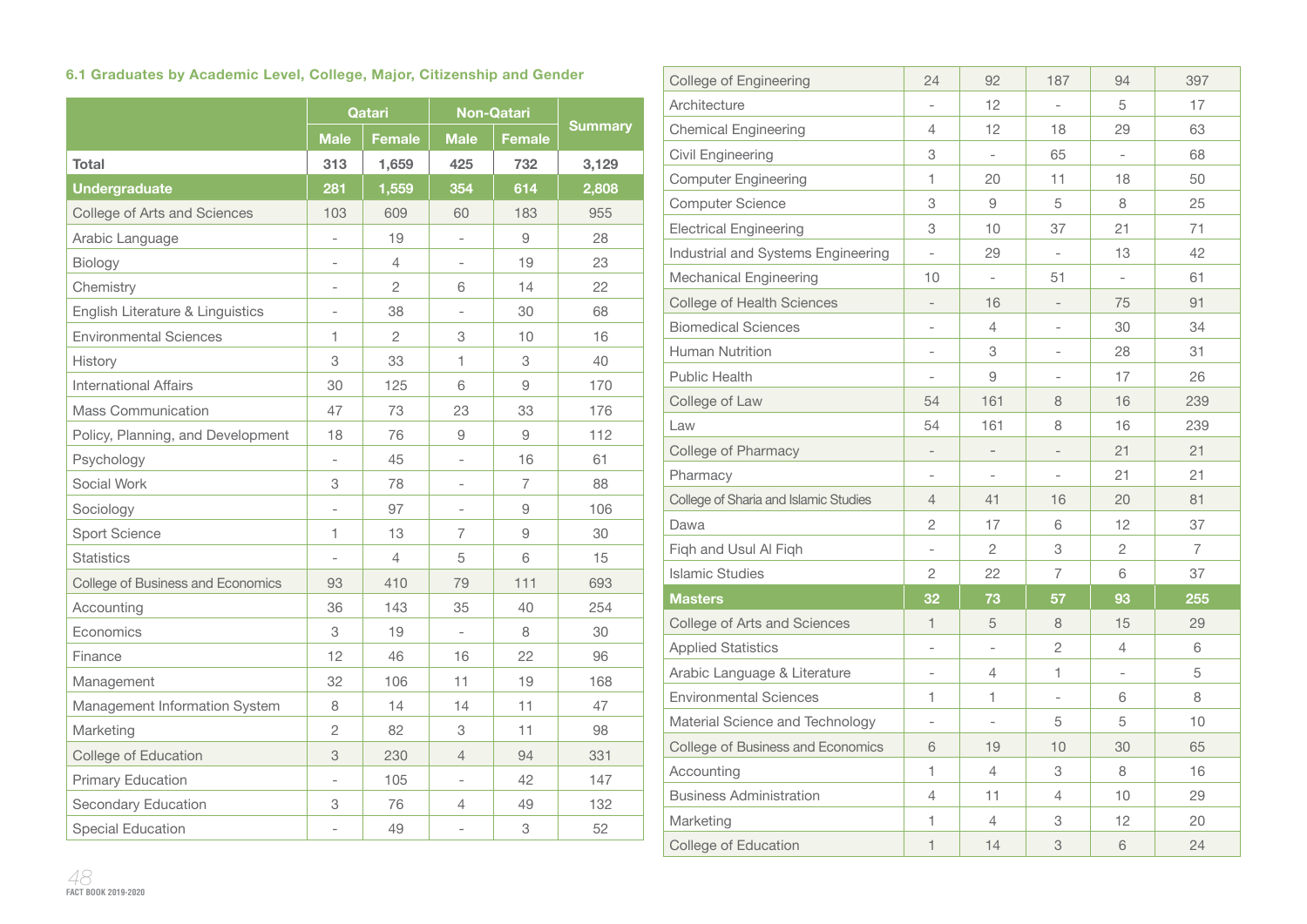# **6.1 Graduates by Academic Level, College, Major, Citizenship and Gender**

|                                   |                          | Qatari         | <b>Non-Qatari</b>        |               |                |
|-----------------------------------|--------------------------|----------------|--------------------------|---------------|----------------|
|                                   | <b>Male</b>              | <b>Female</b>  | <b>Male</b>              | <b>Female</b> | <b>Summary</b> |
| <b>Total</b>                      | 313                      | 1,659          | 425                      | 732           | 3,129          |
| <b>Undergraduate</b>              | 281                      | 1,559          | 354                      | 614           | 2,808          |
| College of Arts and Sciences      | 103                      | 609            | 60                       | 183           | 955            |
| Arabic Language                   | $\overline{a}$           | 19             |                          | 9             | 28             |
| Biology                           | $\overline{a}$           | $\overline{4}$ | $\overline{\phantom{0}}$ | 19            | 23             |
| Chemistry                         | $\overline{a}$           | $\overline{2}$ | 6                        | 14            | 22             |
| English Literature & Linguistics  | $\overline{a}$           | 38             | $\overline{a}$           | 30            | 68             |
| <b>Environmental Sciences</b>     | 1                        | $\overline{2}$ | 3                        | 10            | 16             |
| History                           | 3                        | 33             | 1                        | 3             | 40             |
| <b>International Affairs</b>      | 30                       | 125            | 6                        | 9             | 170            |
| Mass Communication                | 47                       | 73             | 23                       | 33            | 176            |
| Policy, Planning, and Development | 18                       | 76             | 9                        | 9             | 112            |
| Psychology                        | $\overline{\phantom{a}}$ | 45             | $\overline{a}$           | 16            | 61             |
| Social Work                       | 3                        | 78             |                          | 7             | 88             |
| Sociology                         | $\overline{\phantom{a}}$ | 97             | $\overline{\phantom{a}}$ | 9             | 106            |
| Sport Science                     | 1                        | 13             | 7                        | 9             | 30             |
| <b>Statistics</b>                 | $\overline{\phantom{0}}$ | 4              | 5                        | 6             | 15             |
| College of Business and Economics | 93                       | 410            | 79                       | 111           | 693            |
| Accounting                        | 36                       | 143            | 35                       | 40            | 254            |
| Economics                         | 3                        | 19             |                          | 8             | 30             |
| Finance                           | 12                       | 46             | 16                       | 22            | 96             |
| Management                        | 32                       | 106            | 11                       | 19            | 168            |
| Management Information System     | 8                        | 14             | 14                       | 11            | 47             |
| Marketing                         | $\overline{c}$           | 82             | 3                        | 11            | 98             |
| College of Education              | 3                        | 230            | $\overline{4}$           | 94            | 331            |
| <b>Primary Education</b>          | $\overline{\phantom{0}}$ | 105            |                          | 42            | 147            |
| Secondary Education               | 3                        | 76             | 4                        | 49            | 132            |
| <b>Special Education</b>          | $\overline{a}$           | 49             | $\overline{a}$           | 3             | 52             |

| College of Engineering                | 24                       | 92                       | 187                      | 94                       | 397 |
|---------------------------------------|--------------------------|--------------------------|--------------------------|--------------------------|-----|
| Architecture                          |                          | 12                       |                          | 5                        | 17  |
| <b>Chemical Engineering</b>           | 4                        | 12                       | 18                       | 29                       | 63  |
| Civil Engineering                     | 3                        | $\overline{\phantom{m}}$ | 65                       | $\qquad \qquad -$        | 68  |
| <b>Computer Engineering</b>           | 1                        | 20                       | 11                       | 18                       | 50  |
| <b>Computer Science</b>               | 3                        | 9                        | 5                        | 8                        | 25  |
| <b>Electrical Engineering</b>         | 3                        | 10                       | 37                       | 21                       | 71  |
| Industrial and Systems Engineering    |                          | 29                       |                          | 13                       | 42  |
| Mechanical Engineering                | 10                       |                          | 51                       |                          | 61  |
| College of Health Sciences            | $\overline{\phantom{0}}$ | 16                       | $\qquad \qquad -$        | 75                       | 91  |
| <b>Biomedical Sciences</b>            |                          | 4                        |                          | 30                       | 34  |
| <b>Human Nutrition</b>                |                          | 3                        | $\overline{\phantom{0}}$ | 28                       | 31  |
| <b>Public Health</b>                  | $\overline{\phantom{0}}$ | 9                        | $\overline{\phantom{a}}$ | 17                       | 26  |
| College of Law                        | 54                       | 161                      | 8                        | 16                       | 239 |
| Law                                   | 54                       | 161                      | 8                        | 16                       | 239 |
| College of Pharmacy                   | $\overline{\phantom{0}}$ | $\qquad \qquad -$        | $\overline{\phantom{a}}$ | 21                       | 21  |
| Pharmacy                              |                          |                          |                          | 21                       | 21  |
| College of Sharia and Islamic Studies | $\overline{4}$           | 41                       | 16                       | 20                       | 81  |
| Dawa                                  | $\mathbf{2}$             | 17                       | 6                        | 12                       | 37  |
| Figh and Usul Al Figh                 |                          | $\overline{c}$           | 3                        | $\overline{2}$           | 7   |
| <b>Islamic Studies</b>                | $\overline{2}$           | 22                       | 7                        | 6                        | 37  |
| <b>Masters</b>                        | 32                       | 73                       | 57                       | 93                       | 255 |
| College of Arts and Sciences          | $\mathbf{1}$             | 5                        | 8                        | 15                       | 29  |
| <b>Applied Statistics</b>             |                          |                          | $\overline{2}$           | 4                        | 6   |
| Arabic Language & Literature          | $\overline{\phantom{0}}$ | 4                        | 1                        | $\overline{\phantom{m}}$ | 5   |
| <b>Environmental Sciences</b>         | 1                        | 1                        | $\overline{\phantom{0}}$ | 6                        | 8   |
| Material Science and Technology       |                          |                          | 5                        | 5                        | 10  |
| College of Business and Economics     | 6                        | 19                       | 10                       | 30                       | 65  |
| Accounting                            | 1                        | 4                        | 3                        | 8                        | 16  |
| <b>Business Administration</b>        | 4                        | 11                       | 4                        | 10                       | 29  |
| Marketing                             | 1                        | 4                        | 3                        | 12                       | 20  |
| College of Education                  | $\mathbf{1}$             | 14                       | 3                        | 6                        | 24  |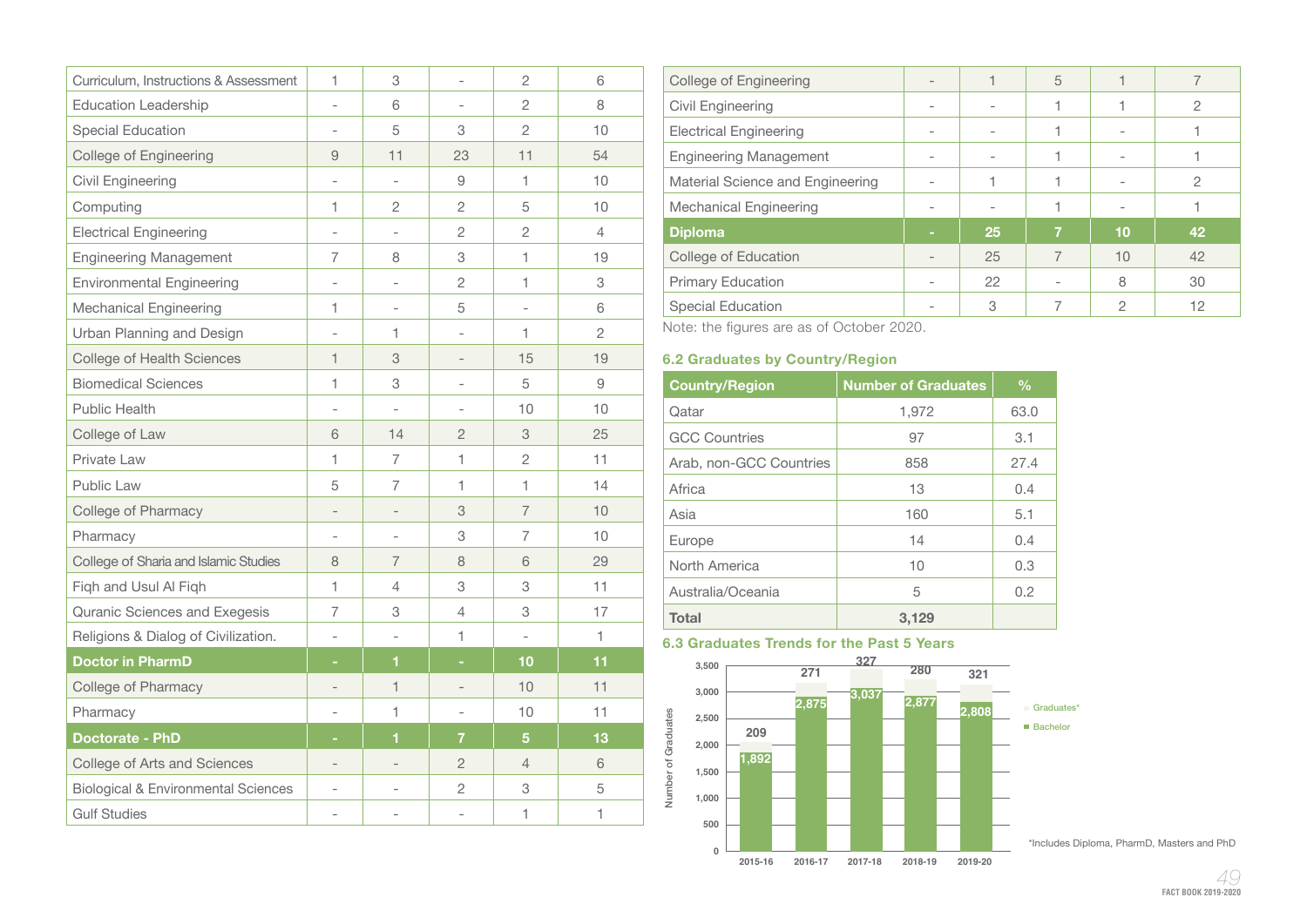| Curriculum, Instructions & Assessment          | 1                        | 3                        | $\overline{\phantom{a}}$ | $\mathbf{2}$   | 6  |
|------------------------------------------------|--------------------------|--------------------------|--------------------------|----------------|----|
| <b>Education Leadership</b>                    |                          | 6                        |                          | $\overline{c}$ | 8  |
| <b>Special Education</b>                       |                          | 5                        | 3                        | $\overline{2}$ | 10 |
| <b>College of Engineering</b>                  | 9                        | 11                       | 23                       | 11             | 54 |
| Civil Engineering                              | $\overline{\phantom{a}}$ | $\overline{\phantom{a}}$ | 9                        | 1              | 10 |
| Computing                                      | 1                        | 2                        | $\overline{2}$           | 5              | 10 |
| <b>Electrical Engineering</b>                  | $\overline{\phantom{a}}$ | $\overline{\phantom{0}}$ | 2                        | 2              | 4  |
| <b>Engineering Management</b>                  | 7                        | 8                        | 3                        | 1              | 19 |
| <b>Environmental Engineering</b>               | $\overline{\phantom{a}}$ | $\overline{\phantom{0}}$ | $\overline{2}$           | 1              | 3  |
| <b>Mechanical Engineering</b>                  | 1                        | $\overline{a}$           | 5                        |                | 6  |
| Urban Planning and Design                      | $\overline{\phantom{a}}$ | 1                        | $\overline{\phantom{0}}$ | 1              | 2  |
| <b>College of Health Sciences</b>              | $\mathbf{1}$             | 3                        | $\overline{a}$           | 15             | 19 |
| <b>Biomedical Sciences</b>                     | 1                        | 3                        | $\overline{\phantom{0}}$ | 5              | 9  |
| <b>Public Health</b>                           |                          | $\overline{a}$           | $\overline{a}$           | 10             | 10 |
| College of Law                                 | 6                        | 14                       | $\overline{2}$           | 3              | 25 |
| Private Law                                    | 1                        | 7                        | 1                        | $\overline{2}$ | 11 |
| <b>Public Law</b>                              | 5                        | 7                        | 1                        | 1              | 14 |
| <b>College of Pharmacy</b>                     |                          | $\overline{a}$           | 3                        | $\overline{7}$ | 10 |
| Pharmacy                                       | $\bar{\phantom{a}}$      | $\overline{a}$           | 3                        | $\overline{7}$ | 10 |
| College of Sharia and Islamic Studies          | 8                        | 7                        | 8                        | 6              | 29 |
| Figh and Usul Al Figh                          | 1                        | 4                        | 3                        | 3              | 11 |
| Quranic Sciences and Exegesis                  | 7                        | 3                        | 4                        | 3              | 17 |
| Religions & Dialog of Civilization.            | $\overline{\phantom{0}}$ | $\overline{\phantom{m}}$ | 1                        | $\frac{1}{2}$  | 1. |
| <b>Doctor in PharmD</b>                        | ÷,                       | 1                        | ÷.                       | 10             | 11 |
| College of Pharmacy                            |                          | $\mathbf{1}$             | $\overline{a}$           | 10             | 11 |
| Pharmacy                                       | $\bar{\phantom{a}}$      | 1                        | $\bar{ }$                | 10             | 11 |
| Doctorate - PhD                                | $\blacksquare$           | 1                        | $\overline{7}$           | $5\phantom{.}$ | 13 |
| College of Arts and Sciences                   | $\overline{\phantom{a}}$ | $\overline{a}$           | $\overline{2}$           | $\overline{4}$ | 6  |
| <b>Biological &amp; Environmental Sciences</b> | $\overline{\phantom{0}}$ | $\overline{a}$           | $\overline{c}$           | 3              | 5  |
| <b>Gulf Studies</b>                            | $\overline{\phantom{a}}$ | $\overline{a}$           | $\overline{a}$           | 1              | 1  |

|   |    | 5               |                |                |
|---|----|-----------------|----------------|----------------|
|   |    |                 |                | $\overline{2}$ |
|   |    |                 |                |                |
|   |    |                 |                |                |
|   |    |                 |                | $\overline{2}$ |
|   |    |                 |                |                |
| ٠ | 25 | $\overline{7}$  | 10             | 42             |
|   | 25 | $\overline{7}$  | 10             | 42             |
|   | 22 | $\qquad \qquad$ | 8              | 30             |
|   | 3  |                 | $\overline{c}$ | 12             |
|   |    |                 |                |                |

Note: the figures are as of October 2020.

# **6.2 Graduates by Country/Region**

| <b>Country/Region</b>   | <b>Number of Graduates</b> | $\frac{0}{0}$ |
|-------------------------|----------------------------|---------------|
| Qatar                   | 1,972                      | 63.0          |
| <b>GCC Countries</b>    | 97                         | 3.1           |
| Arab, non-GCC Countries | 858                        | 27.4          |
| Africa                  | 13                         | 0.4           |
| Asia                    | 160                        | 5.1           |
| Europe                  | 14                         | 0.4           |
| North America           | 10                         | 0.3           |
| Australia/Oceania       | 5                          | 0.2           |
| <b>Total</b>            | 3,129                      |               |

# **6.3 Graduates Trends for the Past 5 Years**



\*Includes Diploma, PharmD, Masters and PhD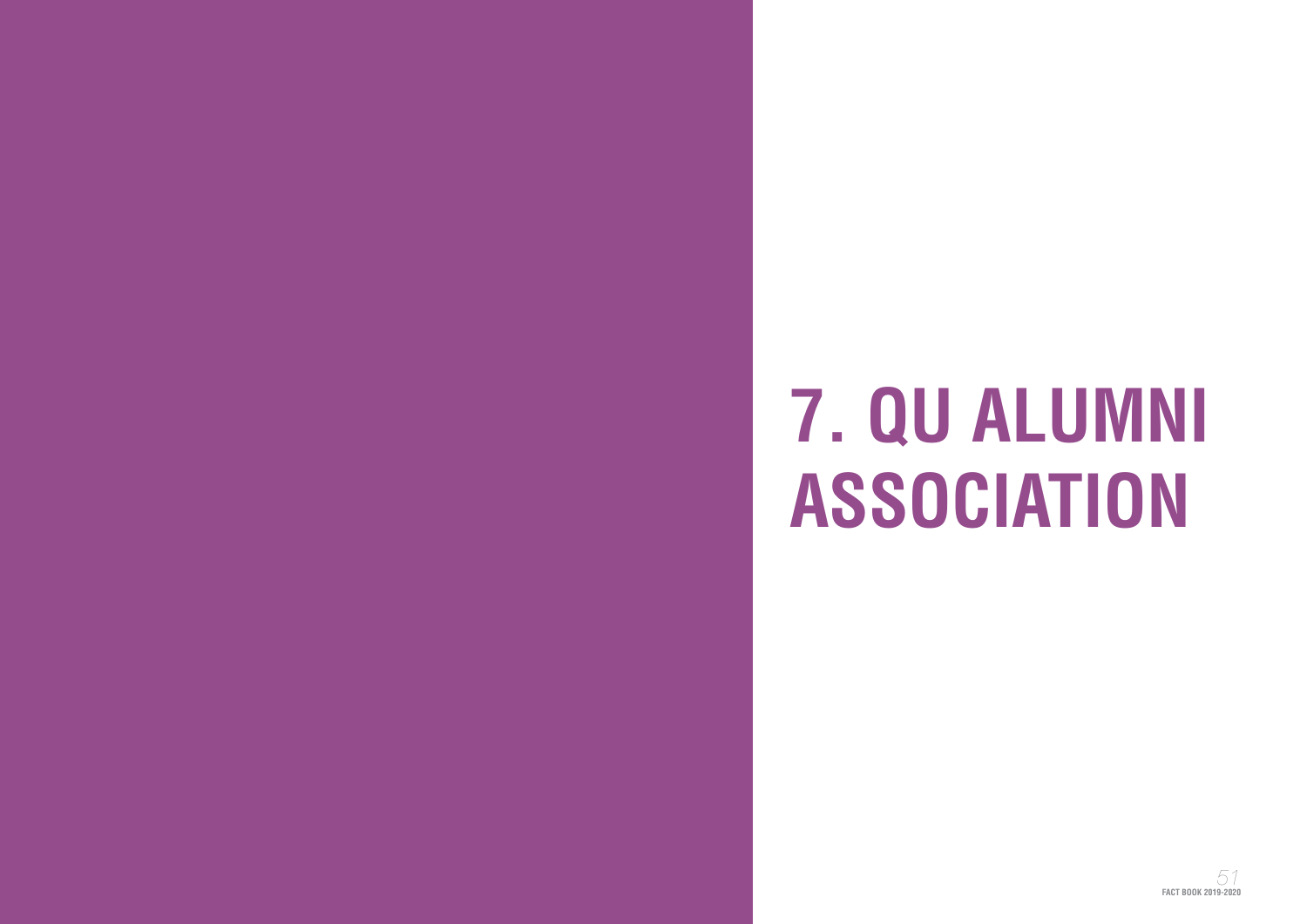# **7. QU ALUMNI ASSOCIATION**

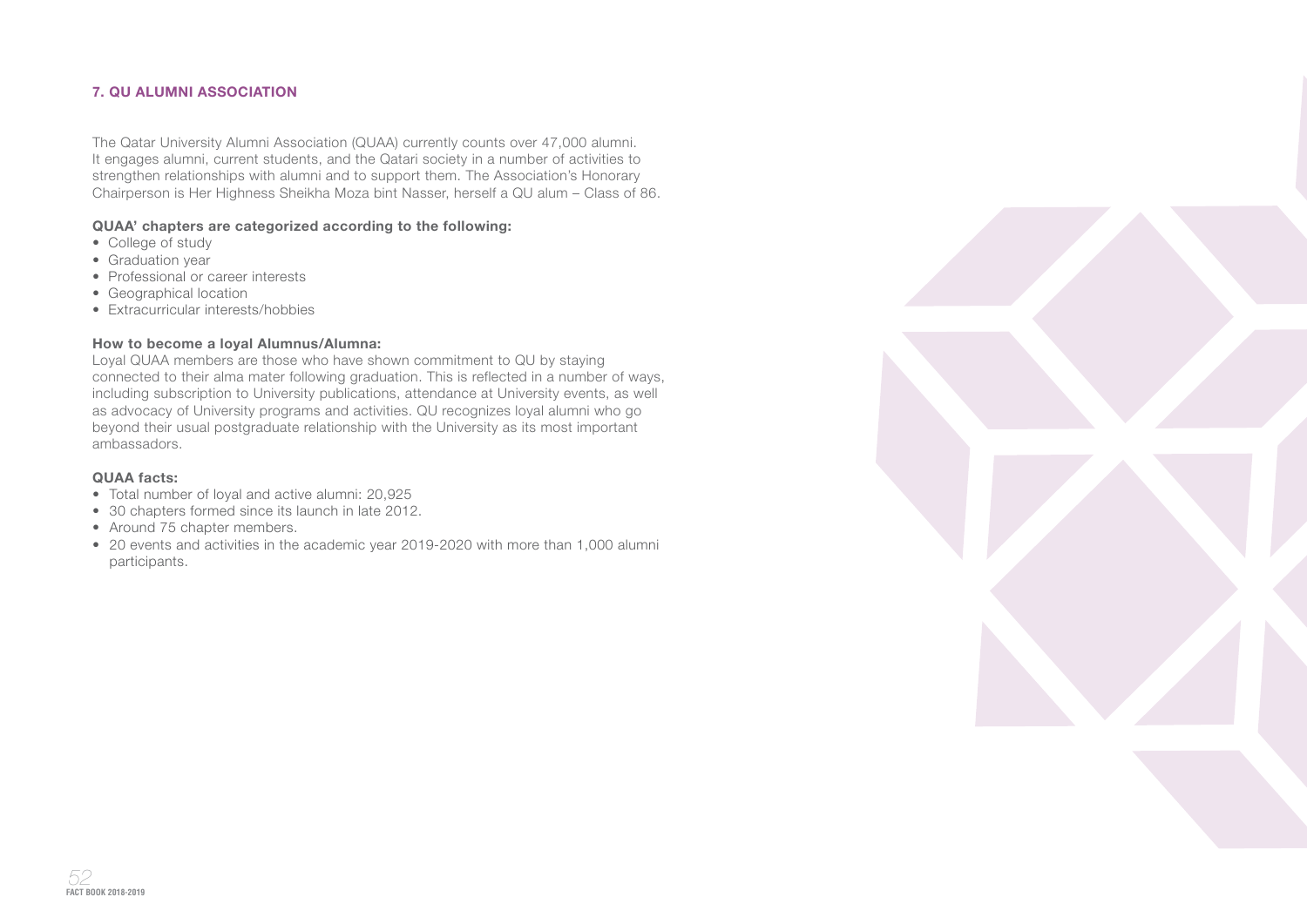# **7. QU ALUMNI ASSOCIATION**

The Qatar University Alumni Association (QUAA) currently counts over 47,000 alumni. It engages alumni, current students, and the Qatari society in a number of activities to strengthen relationships with alumni and to support them. The Association's Honorary Chairperson is Her Highness Sheikha Moza bint Nasser, herself a QU alum – Class of 86.

### **QUAA' chapters are categorized according to the following:**

- College of study
- Graduation year
- Professional or career interests
- Geographical location
- Extracurricular interests/hobbies

#### **How to become a loyal Alumnus/Alumna:**

Loyal QUAA members are those who have shown commitment to QU by staying connected to their alma mater following graduation. This is reflected in a number of ways, including subscription to University publications, attendance at University events, as well as advocacy of University programs and activities. QU recognizes loyal alumni who go beyond their usual postgraduate relationship with the University as its most important ambassadors.

# **QUAA facts:**

- Total number of loyal and active alumni: 20,925
- 30 chapters formed since its launch in late 2012.
- Around 75 chapter members.
- 20 events and activities in the academic year 2019-2020 with more than 1,000 alumni participants.

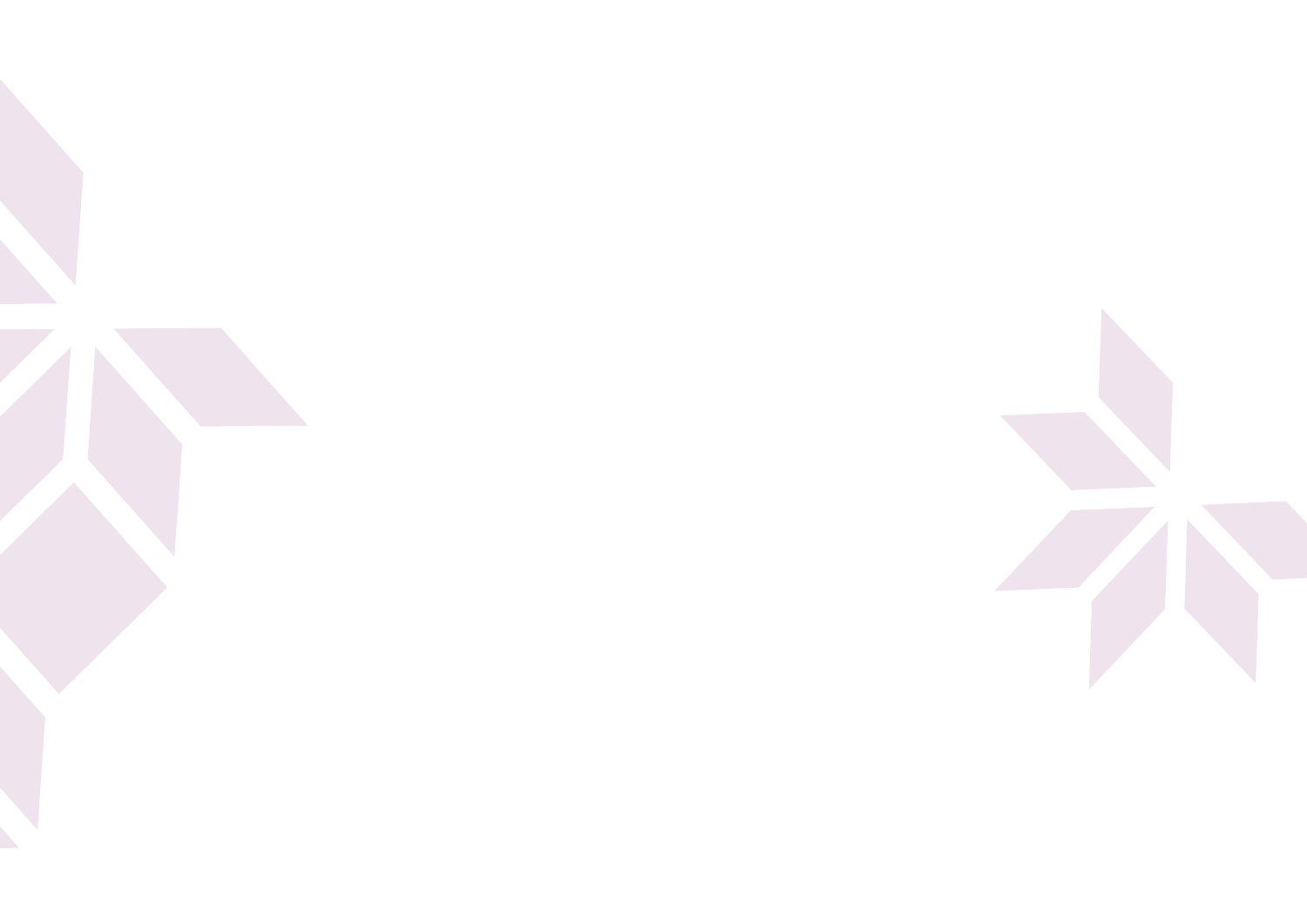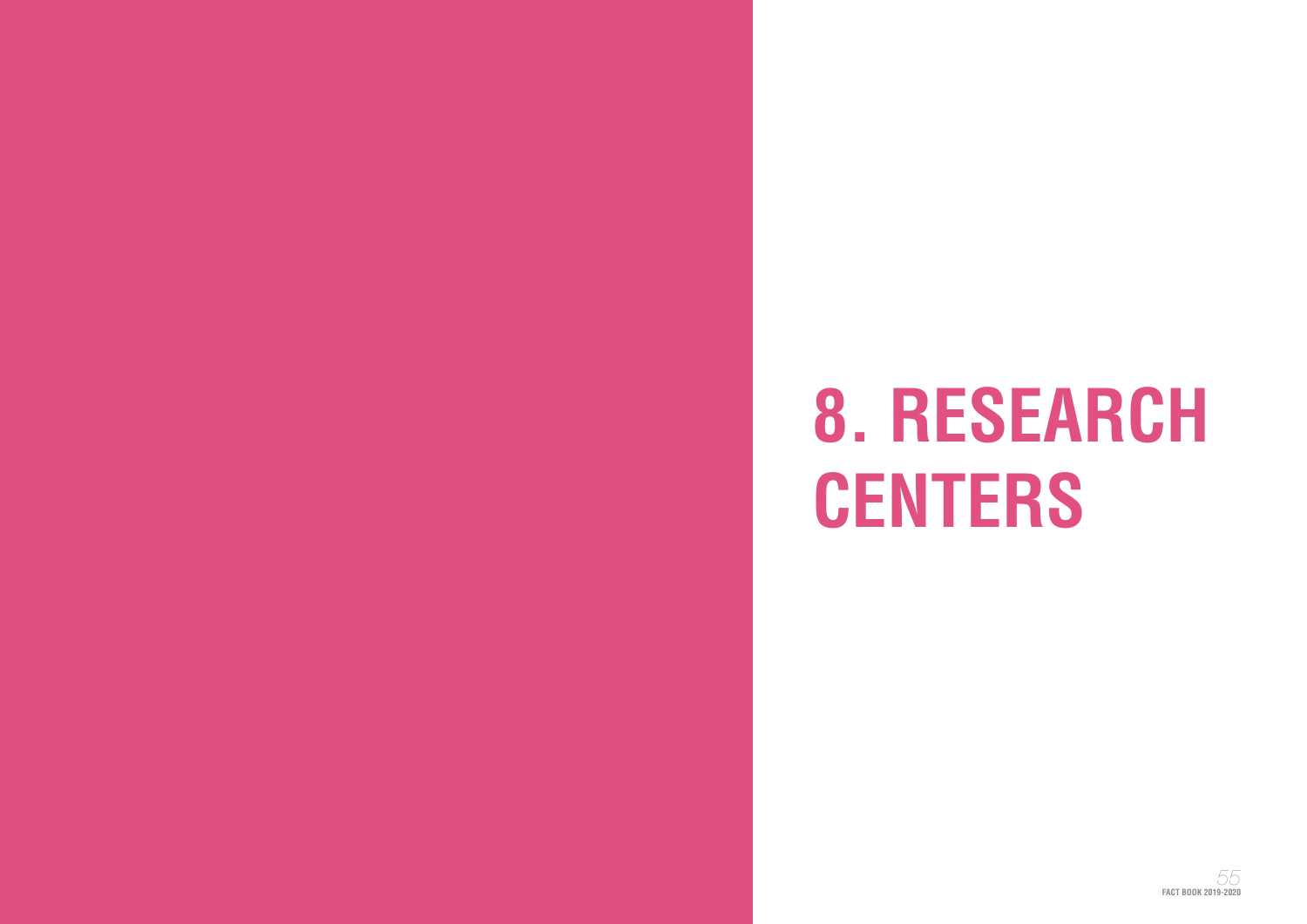# **8. RESEARCH CENTERS**

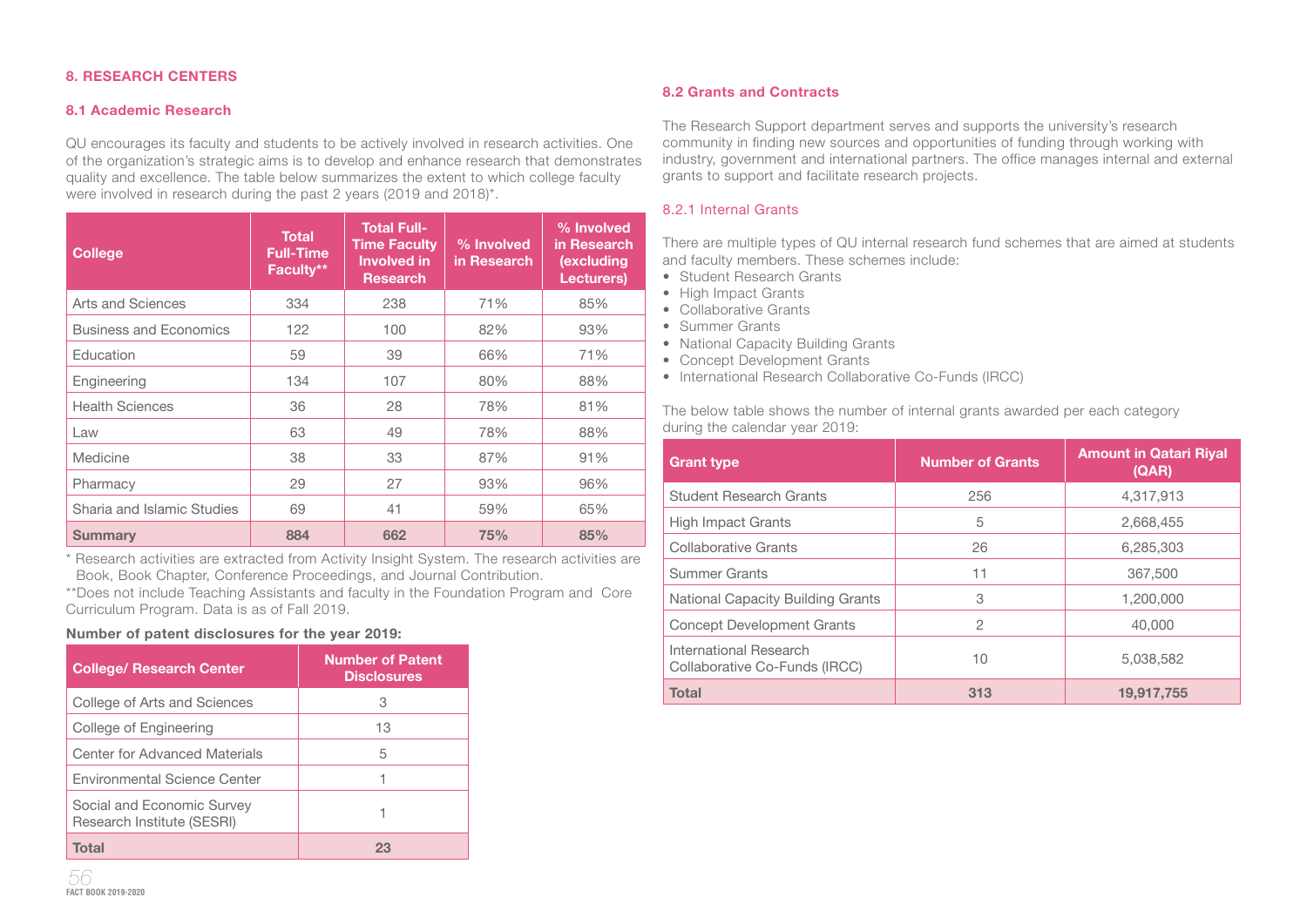# **8. RESEARCH CENTERS**

#### **8.1 Academic Research**

QU encourages its faculty and students to be actively involved in research activities. One of the organization's strategic aims is to develop and enhance research that demonstrates quality and excellence. The table below summarizes the extent to which college faculty were involved in research during the past 2 years (2019 and 2018)\*.

| <b>College</b>                | <b>Total</b><br><b>Full-Time</b><br>Faculty** | <b>Total Full-</b><br><b>Time Faculty</b><br><b>Involved</b> in<br><b>Research</b> | % Involved<br>in Research | % Involved<br>in Research<br>(excluding<br><b>Lecturers</b> ) |
|-------------------------------|-----------------------------------------------|------------------------------------------------------------------------------------|---------------------------|---------------------------------------------------------------|
| Arts and Sciences             | 334                                           | 238                                                                                | 71%                       | 85%                                                           |
| <b>Business and Economics</b> | 122                                           | 100                                                                                | 82%                       | 93%                                                           |
| Education                     | 59                                            | 39                                                                                 | 66%                       | 71%                                                           |
| Engineering                   | 134                                           | 107                                                                                | 80%                       | 88%                                                           |
| <b>Health Sciences</b>        | 36                                            | 28                                                                                 | 78%                       | 81%                                                           |
| Law                           | 63                                            | 49                                                                                 | 78%                       | 88%                                                           |
| Medicine                      | 38                                            | 33                                                                                 | 87%                       | 91%                                                           |
| Pharmacy                      | 29                                            | 27                                                                                 | 93%                       | 96%                                                           |
| Sharia and Islamic Studies    | 69                                            | 41                                                                                 | 59%                       | 65%                                                           |
| <b>Summary</b>                | 884                                           | 662                                                                                | 75%                       | 85%                                                           |

\* Research activities are extracted from Activity Insight System. The research activities are Book, Book Chapter, Conference Proceedings, and Journal Contribution.

\*\*Does not include Teaching Assistants and faculty in the Foundation Program and Core Curriculum Program. Data is as of Fall 2019.

#### **Number of patent disclosures for the year 2019:**

| <b>College/ Research Center</b>                          | <b>Number of Patent</b><br><b>Disclosures</b> |
|----------------------------------------------------------|-----------------------------------------------|
| College of Arts and Sciences                             | З                                             |
| College of Engineering                                   | 13                                            |
| Center for Advanced Materials                            | 5                                             |
| <b>Environmental Science Center</b>                      |                                               |
| Social and Economic Survey<br>Research Institute (SESRI) |                                               |
| Total                                                    | 23                                            |

# **8.2 Grants and Contracts**

The Research Support department serves and supports the university's research community in finding new sources and opportunities of funding through working with industry, government and international partners. The office manages internal and external grants to support and facilitate research projects.

#### 8.2.1 Internal Grants

There are multiple types of QU internal research fund schemes that are aimed at students and faculty members. These schemes include:

- Student Research Grants
- High Impact Grants
- Collaborative Grants
- Summer Grants
- National Capacity Building Grants
- Concept Development Grants
- International Research Collaborative Co-Funds (IRCC)

The below table shows the number of internal grants awarded per each category during the calendar year 2019:

| <b>Grant type</b>                                       | <b>Number of Grants</b> | <b>Amount in Qatari Rival</b><br>(AAR) |
|---------------------------------------------------------|-------------------------|----------------------------------------|
| <b>Student Research Grants</b>                          | 256                     | 4,317,913                              |
| <b>High Impact Grants</b>                               | 5                       | 2,668,455                              |
| <b>Collaborative Grants</b>                             | 26                      | 6,285,303                              |
| Summer Grants                                           | 11                      | 367,500                                |
| National Capacity Building Grants                       | 3                       | 1,200,000                              |
| <b>Concept Development Grants</b>                       | 2                       | 40,000                                 |
| International Research<br>Collaborative Co-Funds (IRCC) | 10                      | 5,038,582                              |
| <b>Total</b>                                            | 313                     | 19,917,755                             |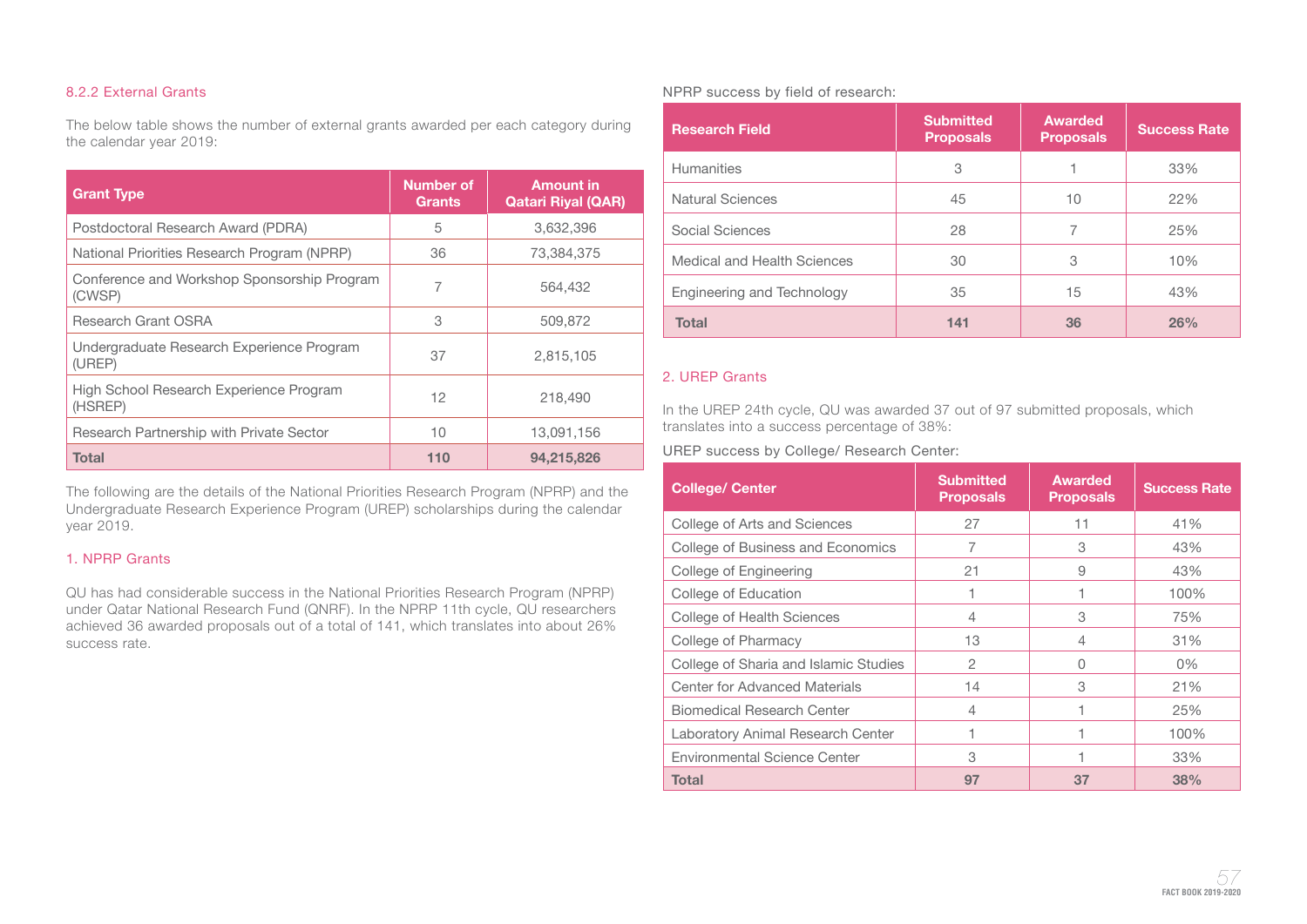# 8.2.2 External Grants

The below table shows the number of external grants awarded per each category during the calendar year 2019:

| <b>Grant Type</b>                                     | Number of<br><b>Grants</b> | <b>Amount in</b><br><b>Qatari Riyal (QAR)</b> |
|-------------------------------------------------------|----------------------------|-----------------------------------------------|
| Postdoctoral Research Award (PDRA)                    | 5                          | 3,632,396                                     |
| National Priorities Research Program (NPRP)           | 36                         | 73,384,375                                    |
| Conference and Workshop Sponsorship Program<br>(CWSP) | 7                          | 564,432                                       |
| Research Grant OSRA                                   | 3                          | 509,872                                       |
| Undergraduate Research Experience Program<br>(UREP)   | 37                         | 2,815,105                                     |
| High School Research Experience Program<br>(HSREP)    | 12                         | 218,490                                       |
| Research Partnership with Private Sector              | 10                         | 13,091,156                                    |
| <b>Total</b>                                          | 110                        | 94,215,826                                    |

The following are the details of the National Priorities Research Program (NPRP) and the Undergraduate Research Experience Program (UREP) scholarships during the calendar year 2019.

#### 1. NPRP Grants

QU has had considerable success in the National Priorities Research Program (NPRP) under Qatar National Research Fund (QNRF). In the NPRP 11th cycle, QU researchers achieved 36 awarded proposals out of a total of 141, which translates into about 26% success rate.

# NPRP success by field of research:

| <b>Research Field</b>       | <b>Submitted</b><br><b>Proposals</b> | <b>Awarded</b><br><b>Proposals</b> | <b>Success Rate</b> |
|-----------------------------|--------------------------------------|------------------------------------|---------------------|
| <b>Humanities</b>           | 3                                    |                                    | 33%                 |
| Natural Sciences            | 45                                   | 10                                 | 22%                 |
| Social Sciences             | 28                                   |                                    | 25%                 |
| Medical and Health Sciences | 30                                   | 3                                  | 10%                 |
| Engineering and Technology  | 35                                   | 15                                 | 43%                 |
| <b>Total</b>                | 141                                  | 36                                 | 26%                 |

# 2. UREP Grants

In the UREP 24th cycle, QU was awarded 37 out of 97 submitted proposals, which translates into a success percentage of 38%:

UREP success by College/ Research Center:

| <b>College/ Center</b>                | <b>Submitted</b><br><b>Proposals</b> | <b>Awarded</b><br><b>Proposals</b> | <b>Success Rate</b> |
|---------------------------------------|--------------------------------------|------------------------------------|---------------------|
| College of Arts and Sciences          | 27                                   | 11                                 | 41%                 |
| College of Business and Economics     | 7                                    | 3                                  | 43%                 |
| College of Engineering                | 21                                   | 9                                  | 43%                 |
| College of Education                  |                                      |                                    | 100%                |
| College of Health Sciences            | 4                                    | 3                                  | 75%                 |
| College of Pharmacy                   | 13                                   | 4                                  | 31%                 |
| College of Sharia and Islamic Studies | 2                                    | Ω                                  | $0\%$               |
| <b>Center for Advanced Materials</b>  | 14                                   | 3                                  | 21%                 |
| <b>Biomedical Research Center</b>     | 4                                    |                                    | 25%                 |
| Laboratory Animal Research Center     |                                      |                                    | 100%                |
| <b>Environmental Science Center</b>   | 3                                    |                                    | 33%                 |
| Total                                 | 97                                   | 37                                 | 38%                 |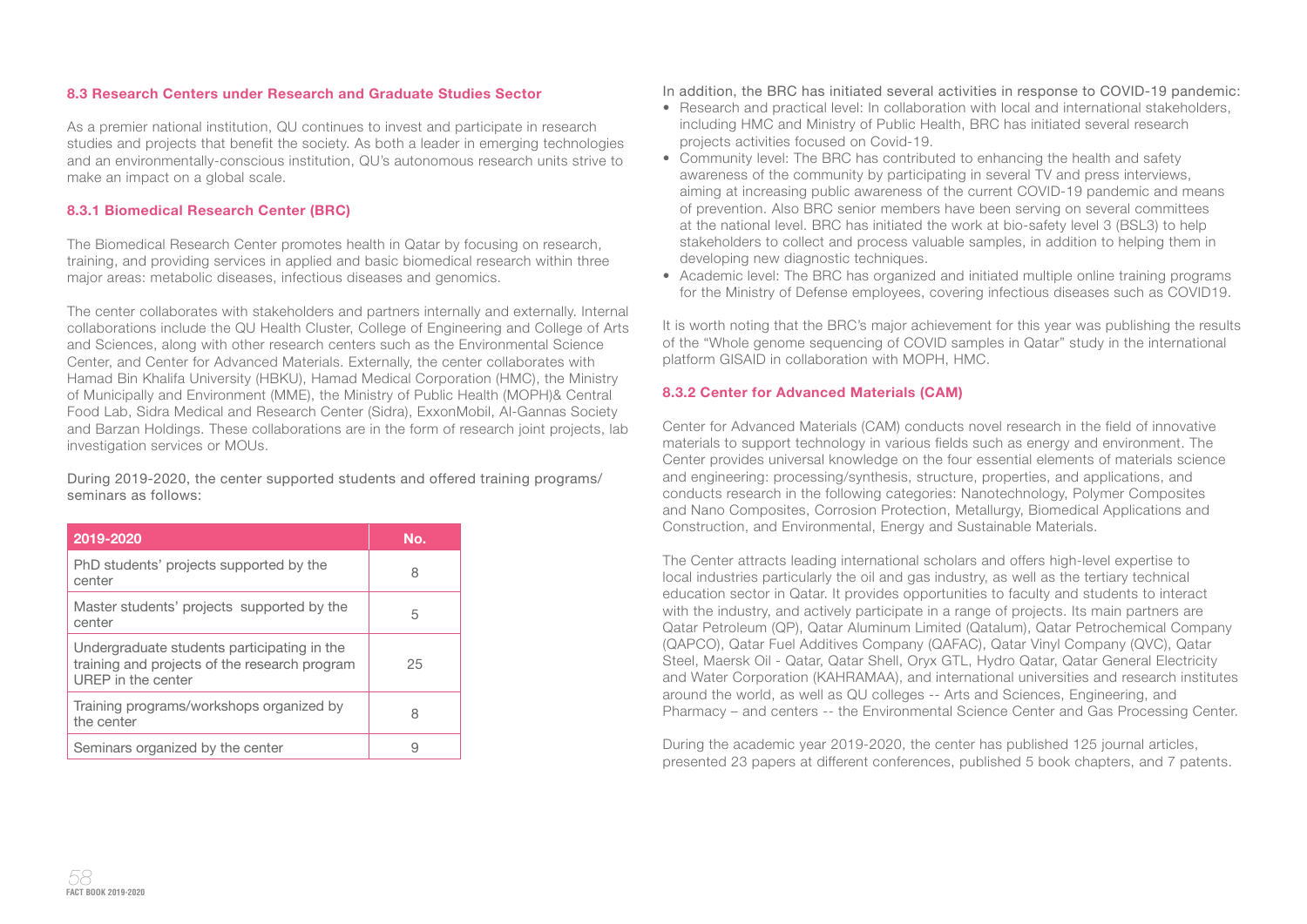#### **8.3 Research Centers under Research and Graduate Studies Sector**

As a premier national institution, QU continues to invest and participate in research studies and projects that benefit the society. As both a leader in emerging technologies and an environmentally-conscious institution, QU's autonomous research units strive to make an impact on a global scale.

# **8.3.1 Biomedical Research Center (BRC)**

The Biomedical Research Center promotes health in Qatar by focusing on research, training, and providing services in applied and basic biomedical research within three major areas: metabolic diseases, infectious diseases and genomics.

The center collaborates with stakeholders and partners internally and externally. Internal collaborations include the QU Health Cluster, College of Engineering and College of Arts and Sciences, along with other research centers such as the Environmental Science Center, and Center for Advanced Materials. Externally, the center collaborates with Hamad Bin Khalifa University (HBKU), Hamad Medical Corporation (HMC), the Ministry of Municipally and Environment (MME), the Ministry of Public Health (MOPH)& Central Food Lab, Sidra Medical and Research Center (Sidra), ExxonMobil, Al-Gannas Society and Barzan Holdings. These collaborations are in the form of research joint projects, lab investigation services or MOUs.

During 2019-2020, the center supported students and offered training programs/ seminars as follows:

| 2019-2020                                                                                                          | No. |
|--------------------------------------------------------------------------------------------------------------------|-----|
| PhD students' projects supported by the<br>center                                                                  | 8   |
| Master students' projects supported by the<br>center                                                               | 5   |
| Undergraduate students participating in the<br>training and projects of the research program<br>URFP in the center | 25  |
| Training programs/workshops organized by<br>the center                                                             | 8   |
| Seminars organized by the center                                                                                   |     |

In addition, the BRC has initiated several activities in response to COVID-19 pandemic:

- Research and practical level: In collaboration with local and international stakeholders, including HMC and Ministry of Public Health, BRC has initiated several research projects activities focused on Covid-19.
- Community level: The BRC has contributed to enhancing the health and safety awareness of the community by participating in several TV and press interviews, aiming at increasing public awareness of the current COVID-19 pandemic and means of prevention. Also BRC senior members have been serving on several committees at the national level. BRC has initiated the work at bio-safety level 3 (BSL3) to help stakeholders to collect and process valuable samples, in addition to helping them in developing new diagnostic techniques.
- Academic level: The BRC has organized and initiated multiple online training programs for the Ministry of Defense employees, covering infectious diseases such as COVID19.

It is worth noting that the BRC's major achievement for this year was publishing the results of the "Whole genome sequencing of COVID samples in Qatar" study in the international platform GISAID in collaboration with MOPH, HMC.

# **8.3.2 Center for Advanced Materials (CAM)**

Center for Advanced Materials (CAM) conducts novel research in the field of innovative materials to support technology in various fields such as energy and environment. The Center provides universal knowledge on the four essential elements of materials science and engineering: processing/synthesis, structure, properties, and applications, and conducts research in the following categories: Nanotechnology, Polymer Composites and Nano Composites, Corrosion Protection, Metallurgy, Biomedical Applications and Construction, and Environmental, Energy and Sustainable Materials.

The Center attracts leading international scholars and offers high-level expertise to local industries particularly the oil and gas industry, as well as the tertiary technical education sector in Qatar. It provides opportunities to faculty and students to interact with the industry, and actively participate in a range of projects. Its main partners are Qatar Petroleum (QP), Qatar Aluminum Limited (Qatalum), Qatar Petrochemical Company (QAPCO), Qatar Fuel Additives Company (QAFAC), Qatar Vinyl Company (QVC), Qatar Steel, Maersk Oil - Qatar, Qatar Shell, Oryx GTL, Hydro Qatar, Qatar General Electricity and Water Corporation (KAHRAMAA), and international universities and research institutes around the world, as well as QU colleges -- Arts and Sciences, Engineering, and Pharmacy – and centers -- the Environmental Science Center and Gas Processing Center.

During the academic year 2019-2020, the center has published 125 journal articles, presented 23 papers at different conferences, published 5 book chapters, and 7 patents.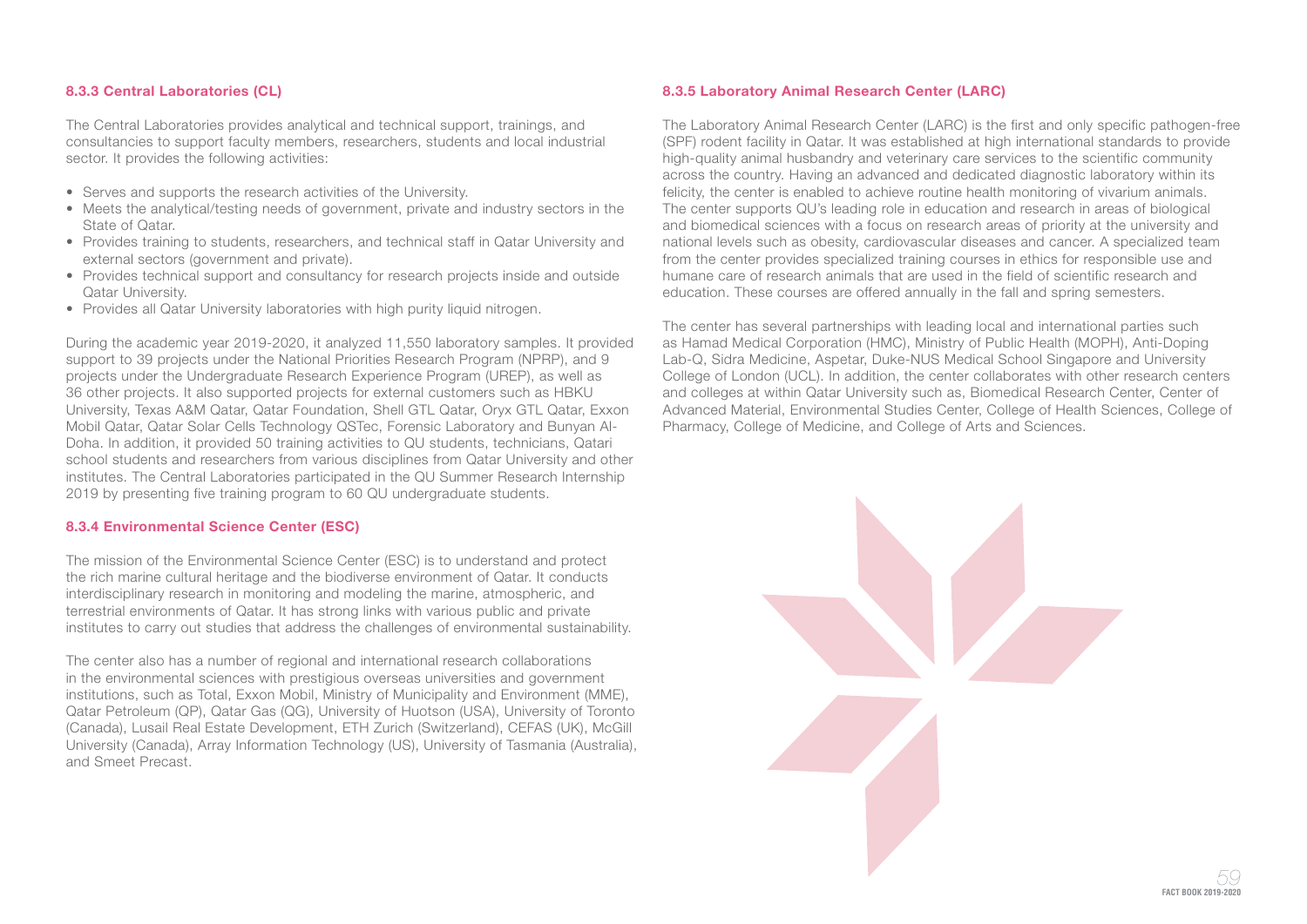# **8.3.3 Central Laboratories (CL)**

The Central Laboratories provides analytical and technical support, trainings, and consultancies to support faculty members, researchers, students and local industrial sector. It provides the following activities:

- Serves and supports the research activities of the University.
- Meets the analytical/testing needs of government, private and industry sectors in the State of Qatar.
- Provides training to students, researchers, and technical staff in Qatar University and external sectors (government and private).
- Provides technical support and consultancy for research projects inside and outside Qatar University.
- Provides all Qatar University laboratories with high purity liquid nitrogen.

During the academic year 2019-2020, it analyzed 11,550 laboratory samples. It provided support to 39 projects under the National Priorities Research Program (NPRP), and 9 projects under the Undergraduate Research Experience Program (UREP), as well as 36 other projects. It also supported projects for external customers such as HBKU University, Texas A&M Qatar, Qatar Foundation, Shell GTL Qatar, Oryx GTL Qatar, Exxon Mobil Qatar, Qatar Solar Cells Technology QSTec, Forensic Laboratory and Bunyan Al-Doha. In addition, it provided 50 training activities to QU students, technicians, Qatari school students and researchers from various disciplines from Qatar University and other institutes. The Central Laboratories participated in the QU Summer Research Internship 2019 by presenting five training program to 60 QU undergraduate students.

#### **8.3.4 Environmental Science Center (ESC)**

The mission of the Environmental Science Center (ESC) is to understand and protect the rich marine cultural heritage and the biodiverse environment of Qatar. It conducts interdisciplinary research in monitoring and modeling the marine, atmospheric, and terrestrial environments of Qatar. It has strong links with various public and private institutes to carry out studies that address the challenges of environmental sustainability.

The center also has a number of regional and international research collaborations in the environmental sciences with prestigious overseas universities and government institutions, such as Total, Exxon Mobil, Ministry of Municipality and Environment (MME), Qatar Petroleum (QP), Qatar Gas (QG), University of Huotson (USA), University of Toronto (Canada), Lusail Real Estate Development, ETH Zurich (Switzerland), CEFAS (UK), McGill University (Canada), Array Information Technology (US), University of Tasmania (Australia), and Smeet Precast.

### **8.3.5 Laboratory Animal Research Center (LARC)**

The Laboratory Animal Research Center (LARC) is the first and only specific pathogen-free (SPF) rodent facility in Qatar. It was established at high international standards to provide high-quality animal husbandry and veterinary care services to the scientific community across the country. Having an advanced and dedicated diagnostic laboratory within its felicity, the center is enabled to achieve routine health monitoring of vivarium animals. The center supports QU's leading role in education and research in areas of biological and biomedical sciences with a focus on research areas of priority at the university and national levels such as obesity, cardiovascular diseases and cancer. A specialized team from the center provides specialized training courses in ethics for responsible use and humane care of research animals that are used in the field of scientific research and education. These courses are offered annually in the fall and spring semesters.

The center has several partnerships with leading local and international parties such as Hamad Medical Corporation (HMC), Ministry of Public Health (MOPH), Anti-Doping Lab-Q, Sidra Medicine, Aspetar, Duke-NUS Medical School Singapore and University College of London (UCL). In addition, the center collaborates with other research centers and colleges at within Qatar University such as, Biomedical Research Center, Center of Advanced Material, Environmental Studies Center, College of Health Sciences, College of Pharmacy, College of Medicine, and College of Arts and Sciences.

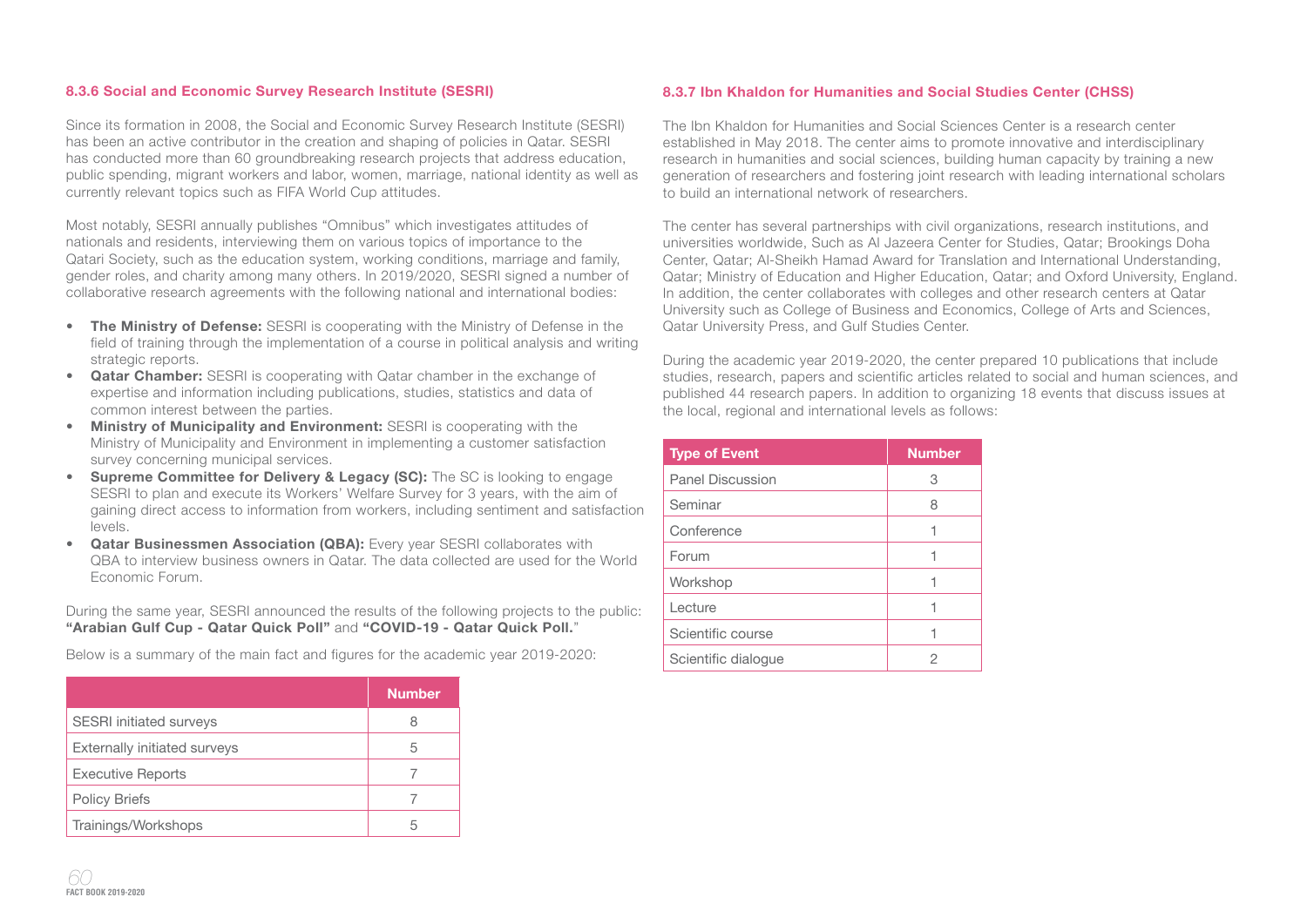### **8.3.6 Social and Economic Survey Research Institute (SESRI)**

Since its formation in 2008, the Social and Economic Survey Research Institute (SESRI) has been an active contributor in the creation and shaping of policies in Qatar. SESRI has conducted more than 60 groundbreaking research projects that address education, public spending, migrant workers and labor, women, marriage, national identity as well as currently relevant topics such as FIFA World Cup attitudes.

Most notably, SESRI annually publishes "Omnibus" which investigates attitudes of nationals and residents, interviewing them on various topics of importance to the Qatari Society, such as the education system, working conditions, marriage and family, gender roles, and charity among many others. In 2019/2020, SESRI signed a number of collaborative research agreements with the following national and international bodies:

- **The Ministry of Defense:** SESRI is cooperating with the Ministry of Defense in the field of training through the implementation of a course in political analysis and writing strategic reports.
- **Qatar Chamber:** SESRI is cooperating with Qatar chamber in the exchange of expertise and information including publications, studies, statistics and data of common interest between the parties.
- **Ministry of Municipality and Environment:** SESRI is cooperating with the Ministry of Municipality and Environment in implementing a customer satisfaction survey concerning municipal services.
- **Supreme Committee for Delivery & Legacy (SC):** The SC is looking to engage SESRI to plan and execute its Workers' Welfare Survey for 3 years, with the aim of gaining direct access to information from workers, including sentiment and satisfaction levels.
- **Qatar Businessmen Association (QBA):** Every year SESRI collaborates with QBA to interview business owners in Qatar. The data collected are used for the World Economic Forum.

During the same year, SESRI announced the results of the following projects to the public: **"Arabian Gulf Cup - Qatar Quick Poll"** and **"COVID-19 - Qatar Quick Poll.**"

Below is a summary of the main fact and figures for the academic year 2019-2020:

|                                     | <b>Number</b> |
|-------------------------------------|---------------|
| <b>SESRI</b> initiated surveys      | 8             |
| <b>Externally initiated surveys</b> | 5             |
| <b>Executive Reports</b>            |               |
| <b>Policy Briefs</b>                |               |
| Trainings/Workshops                 | h             |

# **8.3.7 Ibn Khaldon for Humanities and Social Studies Center (CHSS)**

The Ibn Khaldon for Humanities and Social Sciences Center is a research center established in May 2018. The center aims to promote innovative and interdisciplinary research in humanities and social sciences, building human capacity by training a new generation of researchers and fostering joint research with leading international scholars to build an international network of researchers.

The center has several partnerships with civil organizations, research institutions, and universities worldwide, Such as Al Jazeera Center for Studies, Qatar; Brookings Doha Center, Qatar; Al-Sheikh Hamad Award for Translation and International Understanding, Qatar; Ministry of Education and Higher Education, Qatar; and Oxford University, England. In addition, the center collaborates with colleges and other research centers at Qatar University such as College of Business and Economics, College of Arts and Sciences, Qatar University Press, and Gulf Studies Center.

During the academic year 2019-2020, the center prepared 10 publications that include studies, research, papers and scientific articles related to social and human sciences, and published 44 research papers. In addition to organizing 18 events that discuss issues at the local, regional and international levels as follows:

| <b>Type of Event</b>    | <b>Number</b> |
|-------------------------|---------------|
| <b>Panel Discussion</b> | 3             |
| Seminar                 | 8             |
| Conference              |               |
| Forum                   |               |
| Workshop                |               |
| Lecture                 |               |
| Scientific course       |               |
| Scientific dialogue     | 2             |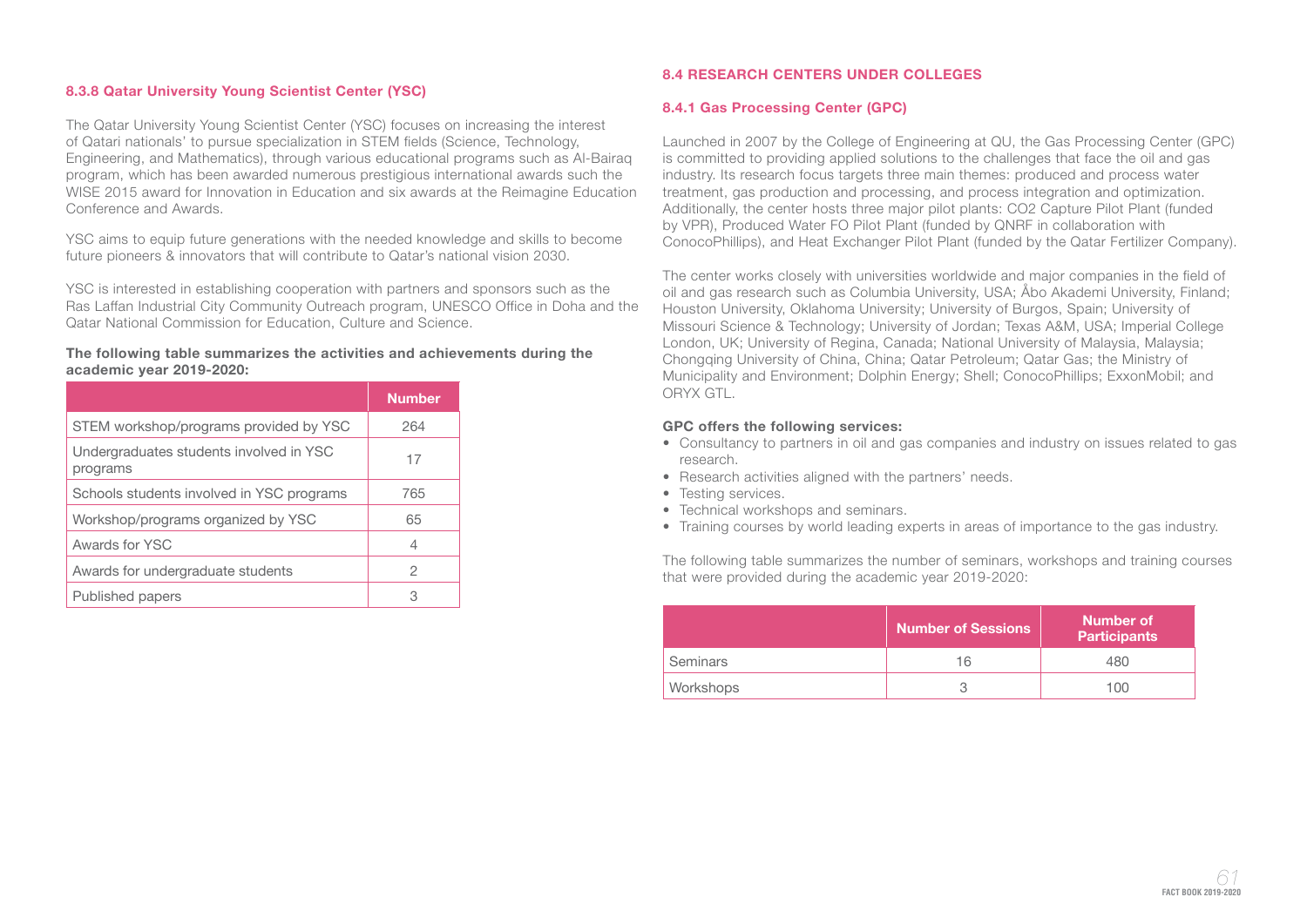# **8.3.8 Qatar University Young Scientist Center (YSC)**

The Qatar University Young Scientist Center (YSC) focuses on increasing the interest of Qatari nationals' to pursue specialization in STEM fields (Science, Technology, Engineering, and Mathematics), through various educational programs such as Al-Bairaq program, which has been awarded numerous prestigious international awards such the WISE 2015 award for Innovation in Education and six awards at the Reimagine Education Conference and Awards.

YSC aims to equip future generations with the needed knowledge and skills to become future pioneers & innovators that will contribute to Qatar's national vision 2030.

YSC is interested in establishing cooperation with partners and sponsors such as the Ras Laffan Industrial City Community Outreach program, UNESCO Office in Doha and the Qatar National Commission for Education, Culture and Science.

#### **The following table summarizes the activities and achievements during the academic year 2019-2020:**

|                                                     | <b>Number</b> |
|-----------------------------------------------------|---------------|
| STEM workshop/programs provided by YSC              | 264           |
| Undergraduates students involved in YSC<br>programs | 17            |
| Schools students involved in YSC programs           | 765           |
| Workshop/programs organized by YSC                  | 65            |
| Awards for YSC                                      | 4             |
| Awards for undergraduate students                   | 2             |
| Published papers                                    | З             |

# **8.4 RESEARCH CENTERS UNDER COLLEGES**

# **8.4.1 Gas Processing Center (GPC)**

Launched in 2007 by the College of Engineering at QU, the Gas Processing Center (GPC) is committed to providing applied solutions to the challenges that face the oil and gas industry. Its research focus targets three main themes: produced and process water treatment, gas production and processing, and process integration and optimization. Additionally, the center hosts three major pilot plants: CO2 Capture Pilot Plant (funded by VPR), Produced Water FO Pilot Plant (funded by QNRF in collaboration with ConocoPhillips), and Heat Exchanger Pilot Plant (funded by the Qatar Fertilizer Company).

The center works closely with universities worldwide and major companies in the field of oil and gas research such as Columbia University, USA; Åbo Akademi University, Finland; Houston University, Oklahoma University; University of Burgos, Spain; University of Missouri Science & Technology; University of Jordan; Texas A&M, USA; Imperial College London, UK; University of Regina, Canada; National University of Malaysia, Malaysia; Chongqing University of China, China; Qatar Petroleum; Qatar Gas; the Ministry of Municipality and Environment; Dolphin Energy; Shell; ConocoPhillips; ExxonMobil; and ORYX GTL.

#### **GPC offers the following services:**

- Consultancy to partners in oil and gas companies and industry on issues related to gas research.
- Research activities aligned with the partners' needs.
- Testing services.
- Technical workshops and seminars.
- Training courses by world leading experts in areas of importance to the gas industry.

The following table summarizes the number of seminars, workshops and training courses that were provided during the academic year 2019-2020:

|           | <b>Number of Sessions</b> | Number of<br><b>Participants</b> |
|-----------|---------------------------|----------------------------------|
| Seminars  | 16                        | 480                              |
| Workshops | a                         | 100                              |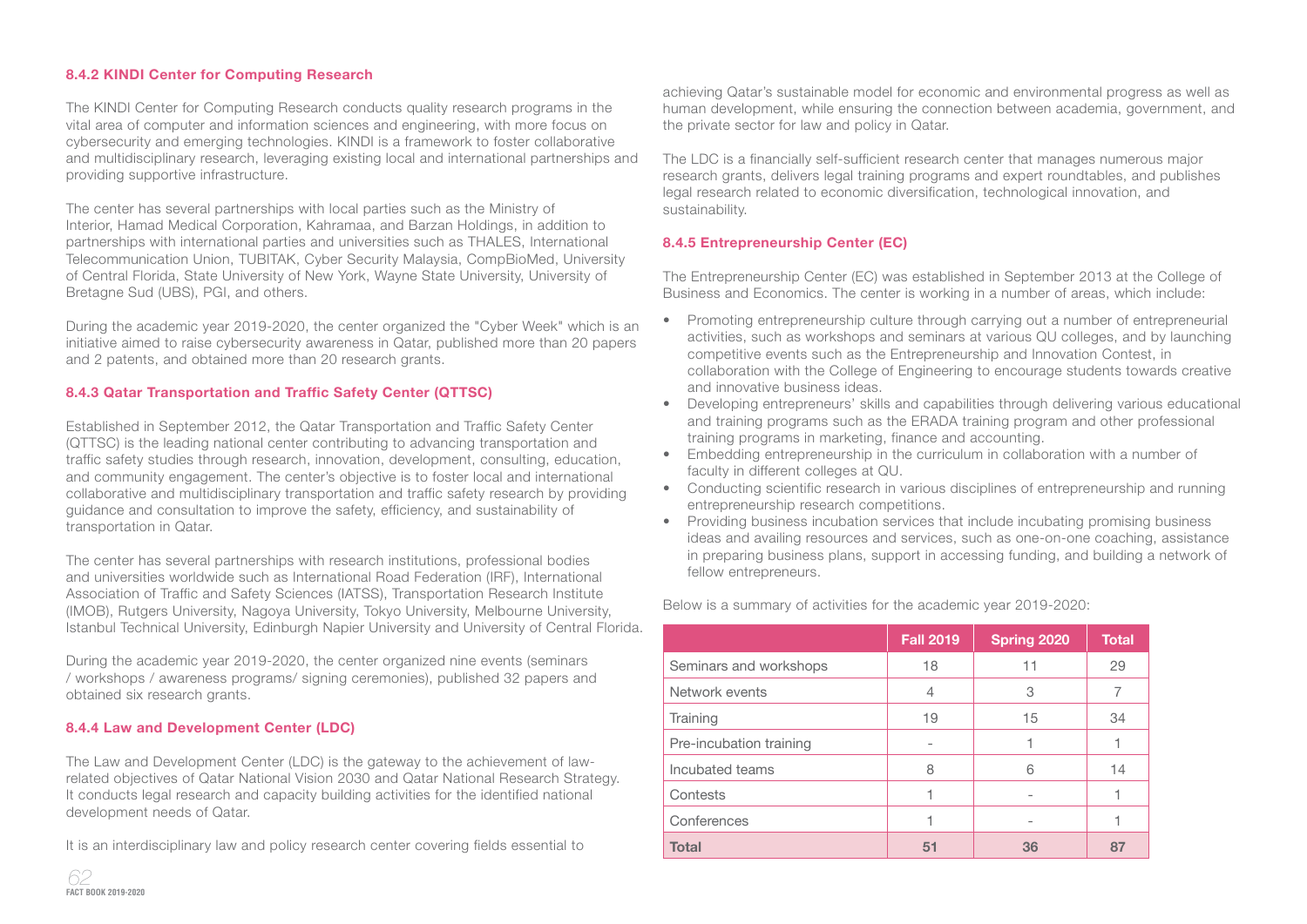#### **8.4.2 KINDI Center for Computing Research**

The KINDI Center for Computing Research conducts quality research programs in the vital area of computer and information sciences and engineering, with more focus on cybersecurity and emerging technologies. KINDI is a framework to foster collaborative and multidisciplinary research, leveraging existing local and international partnerships and providing supportive infrastructure.

The center has several partnerships with local parties such as the Ministry of Interior, Hamad Medical Corporation, Kahramaa, and Barzan Holdings, in addition to partnerships with international parties and universities such as THALES, International Telecommunication Union, TUBITAK, Cyber Security Malaysia, CompBioMed, University of Central Florida, State University of New York, Wayne State University, University of Bretagne Sud (UBS), PGI, and others.

During the academic year 2019-2020, the center organized the "Cyber Week" which is an initiative aimed to raise cybersecurity awareness in Qatar, published more than 20 papers and 2 patents, and obtained more than 20 research grants.

#### **8.4.3 Qatar Transportation and Traffic Safety Center (QTTSC)**

Established in September 2012, the Qatar Transportation and Traffic Safety Center (QTTSC) is the leading national center contributing to advancing transportation and traffic safety studies through research, innovation, development, consulting, education, and community engagement. The center's objective is to foster local and international collaborative and multidisciplinary transportation and traffic safety research by providing guidance and consultation to improve the safety, efficiency, and sustainability of transportation in Qatar.

The center has several partnerships with research institutions, professional bodies and universities worldwide such as International Road Federation (IRF), International Association of Traffic and Safety Sciences (IATSS), Transportation Research Institute (IMOB), Rutgers University, Nagoya University, Tokyo University, Melbourne University, Istanbul Technical University, Edinburgh Napier University and University of Central Florida.

During the academic year 2019-2020, the center organized nine events (seminars / workshops / awareness programs/ signing ceremonies), published 32 papers and obtained six research grants.

# **8.4.4 Law and Development Center (LDC)**

The Law and Development Center (LDC) is the gateway to the achievement of lawrelated objectives of Qatar National Vision 2030 and Qatar National Research Strategy. It conducts legal research and capacity building activities for the identified national development needs of Qatar.

It is an interdisciplinary law and policy research center covering fields essential to

achieving Qatar's sustainable model for economic and environmental progress as well as human development, while ensuring the connection between academia, government, and the private sector for law and policy in Qatar.

The LDC is a financially self-sufficient research center that manages numerous major research grants, delivers legal training programs and expert roundtables, and publishes legal research related to economic diversification, technological innovation, and sustainability.

#### **8.4.5 Entrepreneurship Center (EC)**

The Entrepreneurship Center (EC) was established in September 2013 at the College of Business and Economics. The center is working in a number of areas, which include:

- Promoting entrepreneurship culture through carrying out a number of entrepreneurial activities, such as workshops and seminars at various QU colleges, and by launching competitive events such as the Entrepreneurship and Innovation Contest, in collaboration with the College of Engineering to encourage students towards creative and innovative business ideas.
- Developing entrepreneurs' skills and capabilities through delivering various educational and training programs such as the ERADA training program and other professional training programs in marketing, finance and accounting.
- Embedding entrepreneurship in the curriculum in collaboration with a number of faculty in different colleges at QU.
- Conducting scientific research in various disciplines of entrepreneurship and running entrepreneurship research competitions.
- Providing business incubation services that include incubating promising business ideas and availing resources and services, such as one-on-one coaching, assistance in preparing business plans, support in accessing funding, and building a network of fellow entrepreneurs.

Below is a summary of activities for the academic year 2019-2020:

|                         | <b>Fall 2019</b> | Spring 2020 | <b>Total</b> |
|-------------------------|------------------|-------------|--------------|
| Seminars and workshops  | 18               | 11          | 29           |
| Network events          | 4                | 3           | 7            |
| Training                | 19               | 15          | 34           |
| Pre-incubation training |                  |             |              |
| Incubated teams         | 8                | 6           | 14           |
| Contests                |                  |             |              |
| Conferences             |                  |             |              |
| <b>Total</b>            | 51               | 36          | 87           |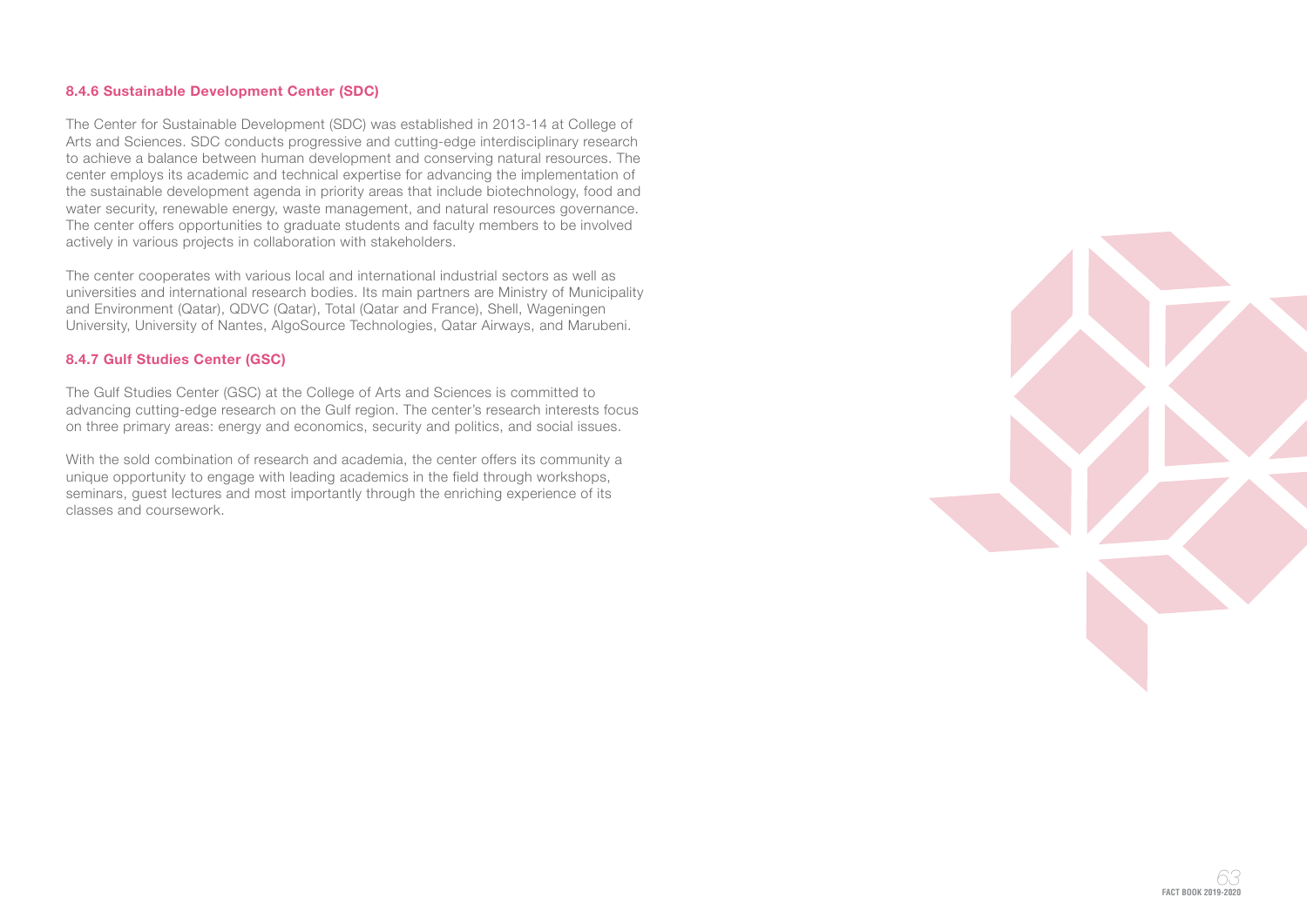# **8.4.6 Sustainable Development Center (SDC)**

The Center for Sustainable Development (SDC) was established in 2013-14 at College of Arts and Sciences. SDC conducts progressive and cutting-edge interdisciplinary research to achieve a balance between human development and conserving natural resources. The center employs its academic and technical expertise for advancing the implementation of the sustainable development agenda in priority areas that include biotechnology, food and water security, renewable energy, waste management, and natural resources governance. The center offers opportunities to graduate students and faculty members to be involved actively in various projects in collaboration with stakeholders.

The center cooperates with various local and international industrial sectors as well as universities and international research bodies. Its main partners are Ministry of Municipality and Environment (Qatar), QDVC (Qatar), Total (Qatar and France), Shell, Wageningen University, University of Nantes, AlgoSource Technologies, Qatar Airways, and Marubeni.

#### **8.4.7 Gulf Studies Center (GSC)**

The Gulf Studies Center (GSC) at the College of Arts and Sciences is committed to advancing cutting-edge research on the Gulf region. The center's research interests focus on three primary areas: energy and economics, security and politics, and social issues.

With the sold combination of research and academia, the center offers its community a unique opportunity to engage with leading academics in the field through workshops, seminars, guest lectures and most importantly through the enriching experience of its classes and coursework.

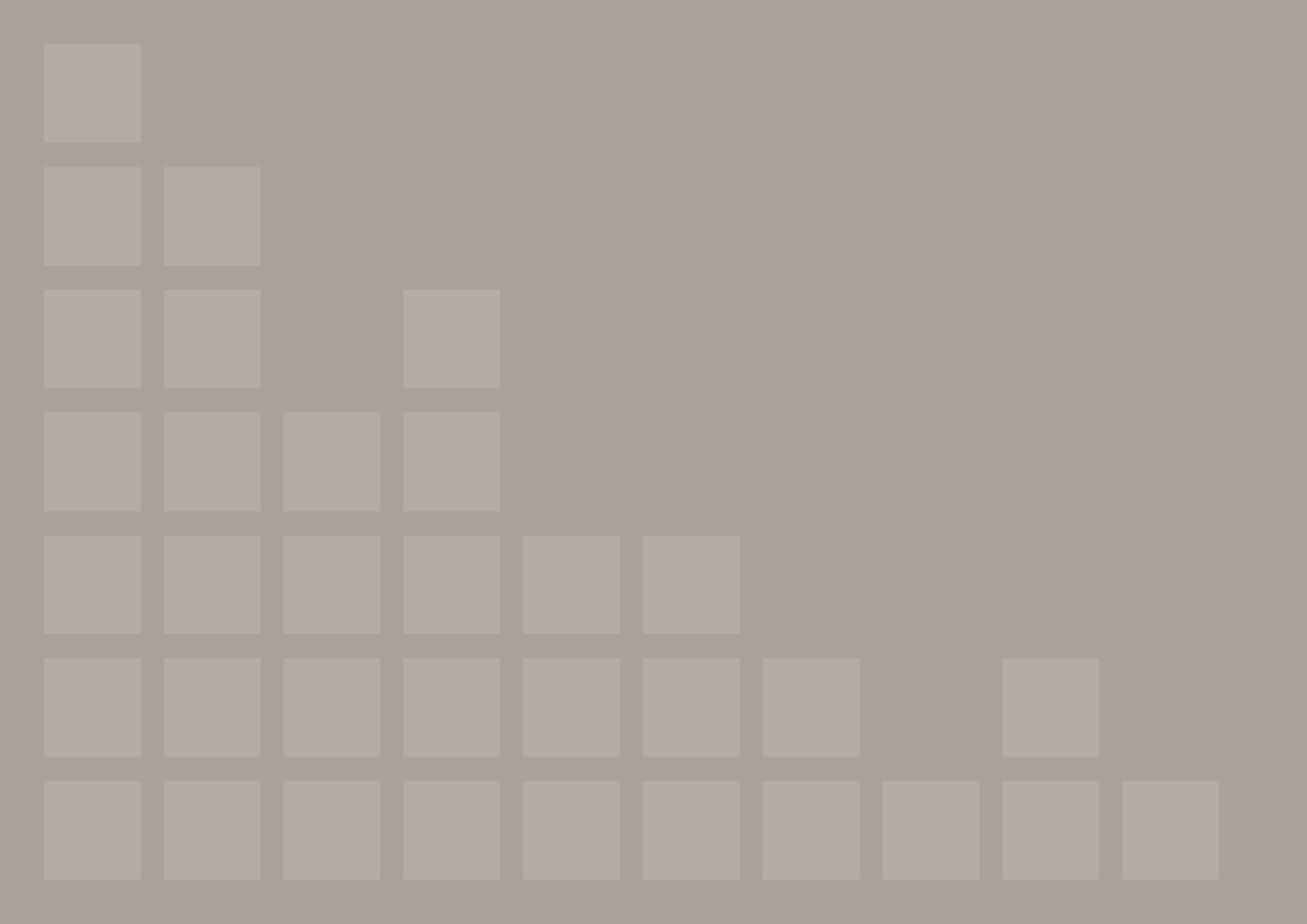|  | <b>Service Service</b> |  |  |  |
|--|------------------------|--|--|--|
|  |                        |  |  |  |
|  |                        |  |  |  |
|  |                        |  |  |  |
|  |                        |  |  |  |
|  |                        |  |  |  |
|  |                        |  |  |  |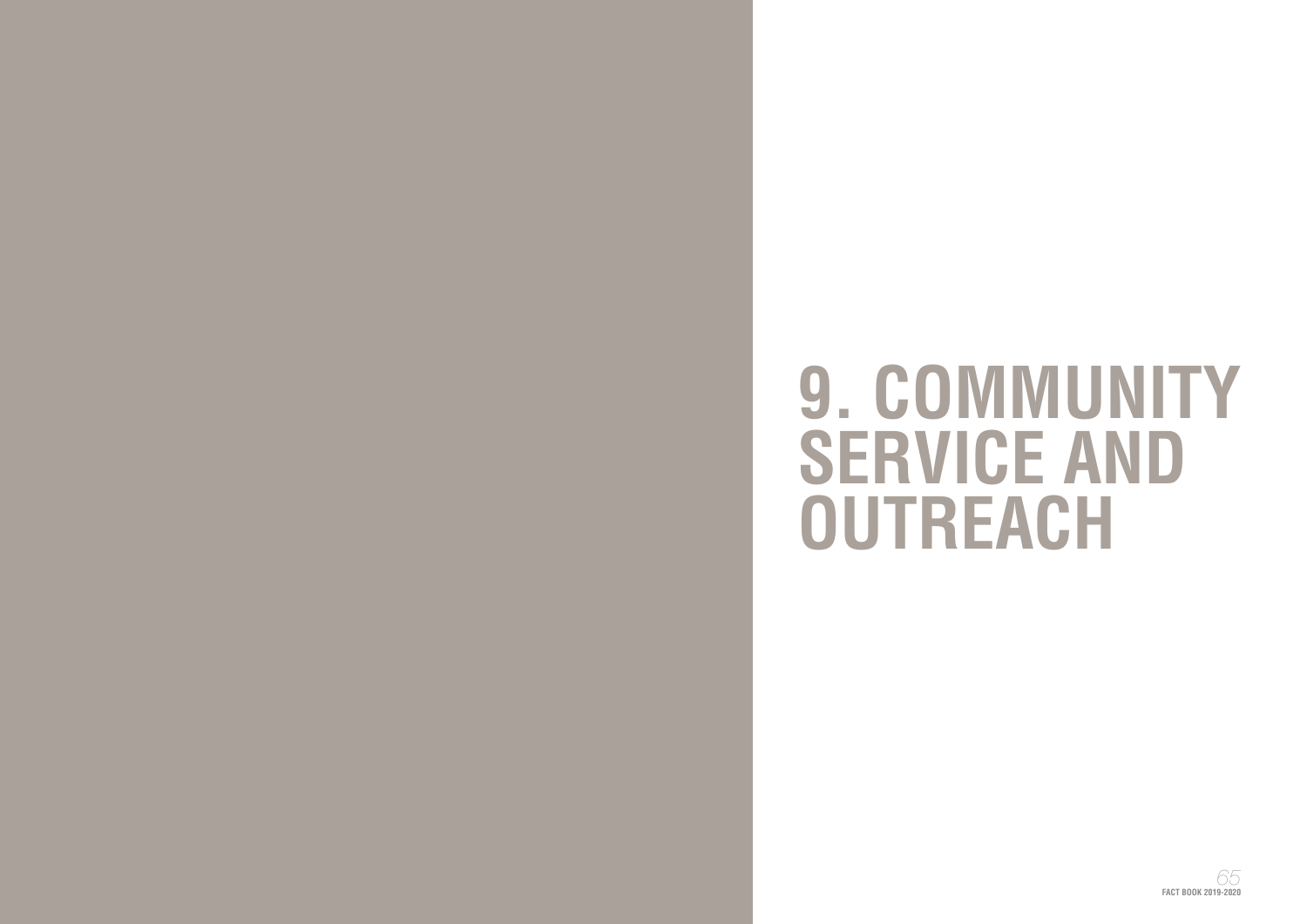# **9. COMMUNITY SERVICE AND OUTREACH**

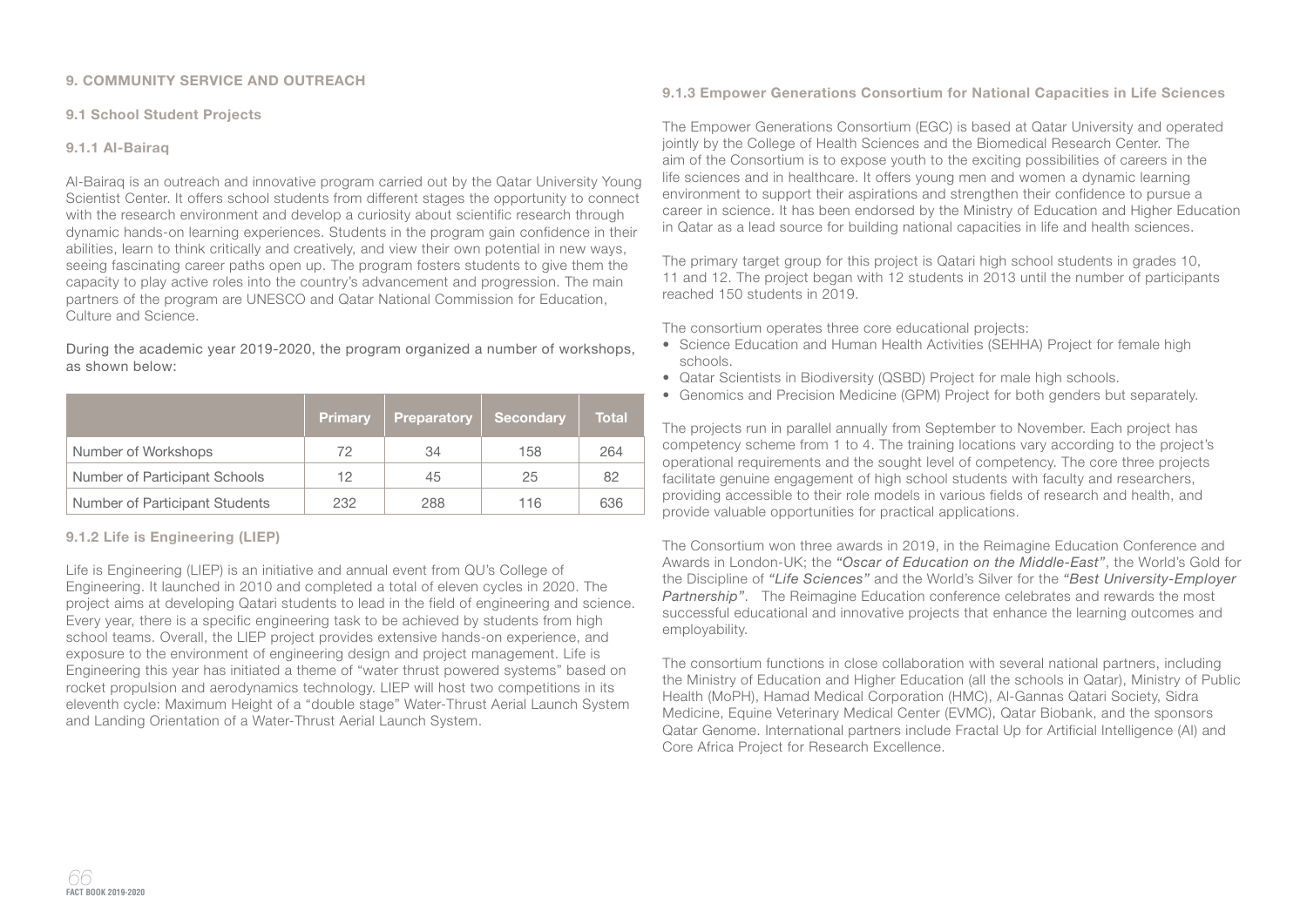# **9. COMMUNITY SERVICE AND OUTREACH**

# **9.1 School Student Projects**

# **9.1.1 Al-Bairaq**

Al-Bairaq is an outreach and innovative program carried out by the Qatar University Young Scientist Center. It offers school students from different stages the opportunity to connect with the research environment and develop a curiosity about scientific research through dynamic hands-on learning experiences. Students in the program gain confidence in their abilities, learn to think critically and creatively, and view their own potential in new ways, seeing fascinating career paths open up. The program fosters students to give them the capacity to play active roles into the country's advancement and progression. The main partners of the program are UNESCO and Qatar National Commission for Education, Culture and Science.

During the academic year 2019-2020, the program organized a number of workshops, as shown below:

|                                | <b>Primary</b> | Preparatory | Secondary | <b>Total</b> |
|--------------------------------|----------------|-------------|-----------|--------------|
| Number of Workshops            | 72             | 34          | 158       | 264          |
| Number of Participant Schools  | 12             | 45          | 25        | 82           |
| Number of Participant Students | 232            | 288         | 116       | 636          |

# **9.1.2 Life is Engineering (LIEP)**

Life is Engineering (LIEP) is an initiative and annual event from QU's College of Engineering. It launched in 2010 and completed a total of eleven cycles in 2020. The project aims at developing Qatari students to lead in the field of engineering and science. Every year, there is a specific engineering task to be achieved by students from high school teams. Overall, the LIEP project provides extensive hands-on experience, and exposure to the environment of engineering design and project management. Life is Engineering this year has initiated a theme of "water thrust powered systems" based on rocket propulsion and aerodynamics technology. LIEP will host two competitions in its eleventh cycle: Maximum Height of a "double stage" Water-Thrust Aerial Launch System and Landing Orientation of a Water-Thrust Aerial Launch System.

### **9.1.3 Empower Generations Consortium for National Capacities in Life Sciences**

The Empower Generations Consortium (EGC) is based at Qatar University and operated jointly by the College of Health Sciences and the Biomedical Research Center. The aim of the Consortium is to expose youth to the exciting possibilities of careers in the life sciences and in healthcare. It offers young men and women a dynamic learning environment to support their aspirations and strengthen their confidence to pursue a career in science. It has been endorsed by the Ministry of Education and Higher Education in Qatar as a lead source for building national capacities in life and health sciences.

The primary target group for this project is Qatari high school students in grades 10, 11 and 12. The project began with 12 students in 2013 until the number of participants reached 150 students in 2019.

The consortium operates three core educational projects:

- Science Education and Human Health Activities (SEHHA) Project for female high schools.
- Qatar Scientists in Biodiversity (QSBD) Project for male high schools.
- Genomics and Precision Medicine (GPM) Project for both genders but separately.

The projects run in parallel annually from September to November. Each project has competency scheme from 1 to 4. The training locations vary according to the project's operational requirements and the sought level of competency. The core three projects facilitate genuine engagement of high school students with faculty and researchers, providing accessible to their role models in various fields of research and health, and provide valuable opportunities for practical applications.

The Consortium won three awards in 2019, in the Reimagine Education Conference and Awards in London-UK; the *"Oscar of Education on the Middle-East"*, the World's Gold for the Discipline of *"Life Sciences"* and the World's Silver for the *"Best University-Employer Partnership"*. The Reimagine Education conference celebrates and rewards the most successful educational and innovative projects that enhance the learning outcomes and employability.

The consortium functions in close collaboration with several national partners, including the Ministry of Education and Higher Education (all the schools in Qatar), Ministry of Public Health (MoPH), Hamad Medical Corporation (HMC), Al-Gannas Qatari Society, Sidra Medicine, Equine Veterinary Medical Center (EVMC), Qatar Biobank, and the sponsors Qatar Genome. International partners include Fractal Up for Artificial Intelligence (AI) and Core Africa Project for Research Excellence.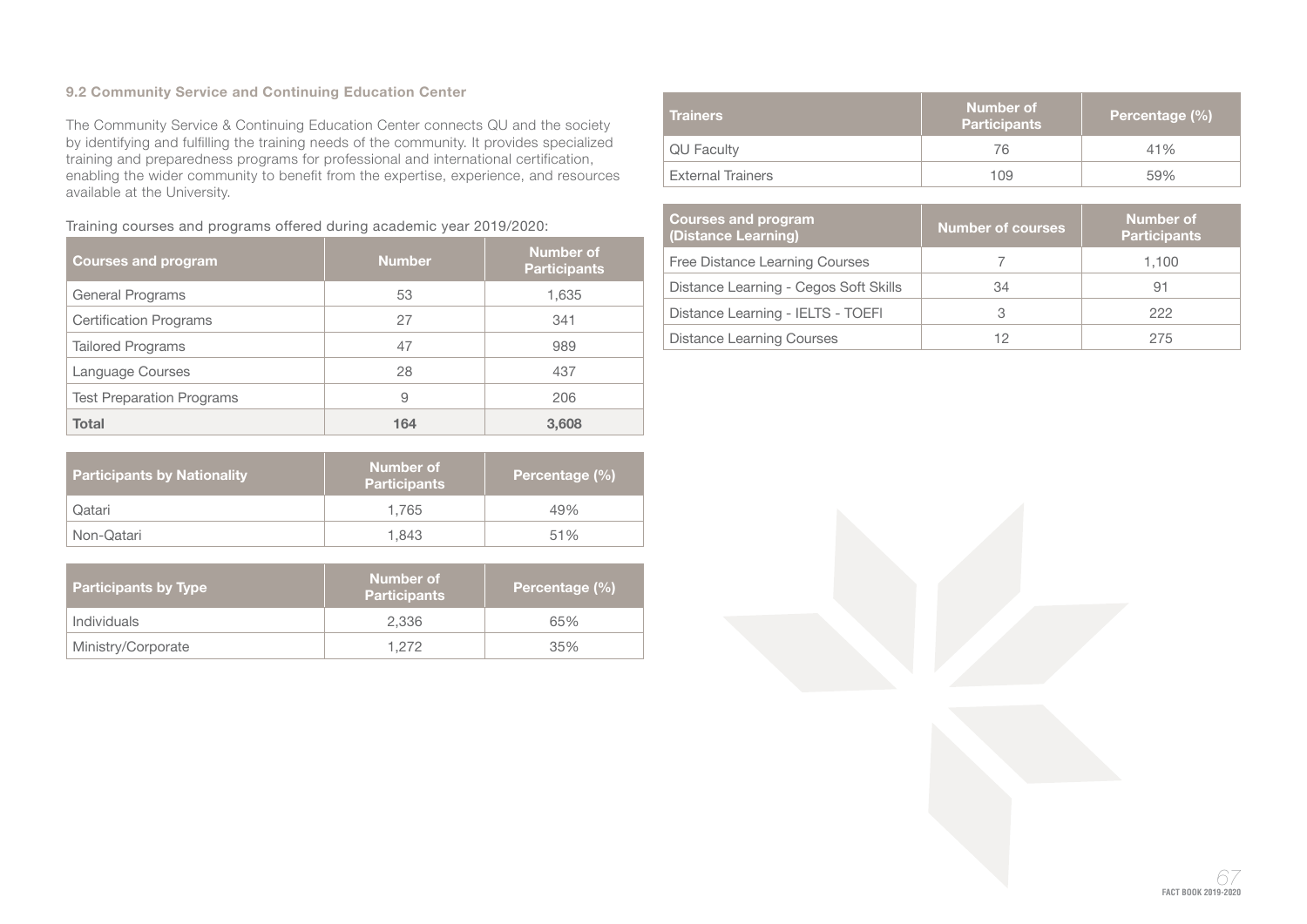# **9.2 Community Service and Continuing Education Center**

The Community Service & Continuing Education Center connects QU and the society by identifying and fulfilling the training needs of the community. It provides specialized training and preparedness programs for professional and international certification, enabling the wider community to benefit from the expertise, experience, and resources available at the University.

Training courses and programs offered during academic year 2019/2020:

| <b>Courses and program</b>       | <b>Number</b> | <b>Number of</b><br><b>Participants</b> |
|----------------------------------|---------------|-----------------------------------------|
| General Programs                 | 53            | 1,635                                   |
| <b>Certification Programs</b>    | 27            | 341                                     |
| <b>Tailored Programs</b>         | 47            | 989                                     |
| Language Courses                 | 28            | 437                                     |
| <b>Test Preparation Programs</b> | 9             | 206                                     |
| <b>Total</b>                     | 164           | 3,608                                   |

| <b>Participants by Nationality</b> | Number of<br><b>Participants</b> | Percentage $(\%)$ |
|------------------------------------|----------------------------------|-------------------|
| Qatari                             | 1.765                            | 49%               |
| Non-Qatari                         | 1.843                            | 51%               |

| <b>Participants by Type</b> | Number of <b>A</b><br><b>Participants</b> | Percentage (%) |  |  |
|-----------------------------|-------------------------------------------|----------------|--|--|
| Individuals                 | 2.336                                     | 65%            |  |  |
| Ministry/Corporate          | 1.272                                     | 35%            |  |  |

| <b>Trainers</b>          | Number of<br><b>Participants</b> | Percentage (%) |  |  |
|--------------------------|----------------------------------|----------------|--|--|
| QU Faculty               | 76                               | 41%            |  |  |
| <b>External Trainers</b> | 109                              | 59%            |  |  |

| <b>Courses and program</b><br>(Distance Learning) | Number of courses | Number of<br><b>Participants</b> |  |  |
|---------------------------------------------------|-------------------|----------------------------------|--|--|
| Free Distance Learning Courses                    |                   | 1.100                            |  |  |
| Distance Learning - Cegos Soft Skills             | 34                | 91                               |  |  |
| Distance Learning - IELTS - TOEFI                 |                   | 222                              |  |  |
| <b>Distance Learning Courses</b>                  | 12                | 275                              |  |  |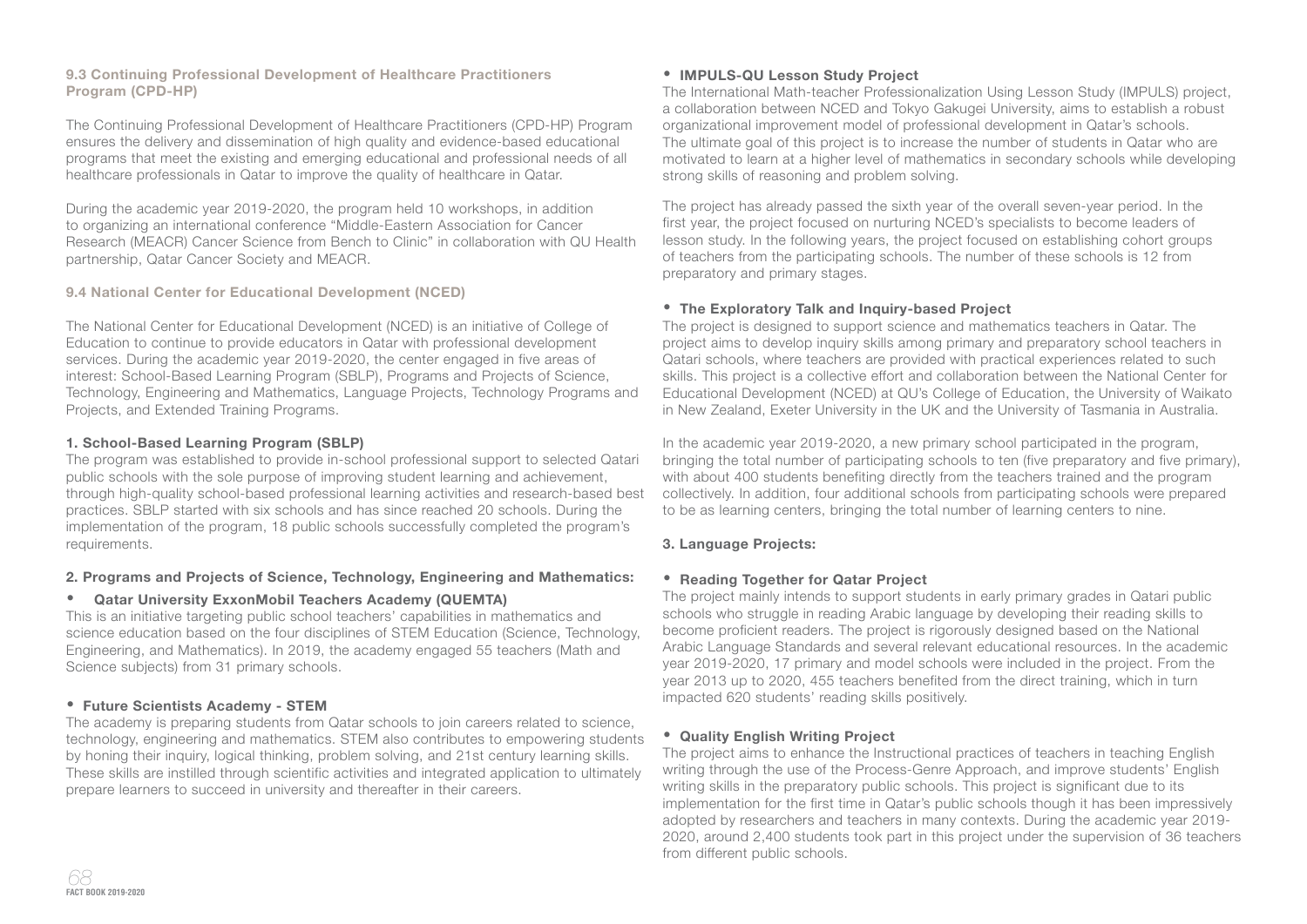# **9.3 Continuing Professional Development of Healthcare Practitioners Program (CPD-HP)**

The Continuing Professional Development of Healthcare Practitioners (CPD-HP) Program ensures the delivery and dissemination of high quality and evidence-based educational programs that meet the existing and emerging educational and professional needs of all healthcare professionals in Qatar to improve the quality of healthcare in Qatar.

During the academic year 2019-2020, the program held 10 workshops, in addition to organizing an international conference "Middle-Eastern Association for Cancer Research (MEACR) Cancer Science from Bench to Clinic" in collaboration with QU Health partnership, Qatar Cancer Society and MEACR.

#### **9.4 National Center for Educational Development (NCED)**

The National Center for Educational Development (NCED) is an initiative of College of Education to continue to provide educators in Qatar with professional development services. During the academic year 2019-2020, the center engaged in five areas of interest: School-Based Learning Program (SBLP), Programs and Projects of Science, Technology, Engineering and Mathematics, Language Projects, Technology Programs and Projects, and Extended Training Programs.

# **1. School-Based Learning Program (SBLP)**

The program was established to provide in-school professional support to selected Qatari public schools with the sole purpose of improving student learning and achievement, through high-quality school-based professional learning activities and research-based best practices. SBLP started with six schools and has since reached 20 schools. During the implementation of the program, 18 public schools successfully completed the program's requirements.

#### **2. Programs and Projects of Science, Technology, Engineering and Mathematics:**

# **Qatar University ExxonMobil Teachers Academy (QUEMTA)**

This is an initiative targeting public school teachers' capabilities in mathematics and science education based on the four disciplines of STEM Education (Science, Technology, Engineering, and Mathematics). In 2019, the academy engaged 55 teachers (Math and Science subjects) from 31 primary schools.

#### **Future Scientists Academy - STEM**

The academy is preparing students from Qatar schools to join careers related to science, technology, engineering and mathematics. STEM also contributes to empowering students by honing their inquiry, logical thinking, problem solving, and 21st century learning skills. These skills are instilled through scientific activities and integrated application to ultimately prepare learners to succeed in university and thereafter in their careers.

#### **IMPULS-QU Lesson Study Project**

The International Math-teacher Professionalization Using Lesson Study (IMPULS) project, a collaboration between NCED and Tokyo Gakugei University, aims to establish a robust organizational improvement model of professional development in Qatar's schools. The ultimate goal of this project is to increase the number of students in Qatar who are motivated to learn at a higher level of mathematics in secondary schools while developing strong skills of reasoning and problem solving.

The project has already passed the sixth year of the overall seven-year period. In the first year, the project focused on nurturing NCED's specialists to become leaders of lesson study. In the following years, the project focused on establishing cohort groups of teachers from the participating schools. The number of these schools is 12 from preparatory and primary stages.

#### **The Exploratory Talk and Inquiry-based Project**

The project is designed to support science and mathematics teachers in Qatar. The project aims to develop inquiry skills among primary and preparatory school teachers in Qatari schools, where teachers are provided with practical experiences related to such skills. This project is a collective effort and collaboration between the National Center for Educational Development (NCED) at QU's College of Education, the University of Waikato in New Zealand, Exeter University in the UK and the University of Tasmania in Australia.

In the academic year 2019-2020, a new primary school participated in the program, bringing the total number of participating schools to ten (five preparatory and five primary), with about 400 students benefiting directly from the teachers trained and the program collectively. In addition, four additional schools from participating schools were prepared to be as learning centers, bringing the total number of learning centers to nine.

# **3. Language Projects:**

# **Reading Together for Qatar Project**

The project mainly intends to support students in early primary grades in Qatari public schools who struggle in reading Arabic language by developing their reading skills to become proficient readers. The project is rigorously designed based on the National Arabic Language Standards and several relevant educational resources. In the academic year 2019-2020, 17 primary and model schools were included in the project. From the year 2013 up to 2020, 455 teachers benefited from the direct training, which in turn impacted 620 students' reading skills positively.

#### **Quality English Writing Project**

The project aims to enhance the Instructional practices of teachers in teaching English writing through the use of the Process-Genre Approach, and improve students' English writing skills in the preparatory public schools. This project is significant due to its implementation for the first time in Qatar's public schools though it has been impressively adopted by researchers and teachers in many contexts. During the academic year 2019- 2020, around 2,400 students took part in this project under the supervision of 36 teachers from different public schools.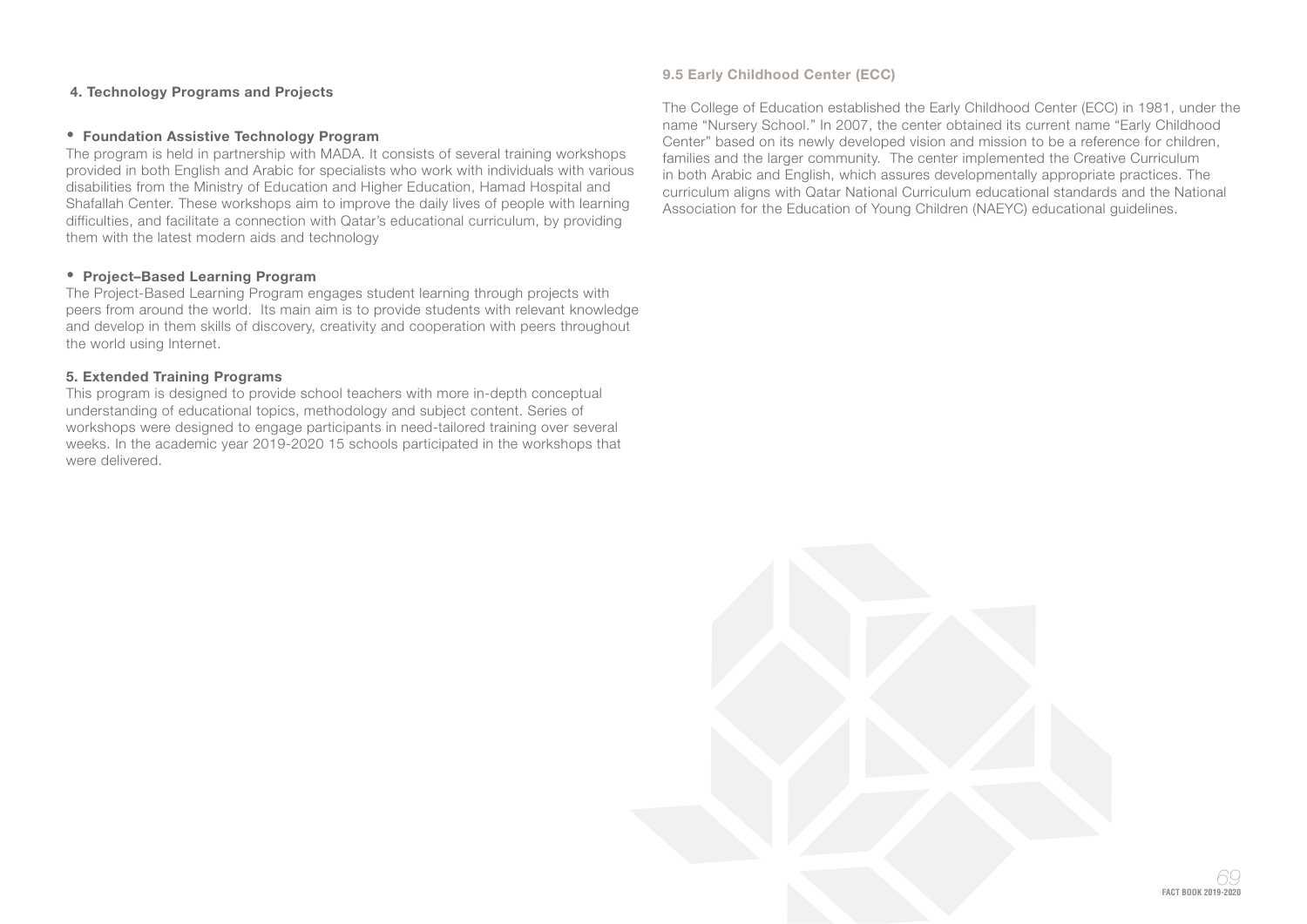### **4. Technology Programs and Projects**

#### **Foundation Assistive Technology Program**

The program is held in partnership with MADA. It consists of several training workshops provided in both English and Arabic for specialists who work with individuals with various disabilities from the Ministry of Education and Higher Education, Hamad Hospital and Shafallah Center. These workshops aim to improve the daily lives of people with learning difficulties, and facilitate a connection with Qatar's educational curriculum, by providing them with the latest modern aids and technology

#### **Project–Based Learning Program**

The Project-Based Learning Program engages student learning through projects with peers from around the world. Its main aim is to provide students with relevant knowledge and develop in them skills of discovery, creativity and cooperation with peers throughout the world using Internet.

#### **5. Extended Training Programs**

This program is designed to provide school teachers with more in-depth conceptual understanding of educational topics, methodology and subject content. Series of workshops were designed to engage participants in need-tailored training over several weeks. In the academic year 2019-2020 15 schools participated in the workshops that were delivered.

#### **9.5 Early Childhood Center (ECC)**

The College of Education established the Early Childhood Center (ECC) in 1981, under the name "Nursery School." In 2007, the center obtained its current name "Early Childhood Center" based on its newly developed vision and mission to be a reference for children, families and the larger community. The center implemented the Creative Curriculum in both Arabic and English, which assures developmentally appropriate practices. The curriculum aligns with Qatar National Curriculum educational standards and the National Association for the Education of Young Children (NAEYC) educational guidelines.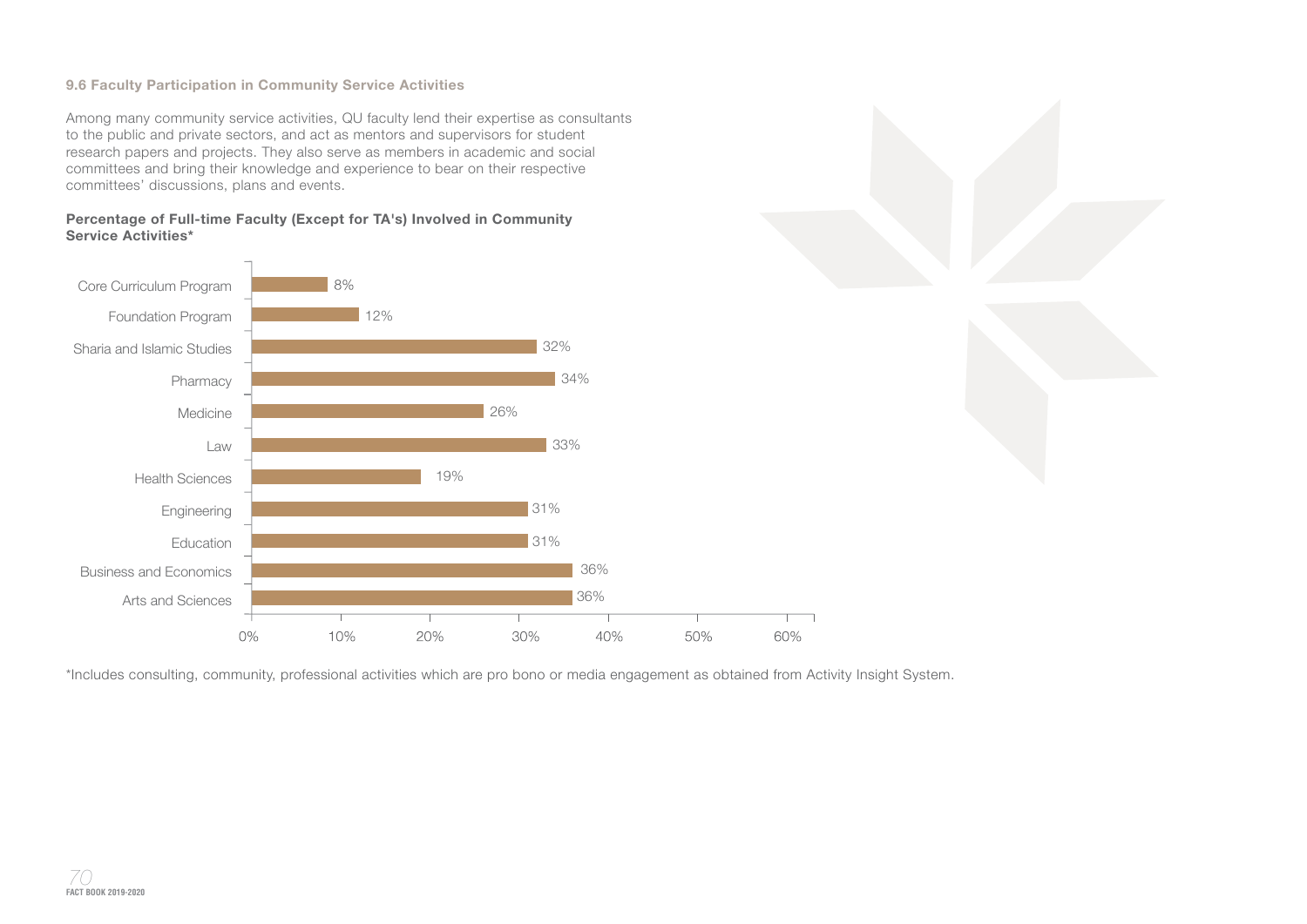# **9.6 Faculty Participation in Community Service Activities**

Among many community service activities, QU faculty lend their expertise as consultants to the public and private sectors, and act as mentors and supervisors for student research papers and projects. They also serve as members in academic and social committees and bring their knowledge and experience to bear on their respective committees' discussions, plans and events.

# **Percentage of Full-time Faculty (Except for TA's) Involved in Community Service Activities\***



\*Includes consulting, community, professional activities which are pro bono or media engagement as obtained from Activity Insight System.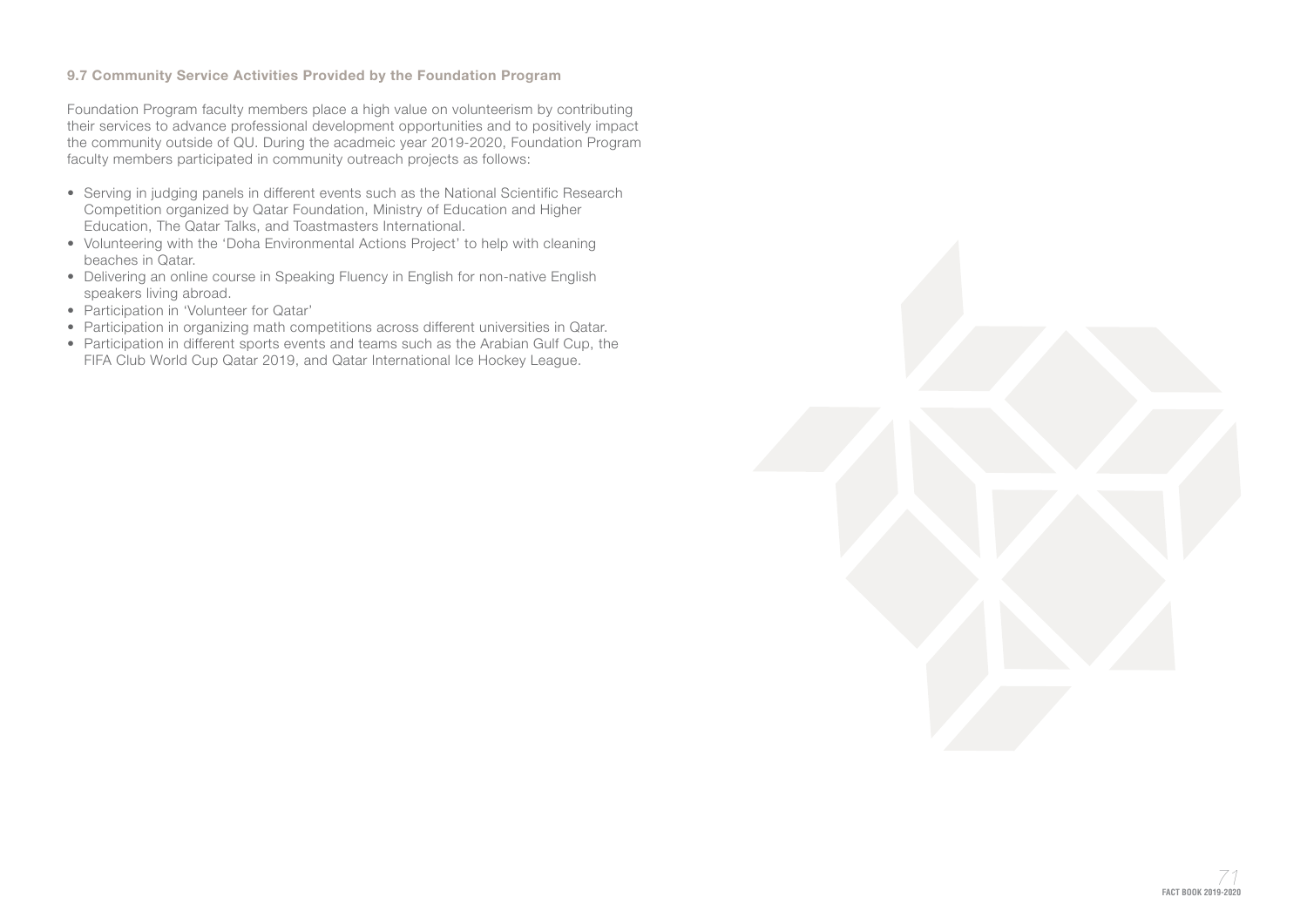# **9.7 Community Service Activities Provided by the Foundation Program**

Foundation Program faculty members place a high value on volunteerism by contributing their services to advance professional development opportunities and to positively impact the community outside of QU. During the acadmeic year 2019-2020, Foundation Program faculty members participated in community outreach projects as follows:

- Serving in judging panels in different events such as the National Scientific Research Competition organized by Qatar Foundation, Ministry of Education and Higher Education, The Qatar Talks, and Toastmasters International.
- Volunteering with the 'Doha Environmental Actions Project' to help with cleaning beaches in Qatar.
- Delivering an online course in Speaking Fluency in English for non-native English speakers living abroad.
- Participation in 'Volunteer for Qatar'
- Participation in organizing math competitions across different universities in Qatar.
- Participation in different sports events and teams such as the Arabian Gulf Cup, the FIFA Club World Cup Qatar 2019, and Qatar International Ice Hockey League.

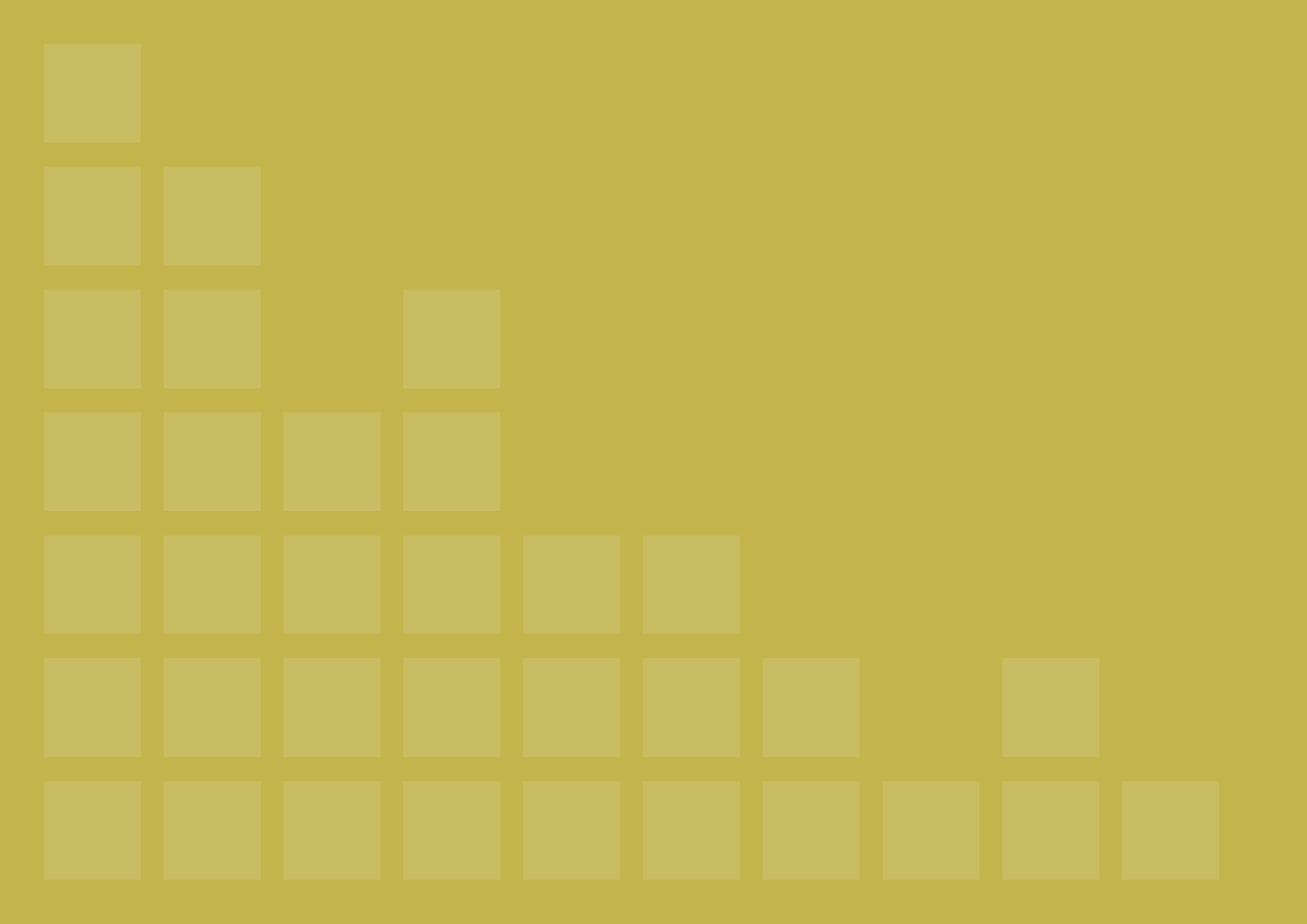| a sa salawan na kata |                                                                                                                                                                                                                                  |  |  |  |  |
|----------------------|----------------------------------------------------------------------------------------------------------------------------------------------------------------------------------------------------------------------------------|--|--|--|--|
|                      |                                                                                                                                                                                                                                  |  |  |  |  |
|                      |                                                                                                                                                                                                                                  |  |  |  |  |
|                      | <u>and the state of the state</u>                                                                                                                                                                                                |  |  |  |  |
|                      | a se provincia de la construcción de la construcción de la construcción de la construcción de la construcción<br>A la construcción de la construcción de la construcción de la construcción de la construcción de la construcció |  |  |  |  |
|                      |                                                                                                                                                                                                                                  |  |  |  |  |
|                      | a sa mga kalawang mga kalawang kalawang kalawang mga kalawang mga kalawang kalawang kalawang kalawang kalawang<br>Mga kalawang mga kalawang mga kalawang kalawang kalawang mga kalawang mga kalawang kalawang kalawang kalawang  |  |  |  |  |
|                      | <u>a sa kacamatan ing Kabupatèn Suma Jawa Suma Barat,  Pangangaran Suma Barat,  Pangangaran Suma Barat,  Pangang</u>                                                                                                             |  |  |  |  |
|                      |                                                                                                                                                                                                                                  |  |  |  |  |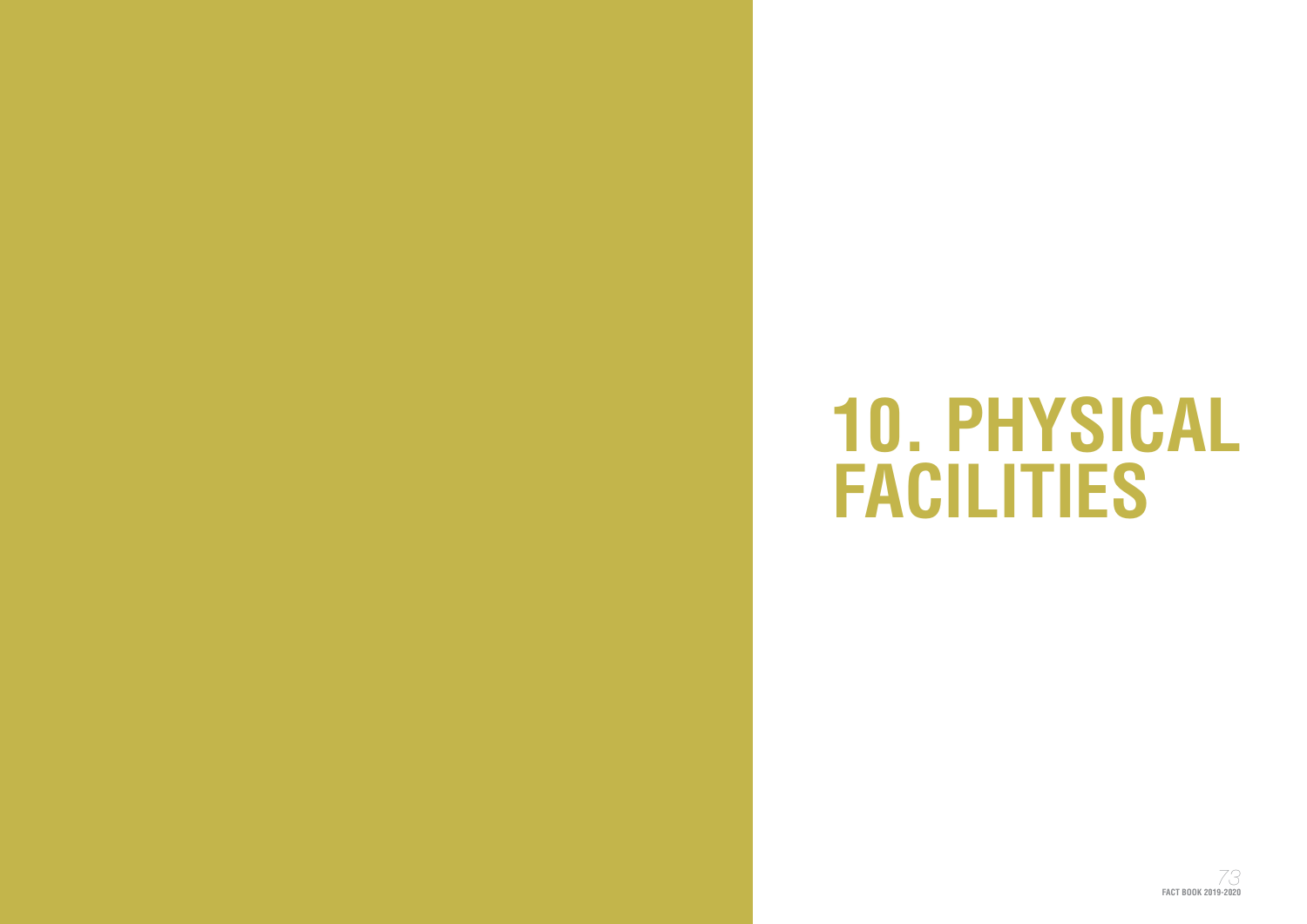# **10. PHYSICAL FACILITIES**

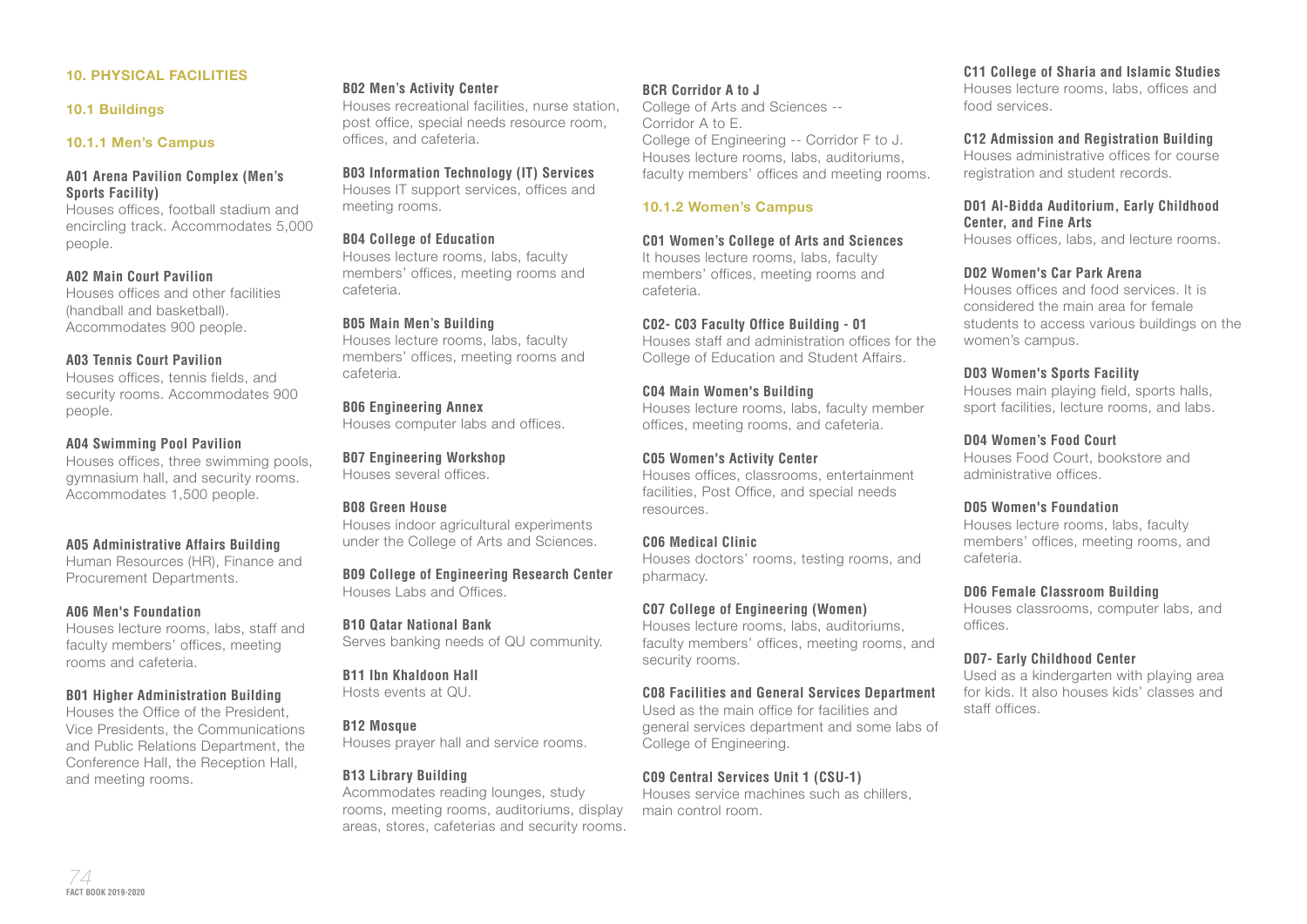# **10. PHYSICAL FACILITIES**

## **10.1 Buildings**

**10.1.1 Men's Campus**

## **A01 Arena Pavilion Complex (Men's Sports Facility)**

Houses offices, football stadium and encircling track. Accommodates 5,000 people.

## **A02 Main Court Pavilion**

Houses offices and other facilities (handball and basketball). Accommodates 900 people.

## **A03 Tennis Court Pavilion**

Houses offices, tennis fields, and security rooms. Accommodates 900 people.

## **A04 Swimming Pool Pavilion**

Houses offices, three swimming pools, gymnasium hall, and security rooms. Accommodates 1,500 people.

#### **A05 Administrative Affairs Building**

Human Resources (HR), Finance and Procurement Departments.

#### **A06 Men's Foundation**

Houses lecture rooms, labs, staff and faculty members' offices, meeting rooms and cafeteria.

## **B01 Higher Administration Building**

Houses the Office of the President, Vice Presidents, the Communications and Public Relations Department, the Conference Hall, the Reception Hall, and meeting rooms.

## **B02 Men's Activity Center**

Houses recreational facilities, nurse station, post office, special needs resource room, offices, and cafeteria.

# **B03 Information Technology (IT) Services**

Houses IT support services, offices and meeting rooms.

## **B04 College of Education**

Houses lecture rooms, labs, faculty members' offices, meeting rooms and cafeteria.

## **B05 Main Men's Building**

Houses lecture rooms, labs, faculty members' offices, meeting rooms and cafeteria.

#### **B06 Engineering Annex**  Houses computer labs and offices.

**B07 Engineering Workshop**  Houses several offices.

#### **B08 Green House**

Houses indoor agricultural experiments under the College of Arts and Sciences.

# **B09 College of Engineering Research Center** Houses Labs and Offices.

**B10 Qatar National Bank** Serves banking needs of QU community.

# **B11 Ibn Khaldoon Hall**

Hosts events at QU.

#### **B12 Mosque**

Houses prayer hall and service rooms.

## **B13 Library Building**

Acommodates reading lounges, study rooms, meeting rooms, auditoriums, display areas, stores, cafeterias and security rooms.

#### **BCR Corridor A to J**

College of Arts and Sciences -- Corridor A to E. College of Engineering -- Corridor F to J. Houses lecture rooms, labs, auditoriums, faculty members' offices and meeting rooms.

#### **10.1.2 Women's Campus**

#### **C01 Women's College of Arts and Sciences**

It houses lecture rooms, labs, faculty members' offices, meeting rooms and cafeteria.

## **C02- C03 Faculty Office Building - 01**

Houses staff and administration offices for the College of Education and Student Affairs.

#### **C04 Main Women's Building**

Houses lecture rooms, labs, faculty member offices, meeting rooms, and cafeteria.

#### **C05 Women's Activity Center**

Houses offices, classrooms, entertainment facilities, Post Office, and special needs resources.

## **C06 Medical Clinic**

Houses doctors' rooms, testing rooms, and pharmacy.

#### **C07 College of Engineering (Women)**

Houses lecture rooms, labs, auditoriums, faculty members' offices, meeting rooms, and security rooms.

## **C08 Facilities and General Services Department**

Used as the main office for facilities and general services department and some labs of College of Engineering.

#### **C09 Central Services Unit 1 (CSU-1)**

Houses service machines such as chillers, main control room.

# **C11 College of Sharia and Islamic Studies**

Houses lecture rooms, labs, offices and food services.

#### **C12 Admission and Registration Building**

Houses administrative offices for course registration and student records.

## **D01 Al-Bidda Auditorium, Early Childhood Center, and Fine Arts**

Houses offices, labs, and lecture rooms.

# **D02 Women's Car Park Arena**

Houses offices and food services. It is considered the main area for female students to access various buildings on the women's campus.

## **D03 Women's Sports Facility**

Houses main playing field, sports halls, sport facilities, lecture rooms, and labs.

## **D04 Women's Food Court**

Houses Food Court, bookstore and administrative offices.

# **D05 Women's Foundation**

Houses lecture rooms, labs, faculty members' offices, meeting rooms, and cafeteria.

#### **D06 Female Classroom Building**

Houses classrooms, computer labs, and offices.

#### **D07- Early Childhood Center**

Used as a kindergarten with playing area for kids. It also houses kids' classes and staff offices.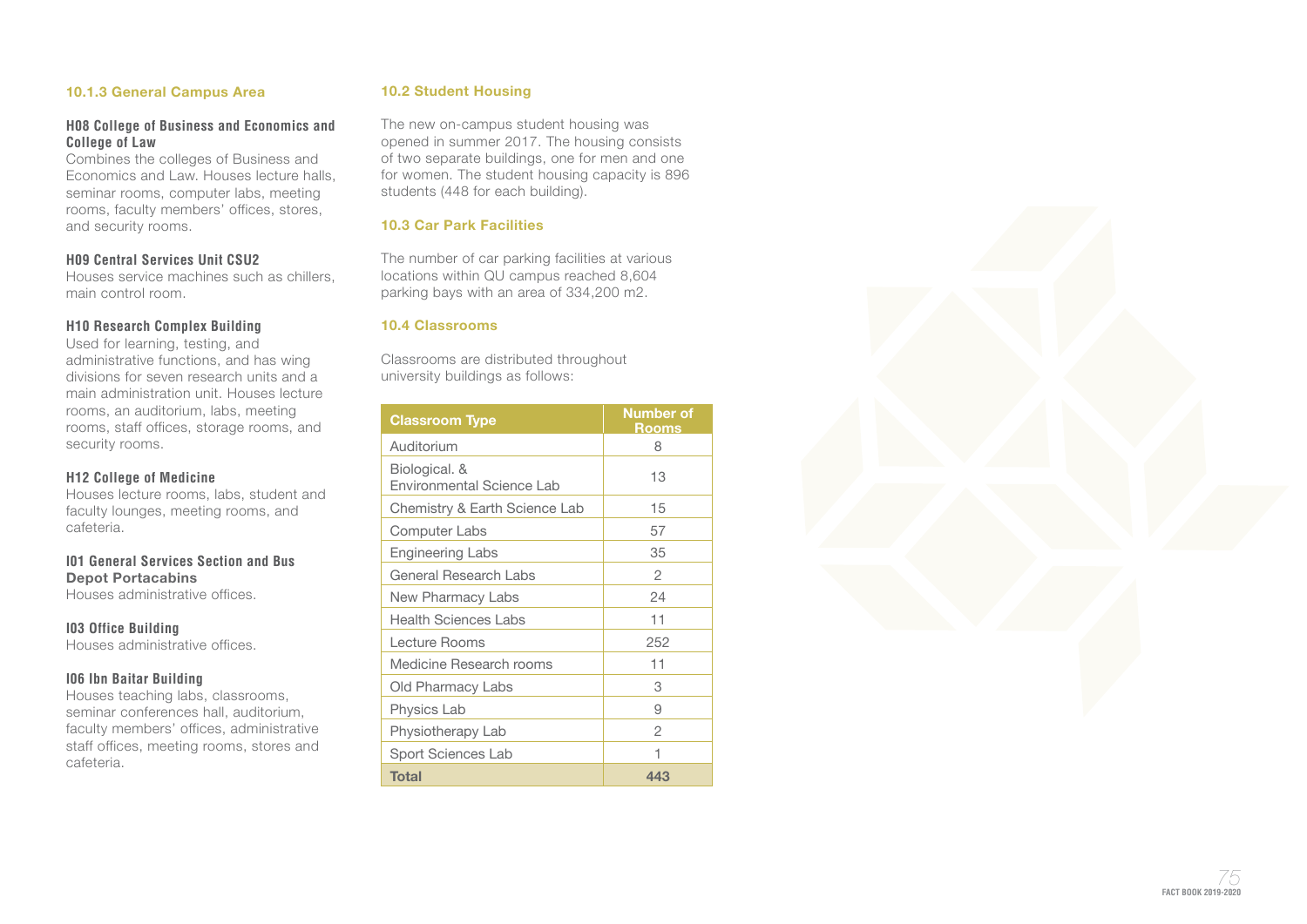## **10.1.3 General Campus Area**

# **H08 College of Business and Economics and College of Law**

Combines the colleges of Business and Economics and Law. Houses lecture halls, seminar rooms, computer labs, meeting rooms, faculty members' offices, stores, and security rooms.

## **H09 Central Services Unit CSU2**

Houses service machines such as chillers, main control room.

## **H10 Research Complex Building**

Used for learning, testing, and administrative functions, and has wing divisions for seven research units and a main administration unit. Houses lecture rooms, an auditorium, labs, meeting rooms, staff offices, storage rooms, and security rooms.

## **H12 College of Medicine**

Houses lecture rooms, labs, student and faculty lounges, meeting rooms, and cafeteria.

# **I01 General Services Section and Bus Depot Portacabins**

Houses administrative offices.

## **I03 Office Building**

Houses administrative offices.

## **I06 Ibn Baitar Building**

Houses teaching labs, classrooms, seminar conferences hall, auditorium, faculty members' offices, administrative staff offices, meeting rooms, stores and cafeteria.

# **10.2 Student Housing**

The new on-campus student housing was opened in summer 2017. The housing consists of two separate buildings, one for men and one for women. The student housing capacity is 896 students (448 for each building).

# **10.3 Car Park Facilities**

The number of car parking facilities at various locations within QU campus reached 8,604 parking bays with an area of 334,200 m2.

# **10.4 Classrooms**

Classrooms are distributed throughout university buildings as follows:

| <b>Classroom Type</b>                             | <b>Number of</b><br><b>Rooms</b> |
|---------------------------------------------------|----------------------------------|
| Auditorium                                        | 8                                |
| Biological. &<br><b>Environmental Science Lab</b> | 13                               |
| Chemistry & Earth Science Lab                     | 15                               |
| Computer Labs                                     | 57                               |
| <b>Engineering Labs</b>                           | 35                               |
| General Research Labs                             | $\mathfrak{D}$                   |
| New Pharmacy Labs                                 | 24                               |
| Health Sciences Labs                              | 11                               |
| Lecture Rooms                                     | 252                              |
| Medicine Research rooms                           | 11                               |
| Old Pharmacy Labs                                 | 3                                |
| <b>Physics Lab</b>                                | 9                                |
| Physiotherapy Lab                                 | $\mathfrak{D}$                   |
| Sport Sciences Lab                                | 1                                |
| <b>Total</b>                                      | 443                              |